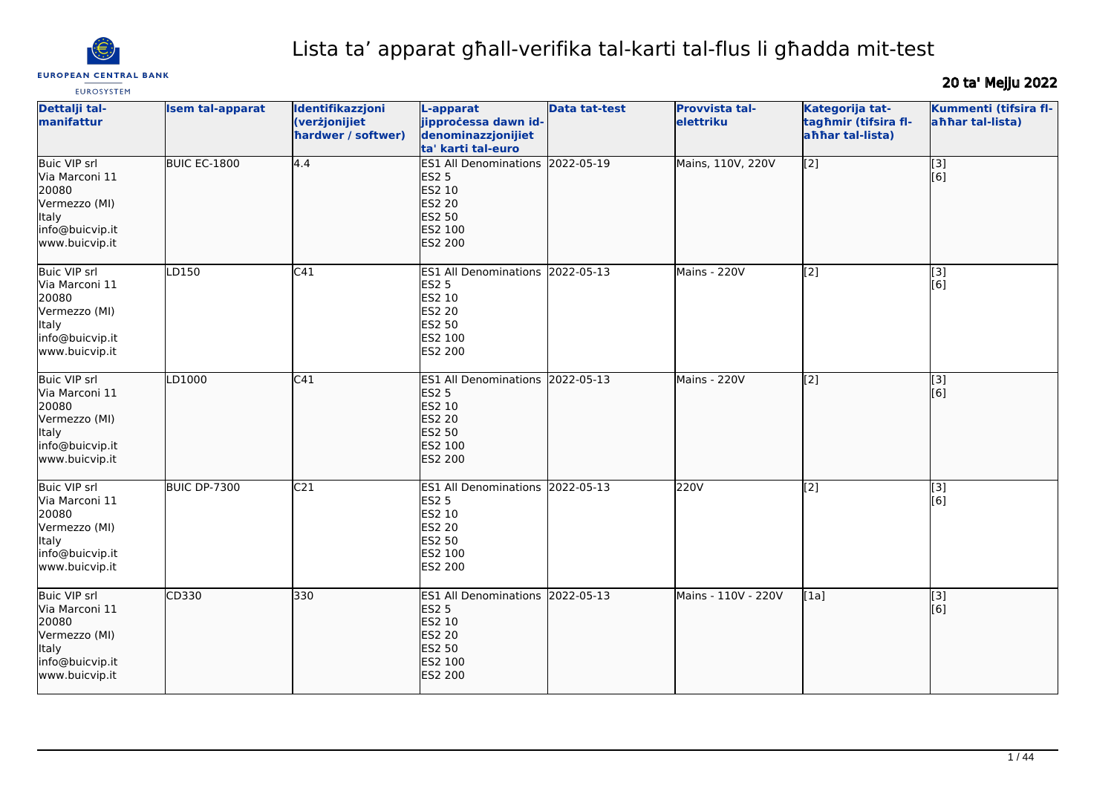

# Lista ta' apparat għall-verifika tal-karti tal-flus li għadda mit-test

# 20 ta' Mejju 2022

| <b>EUROSYSTEM</b>                                                                                                    |                         |                                                         |                                                                                                                           |                      |                                           |                                                             | שעשיי ש                                   |
|----------------------------------------------------------------------------------------------------------------------|-------------------------|---------------------------------------------------------|---------------------------------------------------------------------------------------------------------------------------|----------------------|-------------------------------------------|-------------------------------------------------------------|-------------------------------------------|
| Dettalji tal-<br>manifattur                                                                                          | <b>Isem tal-apparat</b> | Identifikazzjoni<br>(verżjonijiet<br>hardwer / softwer) | L-apparat<br>jipprocessa dawn id-<br>denominazzjonijiet<br>ta' karti tal-euro                                             | <b>Data tat-test</b> | <b>Provvista tal-</b><br><b>elettriku</b> | Kategorija tat-<br>tagħmir (tifsira fl-<br>ahhar tal-lista) | Kummenti (tifsira fl-<br>ahhar tal-lista) |
| Buic VIP srl<br>Via Marconi 11<br>20080<br>Vermezzo (MI)<br><b>Italy</b><br>info@buicvip.it<br>www.buicvip.it        | BUIC EC-1800            | 4.4                                                     | <b>ES1 All Denominations</b><br><b>ES2 5</b><br>ES2 10<br><b>ES2 20</b><br>ES2 50<br>ES2 100<br>ES2 200                   | 2022-05-19           | Mains, 110V, 220V                         | $\overline{[2]}$                                            | [3]<br>[6]                                |
| Buic VIP srl<br>Via Marconi 11<br>20080<br>Vermezzo (MI)<br><b>Italy</b><br>info@buicvip.it<br>www.buicvip.it        | LD150                   | C41                                                     | ES1 All Denominations 2022-05-13<br><b>ES2 5</b><br>ES2 10<br>ES2 20<br>ES2 50<br>ES2 100<br>ES2 200                      |                      | Mains - 220V                              | [2]                                                         | [3]<br>[6]                                |
| Buic VIP srl<br>Via Marconi 11<br>20080<br>Vermezzo (MI)<br><b>Italy</b><br>info@buicvip.it<br>www.buicvip.it        | LD1000                  | C41                                                     | <b>ES1 All Denominations</b><br><b>ES2 5</b><br>ES2 10<br><b>ES2 20</b><br><b>ES2 50</b><br>ES2 100<br>ES2 200            | 2022-05-13           | Mains - 220V                              | [2]                                                         | [3]<br>[6]                                |
| <b>Buic VIP srl</b><br>Via Marconi 11<br>20080<br>Vermezzo (MI)<br><b>Italy</b><br>info@buicvip.it<br>www.buicvip.it | <b>BUIC DP-7300</b>     | C <sub>21</sub>                                         | <b>ES1 All Denominations</b><br><b>ES2 5</b><br>ES2 10<br><b>ES2 20</b><br>ES2 50<br>ES2 100<br>ES2 200                   | 2022-05-13           | 220V                                      | $\overline{[2]}$                                            | $\overline{[}$ [3]<br>[6]                 |
| <b>Buic VIP srl</b><br>Via Marconi 11<br>20080<br>Vermezzo (MI)<br>Italy<br>info@buicvip.it<br>www.buicvip.it        | CD330                   | 330                                                     | ES1 All Denominations 2022-05-13<br><b>ES2 5</b><br>ES2 10<br><b>ES2 20</b><br><b>ES2 50</b><br>ES2 100<br><b>ES2 200</b> |                      | Mains - 110V - 220V                       | [1a]                                                        | $\overline{[3]}$<br>[6]                   |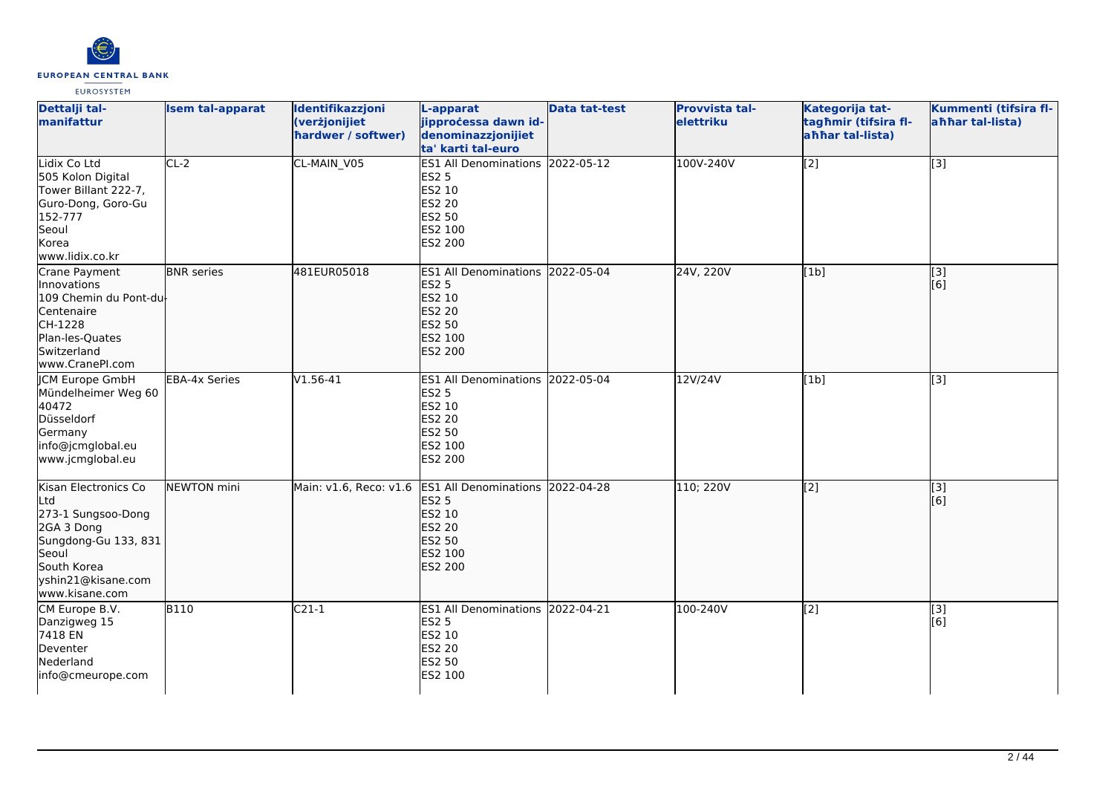

| Dettalji tal-<br>manifattur                                                                                                                             | <b>Isem tal-apparat</b> | Identifikazzjoni<br>(verżjonijiet<br>hardwer / softwer) | L-apparat<br>jipprocessa dawn id-<br>denominazzjonijiet<br>ta' karti tal-euro                                                    | <b>Data tat-test</b> | <b>Provvista tal-</b><br>elettriku | Kategorija tat-<br>tagħmir (tifsira fl-<br>ahhar tal-lista) | Kummenti (tifsira fl-<br>ahhar tal-lista) |
|---------------------------------------------------------------------------------------------------------------------------------------------------------|-------------------------|---------------------------------------------------------|----------------------------------------------------------------------------------------------------------------------------------|----------------------|------------------------------------|-------------------------------------------------------------|-------------------------------------------|
| Lidix Co Ltd<br>505 Kolon Digital<br>Tower Billant 222-7,<br>Guro-Dong, Goro-Gu<br>152-777<br>Seoul<br>Korea<br>www.lidix.co.kr                         | $CL-2$                  | CL-MAIN_V05                                             | ES1 All Denominations 2022-05-12<br><b>ES2 5</b><br><b>ES2 10</b><br><b>ES2 20</b><br><b>ES2 50</b><br>ES2 100<br>ES2 200        |                      | 100V-240V                          | [2]                                                         | [3]                                       |
| Crane Payment<br>Innovations<br>109 Chemin du Pont-dul<br>Centenaire<br>CH-1228<br>Plan-les-Quates<br>Switzerland<br>www.CranePI.com                    | <b>BNR</b> series       | 481EUR05018                                             | ES1 All Denominations 2022-05-04<br><b>ES2 5</b><br>ES2 10<br><b>ES2 20</b><br><b>ES2 50</b><br>ES2 100<br><b>ES2 200</b>        |                      | 24V, 220V                          | [1b]                                                        | [[3]<br>[6]                               |
| <b>CM Europe GmbH</b><br>Mündelheimer Weg 60<br>40472<br>Düsseldorf<br>Germany<br>info@jcmglobal.eu<br>www.jcmglobal.eu                                 | <b>EBA-4x Series</b>    | $V1.56-41$                                              | ES1 All Denominations 2022-05-04<br><b>ES2 5</b><br>ES2 10<br><b>ES2 20</b><br><b>ES2 50</b><br>ES2 100<br>ES2 200               |                      | 12V/24V                            | [1b]                                                        | [3]                                       |
| Kisan Electronics Co<br>Ltd<br>273-1 Sungsoo-Dong<br>2GA 3 Dong<br>Sungdong-Gu 133, 831<br>Seoul<br>South Korea<br>yshin21@kisane.com<br>www.kisane.com | NEWTON mini             | Main: v1.6, Reco: v1.6                                  | ES1 All Denominations 2022-04-28<br><b>ES2 5</b><br><b>ES2 10</b><br><b>ES2 20</b><br><b>ES2 50</b><br>ES2 100<br><b>ES2 200</b> |                      | 110; 220V                          | $\sqrt{2}$                                                  | [3]<br>[[6]                               |
| CM Europe B.V.<br>Danzigweg 15<br>7418 EN<br>Deventer<br>Nederland<br>info@cmeurope.com                                                                 | <b>B110</b>             | $C21-1$                                                 | ES1 All Denominations 2022-04-21<br><b>ES2 5</b><br>ES2 10<br><b>ES2 20</b><br><b>ES2 50</b><br>ES2 100                          |                      | 100-240V                           | $\overline{[2]}$                                            | [3]<br>[6]                                |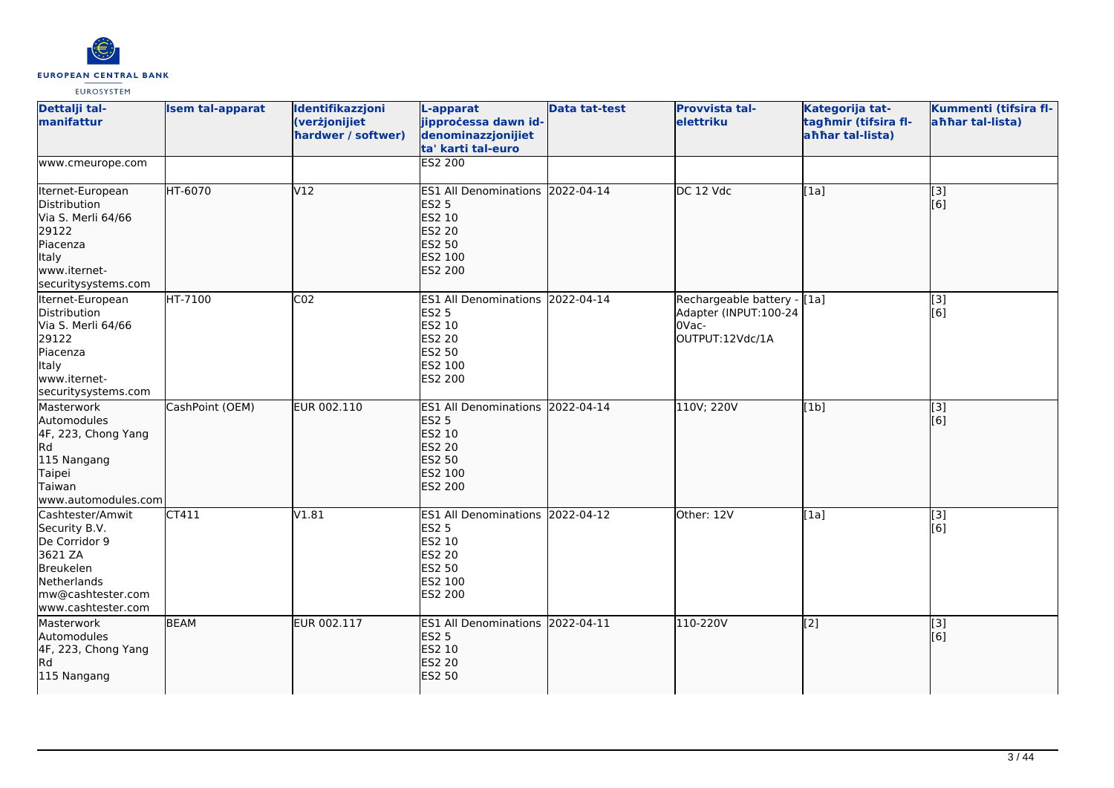

| Dettalji tal-<br>manifattur                                                                                                          | <b>Isem tal-apparat</b> | Identifikazzjoni<br>(verżjonijiet<br>hardwer / softwer) | L-apparat<br>jipprocessa dawn id-<br>denominazzjonijiet<br>ta' karti tal-euro                                  | <b>Data tat-test</b> | Provvista tal-<br>elettriku                                                      | Kategorija tat-<br>tagħmir (tifsira fl-<br>ahhar tal-lista) | Kummenti (tifsira fl-<br>ahhar tal-lista) |
|--------------------------------------------------------------------------------------------------------------------------------------|-------------------------|---------------------------------------------------------|----------------------------------------------------------------------------------------------------------------|----------------------|----------------------------------------------------------------------------------|-------------------------------------------------------------|-------------------------------------------|
| www.cmeurope.com                                                                                                                     |                         |                                                         | <b>ES2 200</b>                                                                                                 |                      |                                                                                  |                                                             |                                           |
| Iternet-European<br>Distribution<br>Via S. Merli 64/66<br>29122<br>Piacenza<br>Italy<br>www.iternet-<br>securitysystems.com          | HT-6070                 | V12                                                     | <b>ES1 All Denominations</b><br><b>ES2 5</b><br>ES2 10<br><b>ES2 20</b><br><b>ES2 50</b><br>ES2 100<br>ES2 200 | 2022-04-14           | DC 12 Vdc                                                                        | [1a]                                                        | $\overline{[3]}$<br>[6]                   |
| Iternet-European<br>Distribution<br>Via S. Merli 64/66<br>29122<br>Piacenza<br>Italy<br>www.iternet-<br>securitysystems.com          | <b>HT-7100</b>          | CO <sub>2</sub>                                         | <b>ES1 All Denominations</b><br><b>ES2 5</b><br>ES2 10<br>ES2 20<br>ES2 50<br>ES2 100<br>ES2 200               | 2022-04-14           | Rechargeable battery - [1a]<br>Adapter (INPUT:100-24<br>OVac-<br>OUTPUT:12Vdc/1A |                                                             | $\overline{[3]}$<br>[6]                   |
| Masterwork<br>Automodules<br>4F, 223, Chong Yang<br>Rd<br>115 Nangang<br>Taipei<br>Taiwan<br>www.automodules.com                     | CashPoint (OEM)         | EUR 002.110                                             | <b>ES1 All Denominations</b><br><b>ES2 5</b><br>ES2 10<br><b>ES2 20</b><br>ES2 50<br>ES2 100<br><b>ES2 200</b> | 2022-04-14           | 110V; 220V                                                                       | [1b]                                                        | $\overline{[}$ [3]<br>[6]                 |
| Cashtester/Amwit<br>Security B.V.<br>De Corridor 9<br>3621 ZA<br>Breukelen<br>Netherlands<br>mw@cashtester.com<br>www.cashtester.com | CT411                   | V1.81                                                   | <b>ES1 All Denominations</b><br><b>ES2 5</b><br>ES2 10<br>ES2 20<br>ES2 50<br>ES2 100<br>ES2 200               | 2022-04-12           | Other: 12V                                                                       | [1a]                                                        | [3]<br>[6]                                |
| Masterwork<br>Automodules<br>4F, 223, Chong Yang<br><b>Rd</b><br>115 Nangang                                                         | <b>BEAM</b>             | EUR 002.117                                             | ES1 All Denominations 2022-04-11<br><b>ES2 5</b><br>ES2 10<br><b>ES2 20</b><br>ES2 50                          |                      | 110-220V                                                                         | $\overline{[2]}$                                            | $\overline{[}3]$<br>[6]                   |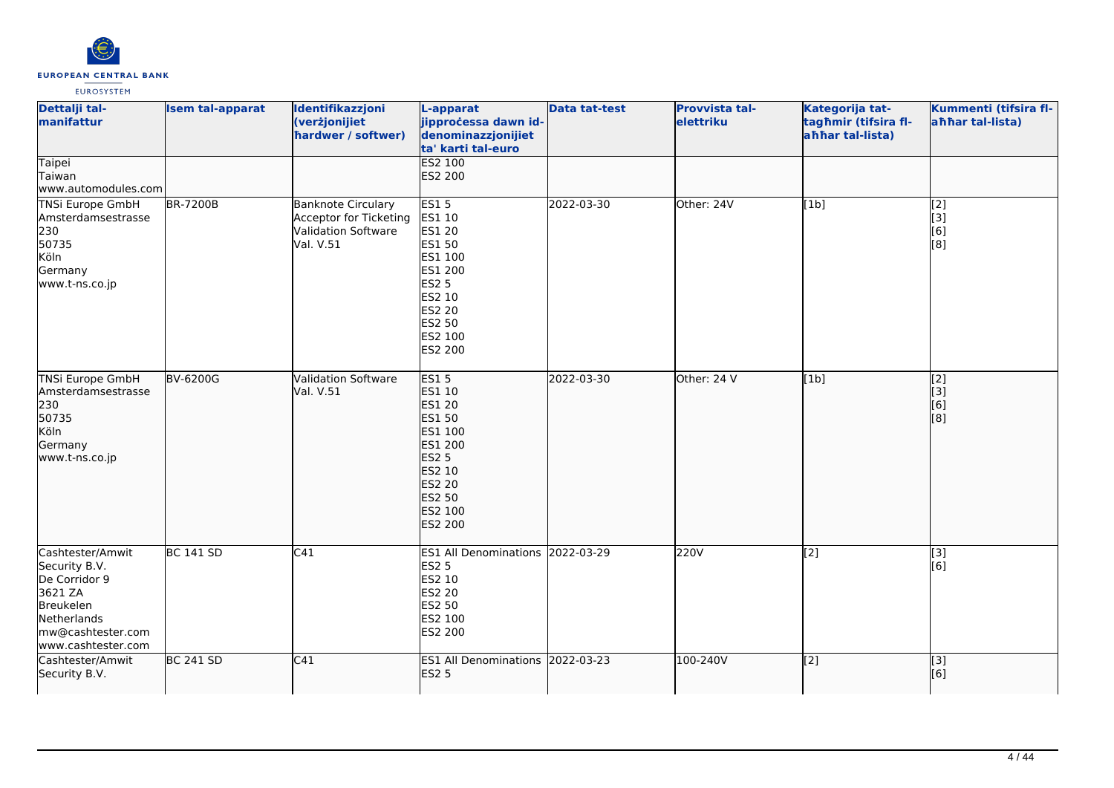

| Dettalji tal-<br>manifattur<br>Taipei                                                                                                | <b>Isem tal-apparat</b> | Identifikazzjoni<br>(verżjonijiet<br>hardwer / softwer)                                 | L-apparat<br>jipprocessa dawn id-<br>denominazzjonijiet<br>ta' karti tal-euro<br>ES2 100                                                                 | <b>Data tat-test</b> | Provvista tal-<br>elettriku | Kategorija tat-<br>tagħmir (tifsira fl-<br>ahhar tal-lista) | Kummenti (tifsira fl-<br>ahhar tal-lista) |
|--------------------------------------------------------------------------------------------------------------------------------------|-------------------------|-----------------------------------------------------------------------------------------|----------------------------------------------------------------------------------------------------------------------------------------------------------|----------------------|-----------------------------|-------------------------------------------------------------|-------------------------------------------|
| Taiwan<br>www.automodules.com                                                                                                        |                         |                                                                                         | ES2 200                                                                                                                                                  |                      |                             |                                                             |                                           |
| <b>TNSi Europe GmbH</b><br>Amsterdamsestrasse<br>230<br>50735<br>Köln<br>Germany<br>www.t-ns.co.jp                                   | <b>BR-7200B</b>         | <b>Banknote Circulary</b><br>Acceptor for Ticketing<br>Validation Software<br>Val. V.51 | <b>ES15</b><br>ES1 10<br>ES1 20<br>ES1 50<br>ES1 100<br>ES1 200<br><b>ES2 5</b><br>ES2 10<br>ES2 20<br>ES2 50<br>ES2 100<br>ES2 200                      | 2022-03-30           | Other: 24V                  | [1b]                                                        | $\overline{[2]}$<br>[3]<br>[6]<br>[8]     |
| <b>TNSi Europe GmbH</b><br>Amsterdamsestrasse<br>230<br>50735<br>Köln<br>Germany<br>www.t-ns.co.jp                                   | <b>BV-6200G</b>         | Validation Software<br>Val. V.51                                                        | <b>ES15</b><br>ES1 10<br>ES1 20<br><b>ES1 50</b><br>ES1 100<br>ES1 200<br><b>ES2 5</b><br>ES2 10<br><b>ES2 20</b><br><b>ES2 50</b><br>ES2 100<br>ES2 200 | 2022-03-30           | Other: 24 V                 | [1b]                                                        | $\overline{[2]}$<br>[3]<br>[6]<br>[8]     |
| Cashtester/Amwit<br>Security B.V.<br>De Corridor 9<br>3621 ZA<br>Breukelen<br>Netherlands<br>mw@cashtester.com<br>www.cashtester.com | <b>BC 141 SD</b>        | C41                                                                                     | ES1 All Denominations 2022-03-29<br><b>ES2 5</b><br>ES2 10<br>ES2 20<br>ES2 50<br>ES2 100<br><b>ES2 200</b>                                              |                      | 220V                        | $\overline{[2]}$                                            | [3]<br>[6]                                |
| Cashtester/Amwit<br>Security B.V.                                                                                                    | <b>BC 241 SD</b>        | C41                                                                                     | ES1 All Denominations 2022-03-23<br><b>ES2 5</b>                                                                                                         |                      | 100-240V                    | $\overline{[2]}$                                            | [3]<br>[6]                                |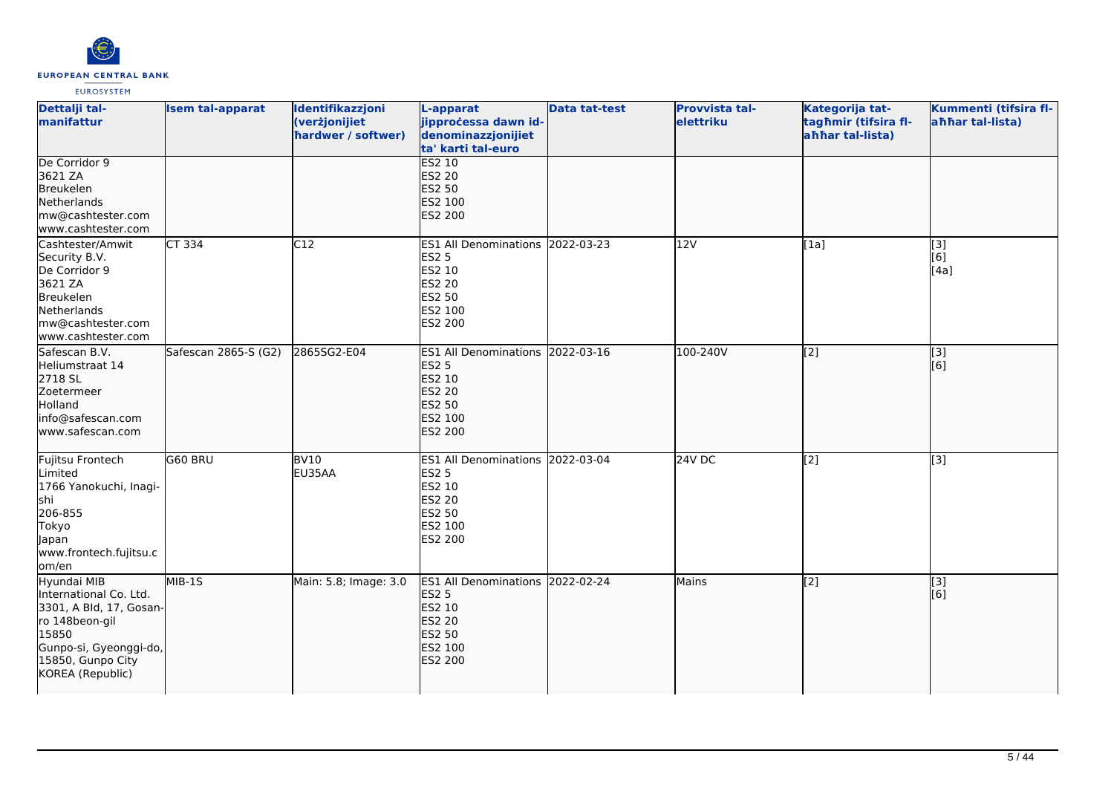

| Dettalji tal-<br>manifattur                                                                                                                                    | <b>Isem tal-apparat</b> | Identifikazzjoni<br>(verżjonijiet<br>hardwer / softwer) | L-apparat<br>jipprocessa dawn id-<br>denominazzjonijiet<br>ta' karti tal-euro                                             | <b>Data tat-test</b> | <b>Provvista tal-</b><br>elettriku | Kategorija tat-<br>tagħmir (tifsira fl-<br>ahhar tal-lista) | Kummenti (tifsira fl-<br>ahhar tal-lista) |
|----------------------------------------------------------------------------------------------------------------------------------------------------------------|-------------------------|---------------------------------------------------------|---------------------------------------------------------------------------------------------------------------------------|----------------------|------------------------------------|-------------------------------------------------------------|-------------------------------------------|
| De Corridor 9<br>3621 ZA<br>Breukelen<br>Netherlands<br>mw@cashtester.com<br>www.cashtester.com                                                                |                         |                                                         | <b>ES2 10</b><br><b>ES2 20</b><br><b>ES2 50</b><br>ES2 100<br><b>ES2 200</b>                                              |                      |                                    |                                                             |                                           |
| Cashtester/Amwit<br>Security B.V.<br>De Corridor 9<br>3621 ZA<br>Breukelen<br>Netherlands<br>mw@cashtester.com<br>www.cashtester.com                           | CT 334                  | C12                                                     | ES1 All Denominations 2022-03-23<br><b>ES2 5</b><br>ES2 10<br><b>ES2 20</b><br><b>ES2 50</b><br>ES2 100<br>ES2 200        |                      | 12V                                | [1a]                                                        | [3]<br>[6]<br>[4a]                        |
| Safescan B.V.<br>Heliumstraat 14<br>2718 SL<br>Zoetermeer<br>Holland<br>info@safescan.com<br>www.safescan.com                                                  | Safescan 2865-S (G2)    | 2865SG2-E04                                             | ES1 All Denominations 2022-03-16<br><b>ES2 5</b><br>ES2 10<br><b>ES2 20</b><br><b>ES2 50</b><br>ES2 100<br><b>ES2 200</b> |                      | 100-240V                           | [2]                                                         | $\overline{[}3]$<br>[6]                   |
| Fujitsu Frontech<br>Limited<br>1766 Yanokuchi, Inagi-<br>shi<br>206-855<br>Tokyo<br>Japan<br>www.frontech.fujitsu.c<br>om/en                                   | G60 BRU                 | BV10<br>EU35AA                                          | <b>ES1 All Denominations</b><br><b>ES2 5</b><br>ES2 10<br>ES2 20<br>ES2 50<br>ES2 100<br>ES2 200                          | 2022-03-04           | <b>24V DC</b>                      | [2]                                                         | [3]                                       |
| Hyundai MIB<br>International Co. Ltd.<br>3301, A Bld, 17, Gosan-<br>ro 148beon-gil<br>15850<br>Gunpo-si, Gyeonggi-do,<br>15850, Gunpo City<br>KOREA (Republic) | $MIB-15$                | Main: 5.8; Image: 3.0                                   | ES1 All Denominations 2022-02-24<br><b>ES2 5</b><br>ES2 10<br><b>ES2 20</b><br>ES2 50<br>ES2 100<br><b>ES2 200</b>        |                      | Mains                              | $\overline{[2]}$                                            | $\overline{[}3]$<br>[6]                   |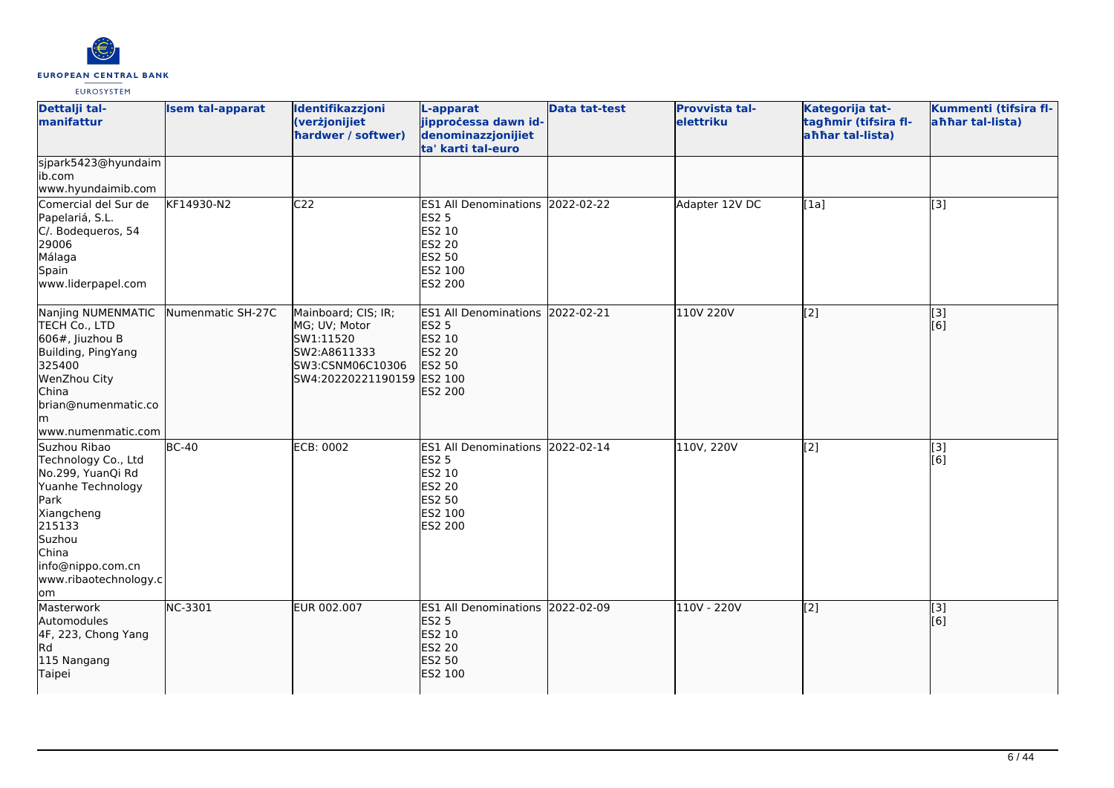

| Dettalji tal-<br>manifattur                                                                                                                                                           | <b>Isem tal-apparat</b> | Identifikazzjoni<br>(verżjonijiet<br>hardwer / softwer)                                                             | L-apparat<br>jipprocessa dawn id-<br>denominazzjonijiet<br>ta' karti tal-euro                                      | <b>Data tat-test</b> | <b>Provvista tal-</b><br>elettriku | Kategorija tat-<br>tagħmir (tifsira fl-<br>ahhar tal-lista) | Kummenti (tifsira fl-<br>ahhar tal-lista) |
|---------------------------------------------------------------------------------------------------------------------------------------------------------------------------------------|-------------------------|---------------------------------------------------------------------------------------------------------------------|--------------------------------------------------------------------------------------------------------------------|----------------------|------------------------------------|-------------------------------------------------------------|-------------------------------------------|
| sjpark5423@hyundaim<br>ib.com<br>www.hyundaimib.com                                                                                                                                   |                         |                                                                                                                     |                                                                                                                    |                      |                                    |                                                             |                                           |
| Comercial del Sur de<br>Papelariá, S.L.<br>C/. Bodequeros, 54<br>29006<br>Málaga<br>Spain<br>www.liderpapel.com                                                                       | KF14930-N2              | C <sub>22</sub>                                                                                                     | ES1 All Denominations 2022-02-22<br><b>ES2 5</b><br>ES2 10<br><b>ES2 20</b><br><b>ES2 50</b><br>ES2 100<br>ES2 200 |                      | Adapter 12V DC                     | [1a]                                                        | $\overline{[3]}$                          |
| Nanjing NUMENMATIC<br>TECH Co., LTD<br>$606#$ , Jiuzhou B<br>Building, PingYang<br>325400<br>WenZhou City<br>China<br>brian@numenmatic.co<br>lm.<br>www.numenmatic.com                | Numenmatic SH-27C       | Mainboard; CIS; IR;<br>MG; UV; Motor<br>SW1:11520<br>SW2:A8611333<br>SW3:CSNM06C10306<br>SW4:20220221190159 ES2 100 | ES1 All Denominations 2022-02-21<br><b>ES2 5</b><br>ES2 10<br><b>ES2 20</b><br><b>ES2 50</b><br><b>ES2 200</b>     |                      | 110V 220V                          | $\overline{[2]}$                                            | $\overline{[3]}$<br>[6]                   |
| Suzhou Ribao<br>Technology Co., Ltd<br>No.299, YuanQi Rd<br>Yuanhe Technology<br>Park<br>Xiangcheng<br>215133<br>Suzhou<br>China<br>info@nippo.com.cn<br>www.ribaotechnology.c<br>lom | $BC-40$                 | <b>ECB: 0002</b>                                                                                                    | ES1 All Denominations 2022-02-14<br><b>ES2 5</b><br>ES2 10<br><b>ES2 20</b><br><b>ES2 50</b><br>ES2 100<br>ES2 200 |                      | 110V, 220V                         | [2]                                                         | [3]<br>[6]                                |
| Masterwork<br>Automodules<br>4F, 223, Chong Yang<br><b>Rd</b><br>115 Nangang<br>Taipei                                                                                                | NC-3301                 | EUR 002.007                                                                                                         | ES1 All Denominations 2022-02-09<br><b>ES2 5</b><br>ES2 10<br><b>ES2 20</b><br><b>ES2 50</b><br>ES2 100            |                      | 110V - 220V                        | $\left[ \begin{matrix} 2 \end{matrix} \right]$              | $\overline{[}3]$<br>[6]                   |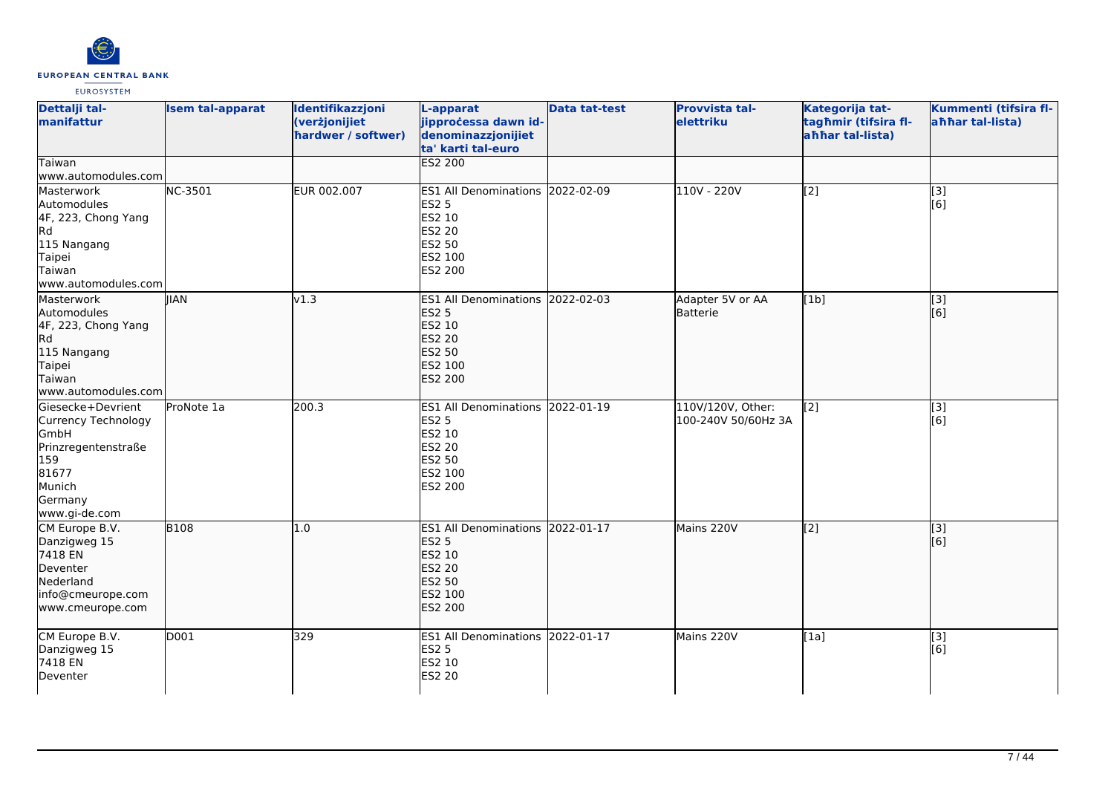

| Dettalji tal-<br>manifattur<br>Taiwan<br>www.automodules.com                                                                         | <b>Isem tal-apparat</b> | Identifikazzjoni<br>(verżjonijiet<br>hardwer / softwer) | L-apparat<br>jipprocessa dawn id-<br>denominazzjonijiet<br>ta' karti tal-euro<br>ES2 200                           | <b>Data tat-test</b> | <b>Provvista tal-</b><br><b>elettriku</b> | Kategorija tat-<br>tagħmir (tifsira fl-<br>ahhar tal-lista) | Kummenti (tifsira fl-<br>ahhar tal-lista) |
|--------------------------------------------------------------------------------------------------------------------------------------|-------------------------|---------------------------------------------------------|--------------------------------------------------------------------------------------------------------------------|----------------------|-------------------------------------------|-------------------------------------------------------------|-------------------------------------------|
| Masterwork<br>Automodules<br>4F, 223, Chong Yang<br>Rd<br>115 Nangang<br>Taipei<br>Taiwan<br>www.automodules.com                     | NC-3501                 | EUR 002.007                                             | ES1 All Denominations 2022-02-09<br><b>ES2 5</b><br>ES2 10<br>ES2 20<br>ES2 50<br>ES2 100<br>ES2 200               |                      | 110V - 220V                               | $\overline{[2]}$                                            | $\overline{[3]}$<br>[6]                   |
| <b>Masterwork</b><br>Automodules<br>4F, 223, Chong Yang<br>Rd.<br>115 Nangang<br>Taipei<br>Taiwan<br>www.automodules.com             | <b>IIAN</b>             | v1.3                                                    | ES1 All Denominations 2022-02-03<br><b>ES2 5</b><br>ES2 10<br><b>ES2 20</b><br><b>ES2 50</b><br>ES2 100<br>ES2 200 |                      | Adapter 5V or AA<br>Batterie              | [1b]                                                        | $\overline{[3]}$<br>[6]                   |
| Giesecke+Devrient<br><b>Currency Technology</b><br>GmbH<br>Prinzregentenstraße<br>159<br>81677<br>Munich<br>Germany<br>www.gi-de.com | ProNote 1a              | 200.3                                                   | ES1 All Denominations 2022-01-19<br><b>ES2 5</b><br>ES2 10<br>ES2 20<br>ES2 50<br>ES2 100<br>ES2 200               |                      | 110V/120V, Other:<br>100-240V 50/60Hz 3A  | [2]                                                         | [3]<br>[6]                                |
| CM Europe B.V.<br>Danzigweg 15<br>7418 EN<br>Deventer<br><b>Nederland</b><br>info@cmeurope.com<br>www.cmeurope.com                   | <b>B108</b>             | 1.0                                                     | ES1 All Denominations 2022-01-17<br><b>ES2 5</b><br>ES2 10<br><b>ES2 20</b><br><b>ES2 50</b><br>ES2 100<br>ES2 200 |                      | Mains 220V                                | $\overline{[2]}$                                            | $\overline{[3]}$<br>[6]                   |
| CM Europe B.V.<br>Danzigweg 15<br>7418 EN<br>Deventer                                                                                | D001                    | 329                                                     | ES1 All Denominations 2022-01-17<br><b>ES2 5</b><br>ES2 10<br><b>ES2 20</b>                                        |                      | Mains 220V                                | [1a]                                                        | [3]<br>[6]                                |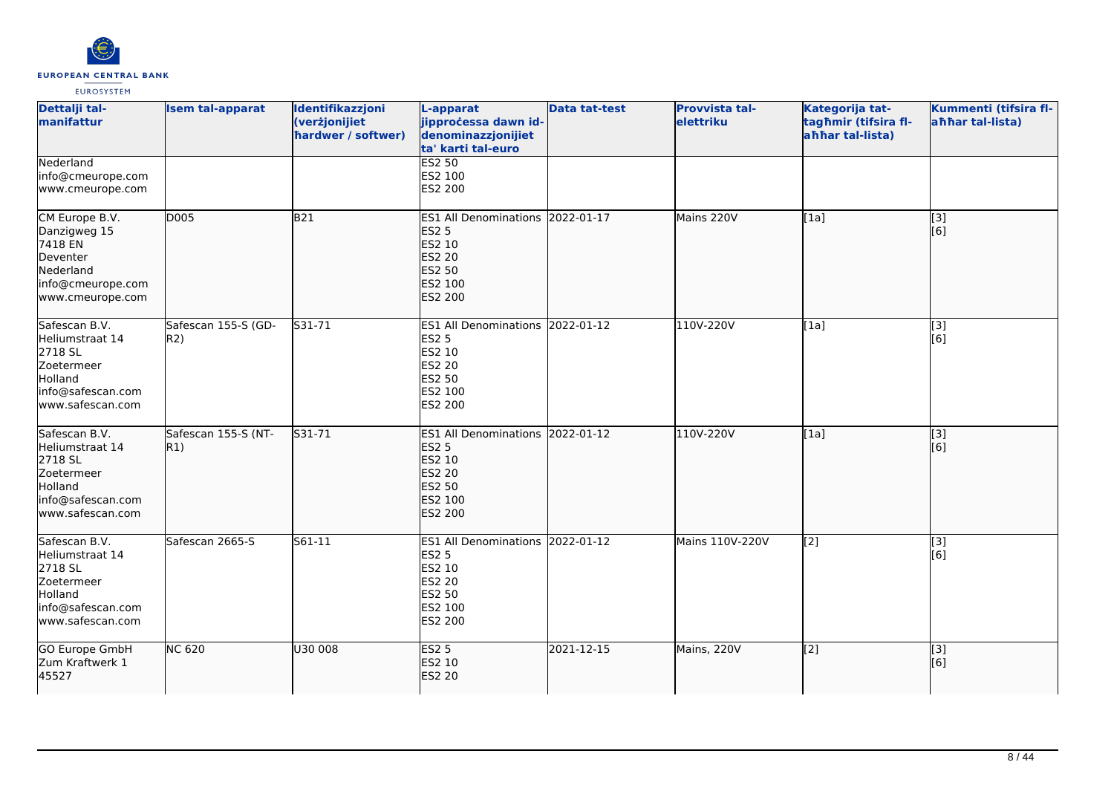

| Dettalji tal-<br>manifattur                                                                                   | <b>Isem tal-apparat</b>    | Identifikazzjoni<br>(verżjonijiet<br>hardwer / softwer) | L-apparat<br>jipprocessa dawn id-<br>denominazzjonijiet<br>ta' karti tal-euro                                             | <b>Data tat-test</b> | <b>Provvista tal-</b><br>elettriku | Kategorija tat-<br>tagħmir (tifsira fl-<br>ahhar tal-lista) | Kummenti (tifsira fl-<br>ahhar tal-lista) |
|---------------------------------------------------------------------------------------------------------------|----------------------------|---------------------------------------------------------|---------------------------------------------------------------------------------------------------------------------------|----------------------|------------------------------------|-------------------------------------------------------------|-------------------------------------------|
| Nederland<br>info@cmeurope.com<br>www.cmeurope.com                                                            |                            |                                                         | <b>ES2 50</b><br>ES2 100<br>ES2 200                                                                                       |                      |                                    |                                                             |                                           |
| CM Europe B.V.<br>Danzigweg 15<br>7418 EN<br>Deventer<br>Nederland<br>info@cmeurope.com<br>www.cmeurope.com   | D005                       | <b>B21</b>                                              | ES1 All Denominations 2022-01-17<br><b>ES2 5</b><br>ES2 10<br><b>ES2 20</b><br><b>ES2 50</b><br>ES2 100<br><b>ES2 200</b> |                      | Mains 220V                         | [1a]                                                        | [3]<br>[6]                                |
| Safescan B.V.<br>Heliumstraat 14<br>2718 SL<br>Zoetermeer<br>Holland<br>info@safescan.com<br>www.safescan.com | Safescan 155-S (GD-<br>R2) | S31-71                                                  | <b>ES1 All Denominations</b><br><b>ES2 5</b><br>ES2 10<br>ES2 20<br>ES2 50<br>ES2 100<br>ES2 200                          | 2022-01-12           | 110V-220V                          | [1a]                                                        | [3]<br>[6]                                |
| Safescan B.V.<br>Heliumstraat 14<br>2718 SL<br>Zoetermeer<br>Holland<br>info@safescan.com<br>www.safescan.com | Safescan 155-S (NT-<br>R1) | S31-71                                                  | ES1 All Denominations 2022-01-12<br><b>ES2 5</b><br>ES2 10<br><b>ES2 20</b><br><b>ES2 50</b><br>ES2 100<br>ES2 200        |                      | 110V-220V                          | [1a]                                                        | $\overline{[}3]$<br>[6]                   |
| Safescan B.V.<br>Heliumstraat 14<br>2718 SL<br>Zoetermeer<br>Holland<br>info@safescan.com<br>www.safescan.com | Safescan 2665-S            | S61-11                                                  | ES1 All Denominations 2022-01-12<br><b>ES2 5</b><br>ES2 10<br>ES2 20<br>ES2 50<br>ES2 100<br>ES2 200                      |                      | Mains 110V-220V                    | $\overline{[2]}$                                            | $[3]$<br>[6]                              |
| GO Europe GmbH<br>Zum Kraftwerk 1<br>45527                                                                    | <b>NC 620</b>              | U30 008                                                 | <b>ES2 5</b><br>ES2 10<br><b>ES2 20</b>                                                                                   | 2021-12-15           | Mains, 220V                        | $\left[ \begin{matrix} 2 \end{matrix} \right]$              | [3]<br>[6]                                |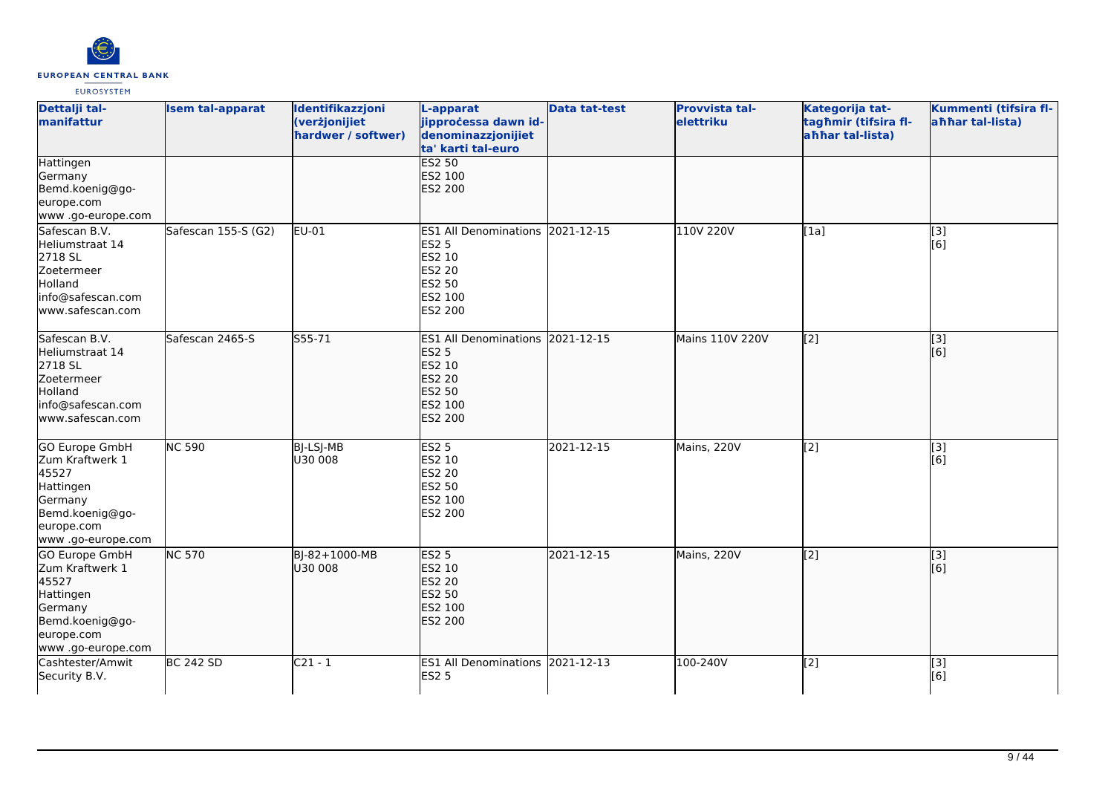

| Dettalji tal-<br>manifattur                                                                                               | <b>Isem tal-apparat</b> | Identifikazzjoni<br>(verżjonijiet<br>hardwer / softwer) | L-apparat<br>jipprocessa dawn id-<br>denominazzjonijiet<br>ta' karti tal-euro                                             | <b>Data tat-test</b> | Provvista tal-<br>elettriku | Kategorija tat-<br>tagħmir (tifsira fl-<br>ahhar tal-lista) | Kummenti (tifsira fl-<br>ahhar tal-lista) |
|---------------------------------------------------------------------------------------------------------------------------|-------------------------|---------------------------------------------------------|---------------------------------------------------------------------------------------------------------------------------|----------------------|-----------------------------|-------------------------------------------------------------|-------------------------------------------|
| Hattingen<br>Germany<br>Bemd.koenig@go-<br>europe.com<br>www.go-europe.com                                                |                         |                                                         | <b>ES2 50</b><br>ES2 100<br><b>ES2 200</b>                                                                                |                      |                             |                                                             |                                           |
| Safescan B.V.<br>Heliumstraat 14<br>2718 SL<br>Zoetermeer<br>Holland<br>info@safescan.com<br>www.safescan.com             | Safescan 155-S (G2)     | EU-01                                                   | <b>ES1 All Denominations</b><br><b>ES2 5</b><br>ES2 10<br>ES2 20<br>ES2 50<br>ES2 100<br>ES2 200                          | 2021-12-15           | 110V 220V                   | [1a]                                                        | [3]<br>[6]                                |
| Safescan B.V.<br>Heliumstraat 14<br>2718 SL<br>Zoetermeer<br>Holland<br>info@safescan.com<br>www.safescan.com             | Safescan 2465-S         | S55-71                                                  | ES1 All Denominations 2021-12-15<br><b>ES2 5</b><br>ES2 10<br><b>ES2 20</b><br><b>ES2 50</b><br>ES2 100<br><b>ES2 200</b> |                      | Mains 110V 220V             | [2]                                                         | $\overline{[3]}$<br>[6]                   |
| GO Europe GmbH<br>Zum Kraftwerk 1<br>45527<br>Hattingen<br>Germany<br>Bemd.koenig@go-<br>europe.com<br>www.go-europe.com  | <b>NC 590</b>           | BJ-LSJ-MB<br>U30 008                                    | <b>ES2 5</b><br>ES2 10<br>ES2 20<br><b>ES2 50</b><br>ES2 100<br>ES2 200                                                   | 2021-12-15           | Mains, 220V                 | [2]                                                         | $[3]$<br>[6]                              |
| GO Europe GmbH<br>Zum Kraftwerk 1<br>45527<br>Hattingen<br>Germany<br>Bemd.koenig@go-<br>europe.com<br>www .go-europe.com | <b>NC 570</b>           | BJ-82+1000-MB<br>U30 008                                | <b>ES2 5</b><br>ES2 10<br><b>ES2 20</b><br><b>ES2 50</b><br>ES2 100<br>ES2 200                                            | 2021-12-15           | Mains, 220V                 | [2]                                                         | [3]<br>[6]                                |
| Cashtester/Amwit<br>Security B.V.                                                                                         | <b>BC 242 SD</b>        | $C21 - 1$                                               | ES1 All Denominations 2021-12-13<br><b>ES2 5</b>                                                                          |                      | 100-240V                    | [2]                                                         | [3]<br>[6]                                |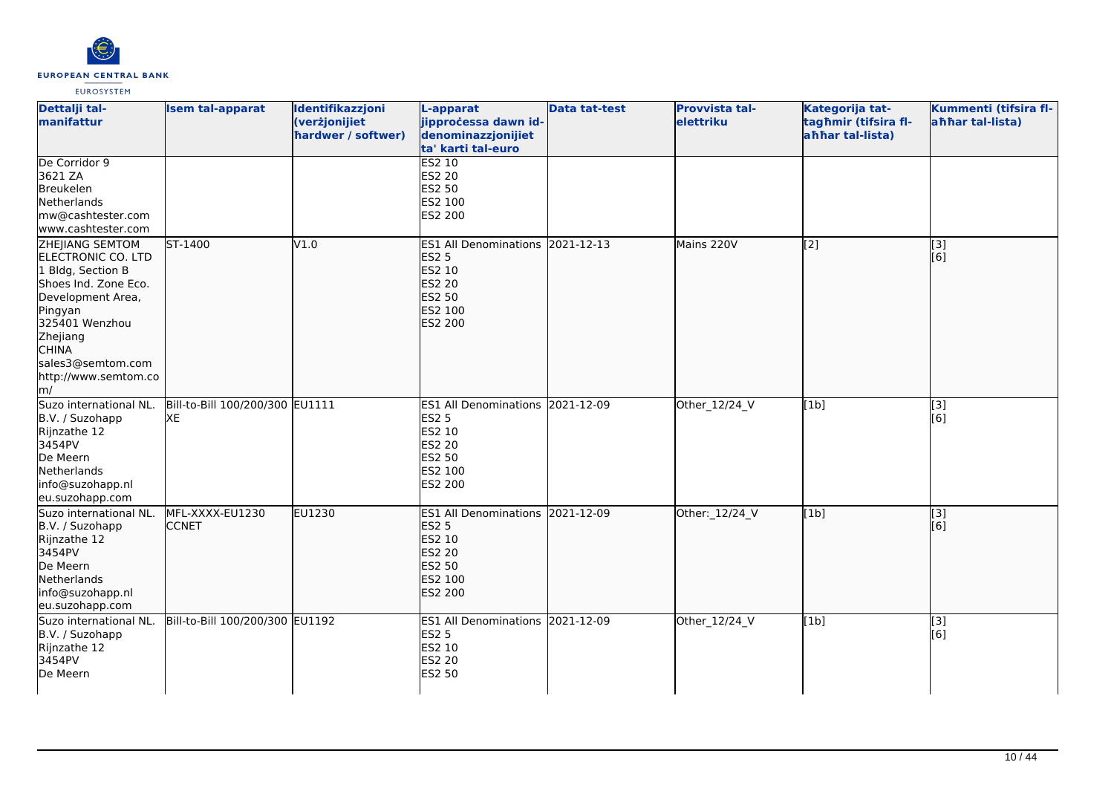

| Dettalji tal-<br>manifattur                                                                                                                                                                                          | <b>Isem tal-apparat</b>                | Identifikazzjoni<br>(verżjonijiet<br>hardwer / softwer) | L-apparat<br>jipprocessa dawn id-<br>denominazzjonijiet<br>ta' karti tal-euro                                                    | <b>Data tat-test</b> | <b>Provvista tal-</b><br>elettriku | Kategorija tat-<br>tagħmir (tifsira fl-<br>ahhar tal-lista) | Kummenti (tifsira fl-<br>ahhar tal-lista) |
|----------------------------------------------------------------------------------------------------------------------------------------------------------------------------------------------------------------------|----------------------------------------|---------------------------------------------------------|----------------------------------------------------------------------------------------------------------------------------------|----------------------|------------------------------------|-------------------------------------------------------------|-------------------------------------------|
| De Corridor 9<br>3621 ZA<br>Breukelen<br>Netherlands<br>mw@cashtester.com<br>www.cashtester.com                                                                                                                      |                                        |                                                         | <b>ES2 10</b><br><b>ES2 20</b><br>ES2 50<br>ES2 100<br>ES2 200                                                                   |                      |                                    |                                                             |                                           |
| ZHEJIANG SEMTOM<br>ELECTRONIC CO. LTD<br>1 Bldg, Section B<br>Shoes Ind. Zone Eco.<br>Development Area,<br>Pingyan<br>325401 Wenzhou<br>Zhejiang<br><b>CHINA</b><br>sales3@semtom.com<br>http://www.semtom.co<br>lm/ | ST-1400                                | V1.0                                                    | ES1 All Denominations 2021-12-13<br><b>ES2 5</b><br><b>ES2 10</b><br><b>ES2 20</b><br><b>ES2 50</b><br>ES2 100<br><b>ES2 200</b> |                      | Mains 220V                         | [2]                                                         | $\overline{[}3]$<br>[6]                   |
| Suzo international NL.<br>B.V. / Suzohapp<br>Rijnzathe 12<br>3454PV<br>De Meern<br>Netherlands<br>info@suzohapp.nl<br>eu.suzohapp.com                                                                                | Bill-to-Bill 100/200/300 EU1111<br>lxe |                                                         | ES1 All Denominations 2021-12-09<br><b>ES2 5</b><br>ES2 10<br><b>ES2 20</b><br>ES2 50<br>ES2 100<br>ES2 200                      |                      | Other 12/24 V                      | [1b]                                                        | [3]<br>$\overline{[}6\overline{)}$        |
| Suzo international NL.<br>B.V. / Suzohapp<br>Rijnzathe 12<br>3454PV<br>De Meern<br>Netherlands<br>info@suzohapp.nl<br>eu.suzohapp.com                                                                                | MFL-XXXX-EU1230<br><b>CCNET</b>        | <b>EU1230</b>                                           | ES1 All Denominations 2021-12-09<br><b>ES2 5</b><br>ES2 10<br><b>ES2 20</b><br><b>ES2 50</b><br>ES2 100<br><b>ES2 200</b>        |                      | Other: 12/24_V                     | [1b]                                                        | $\overline{[}3]$<br>[6]                   |
| Suzo international NL.<br>B.V. / Suzohapp<br>Rijnzathe 12<br>3454PV<br>De Meern                                                                                                                                      | Bill-to-Bill 100/200/300 EU1192        |                                                         | ES1 All Denominations 2021-12-09<br><b>ES2 5</b><br>ES2 10<br><b>ES2 20</b><br><b>ES2 50</b>                                     |                      | Other_12/24_V                      | [1b]                                                        | [3]<br>[6]                                |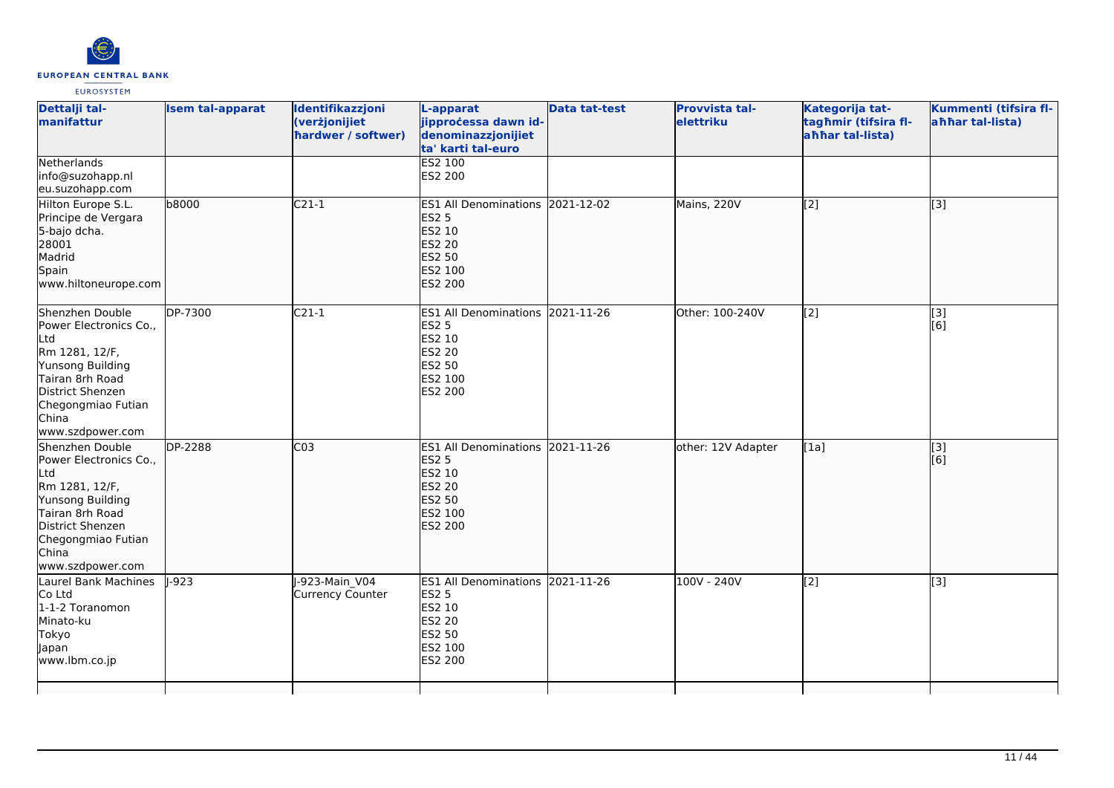

| Dettalji tal-<br>manifattur                                                                                                                                                      | <b>Isem tal-apparat</b> | Identifikazzjoni<br>(verżjonijiet<br>hardwer / softwer) | L-apparat<br>jipprocessa dawn id-<br>denominazzjonijiet<br>ta' karti tal-euro                                             | <b>Data tat-test</b> | Provvista tal-<br>elettriku | Kategorija tat-<br>tagħmir (tifsira fl-<br>ahhar tal-lista) | Kummenti (tifsira fl-<br>ahhar tal-lista) |
|----------------------------------------------------------------------------------------------------------------------------------------------------------------------------------|-------------------------|---------------------------------------------------------|---------------------------------------------------------------------------------------------------------------------------|----------------------|-----------------------------|-------------------------------------------------------------|-------------------------------------------|
| Netherlands<br>info@suzohapp.nl<br>eu.suzohapp.com                                                                                                                               |                         |                                                         | <b>ES2 100</b><br>ES2 200                                                                                                 |                      |                             |                                                             |                                           |
| Hilton Europe S.L.<br>Principe de Vergara<br>5-bajo dcha.<br>28001<br>Madrid<br>Spain<br>www.hiltoneurope.com                                                                    | b8000                   | $C21-1$                                                 | ES1 All Denominations 2021-12-02<br><b>ES2 5</b><br>ES2 10<br><b>ES2 20</b><br><b>ES2 50</b><br>ES2 100<br><b>ES2 200</b> |                      | Mains, 220V                 | $\overline{[2]}$                                            | $\overline{[}3]$                          |
| Shenzhen Double<br>Power Electronics Co.,<br>Ltd<br>Rm 1281, 12/F,<br>Yunsong Building<br>Tairan 8rh Road<br>District Shenzen<br>Chegongmiao Futian<br>China<br>www.szdpower.com | DP-7300                 | $C21-1$                                                 | ES1 All Denominations 2021-11-26<br><b>ES2 5</b><br>ES2 10<br><b>ES2 20</b><br>ES2 50<br>ES2 100<br><b>ES2 200</b>        |                      | Other: 100-240V             | [2]                                                         | [3]<br>[6]                                |
| Shenzhen Double<br>Power Electronics Co.,<br>Ltd<br>Rm 1281, 12/F,<br>Yunsong Building<br>Tairan 8rh Road<br>District Shenzen<br>Chegongmiao Futian<br>China<br>www.szdpower.com | DP-2288                 | CO <sub>3</sub>                                         | ES1 All Denominations 2021-11-26<br><b>ES2 5</b><br>ES2 10<br><b>ES2 20</b><br><b>ES2 50</b><br>ES2 100<br><b>ES2 200</b> |                      | other: 12V Adapter          | [1a]                                                        | [3]<br>[6]                                |
| Laurel Bank Machines<br>Co Ltd<br>1-1-2 Toranomon<br>Minato-ku<br>Tokyo<br>Japan<br>www.lbm.co.jp                                                                                | $1-923$                 | J-923-Main V04<br><b>Currency Counter</b>               | ES1 All Denominations 2021-11-26<br><b>ES2 5</b><br><b>ES2 10</b><br><b>ES2 20</b><br><b>ES2 50</b><br>ES2 100<br>ES2 200 |                      | 100V - 240V                 | $\overline{[2]}$                                            | $\overline{[3]}$                          |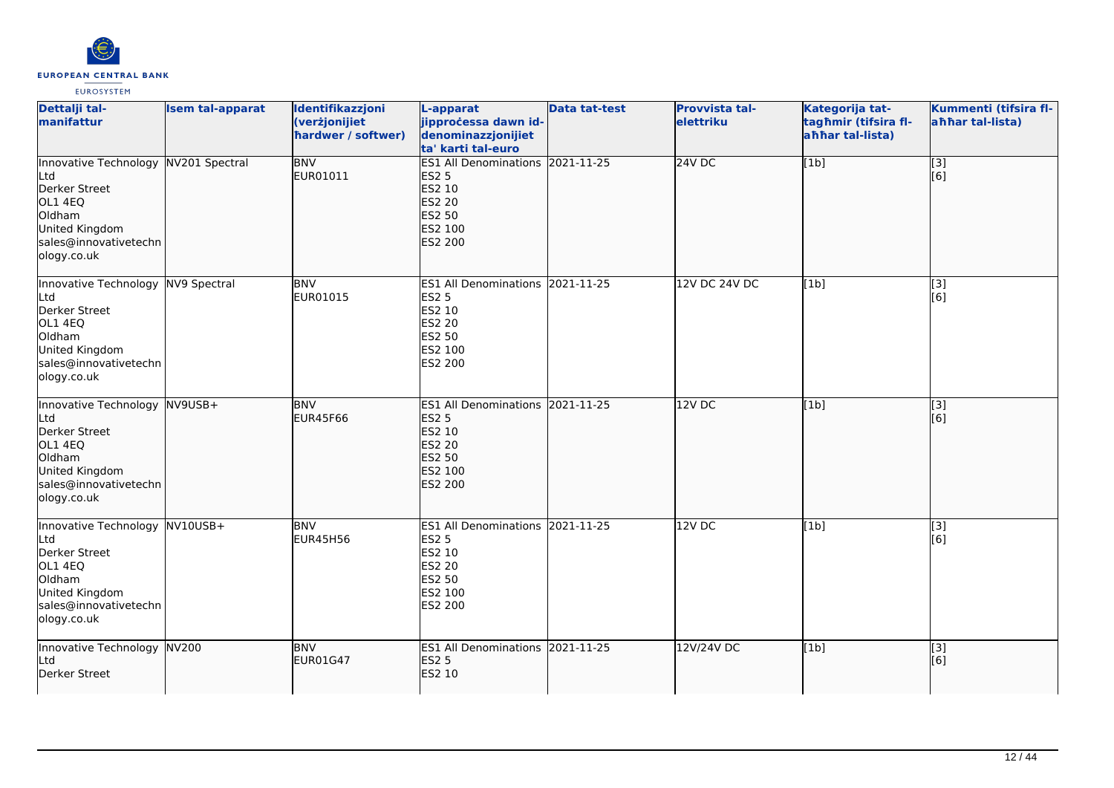

| Dettalji tal-<br>manifattur                                                                                                                 | <b>Isem tal-apparat</b> | Identifikazzjoni<br>(verżjonijiet<br>hardwer / softwer) | L-apparat<br>jipprocessa dawn id-<br>denominazzjonijiet<br>ta' karti tal-euro                                      | <b>Data tat-test</b> | <b>Provvista tal-</b><br>elettriku | Kategorija tat-<br>tagħmir (tifsira fl-<br>ahhar tal-lista) | Kummenti (tifsira fl-<br>ahhar tal-lista) |
|---------------------------------------------------------------------------------------------------------------------------------------------|-------------------------|---------------------------------------------------------|--------------------------------------------------------------------------------------------------------------------|----------------------|------------------------------------|-------------------------------------------------------------|-------------------------------------------|
| Innovative Technology NV201 Spectral<br>Ltd<br>Derker Street<br>OL1 4EQ<br>Oldham<br>United Kingdom<br>sales@innovativetechn<br>ology.co.uk |                         | <b>BNV</b><br>EUR01011                                  | ES1 All Denominations 2021-11-25<br><b>ES2 5</b><br>ES2 10<br><b>ES2 20</b><br>ES2 50<br>ES2 100<br>ES2 200        |                      | $24V$ DC                           | [1b]                                                        | $\overline{[}3]$<br>[6]                   |
| Innovative Technology NV9 Spectral<br>Ltd<br>Derker Street<br>OL1 4EQ<br>Oldham<br>United Kingdom<br>sales@innovativetechn<br>ology.co.uk   |                         | <b>BNV</b><br>EUR01015                                  | ES1 All Denominations 2021-11-25<br><b>ES2 5</b><br>ES2 10<br>ES2 20<br>ES2 50<br>ES2 100<br>ES2 200               |                      | 12V DC 24V DC                      | [1b]                                                        | $\overline{[3]}$<br>[6]                   |
| Innovative Technology NV9USB+<br>Ltd<br>Derker Street<br>OL1 4EQ<br>Oldham<br>United Kingdom<br>sales@innovativetechn<br>ology.co.uk        |                         | <b>BNV</b><br><b>EUR45F66</b>                           | ES1 All Denominations 2021-11-25<br><b>ES2 5</b><br>ES2 10<br><b>ES2 20</b><br><b>ES2 50</b><br>ES2 100<br>ES2 200 |                      | 12V DC                             | [1b]                                                        | [3]<br>[6]                                |
| Innovative Technology NV10USB+<br>Ltd<br>Derker Street<br>OL1 4EQ<br>Oldham<br>United Kingdom<br>sales@innovativetechn<br>ology.co.uk       |                         | <b>BNV</b><br><b>EUR45H56</b>                           | ES1 All Denominations 2021-11-25<br><b>ES2 5</b><br>ES2 10<br>ES2 20<br>ES2 50<br>ES2 100<br>ES2 200               |                      | $12V$ DC                           | [1b]                                                        | [3]<br>[6]                                |
| Innovative Technology NV200<br>Ltd<br>Derker Street                                                                                         |                         | <b>BNV</b><br><b>EUR01G47</b>                           | ES1 All Denominations 2021-11-25<br><b>ES2 5</b><br><b>ES2 10</b>                                                  |                      | 12V/24V DC                         | [1b]                                                        | $\overline{[}3]$<br>[6]                   |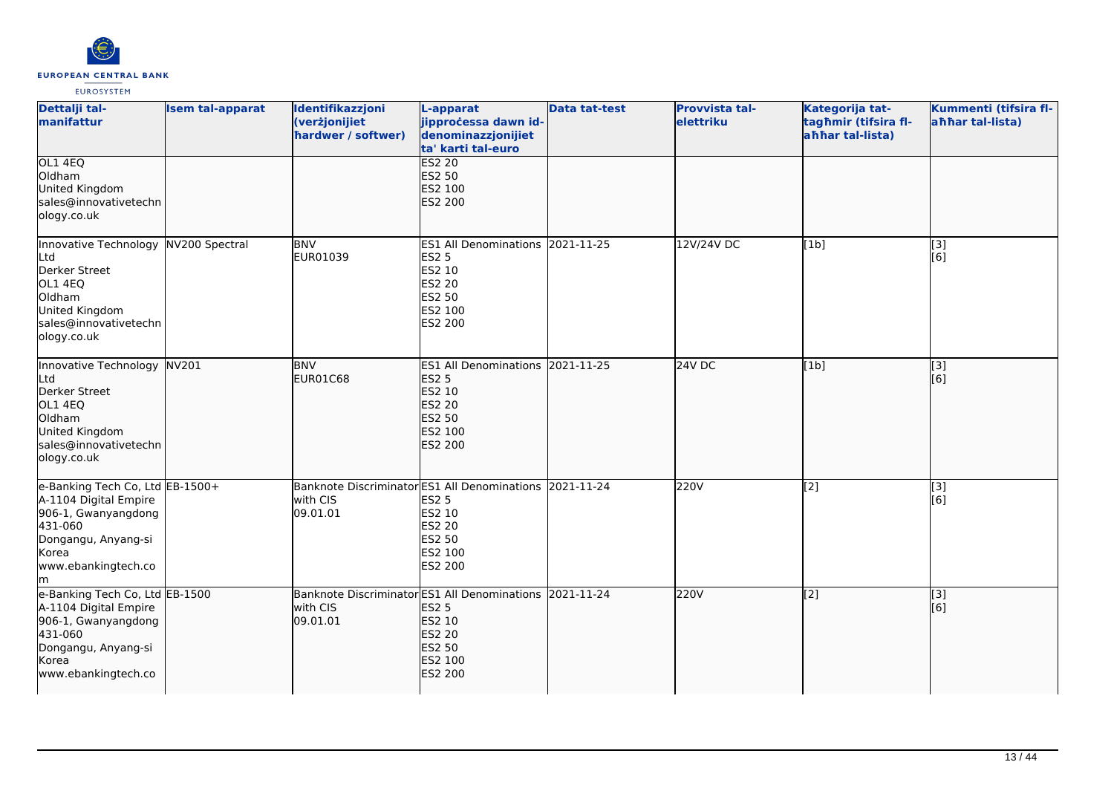

| Dettalji tal-<br>manifattur                                                                                                                             | <b>Isem tal-apparat</b> | Identifikazzjoni<br>(verżjonijiet<br>hardwer / softwer)              | L-apparat<br>jipprocessa dawn id-<br>denominazzjonijiet<br>ta' karti tal-euro                                         | <b>Data tat-test</b> | Provvista tal-<br>elettriku | Kategorija tat-<br>tagħmir (tifsira fl-<br>laħħar tal-lista) | Kummenti (tifsira fl-<br>ahhar tal-lista) |
|---------------------------------------------------------------------------------------------------------------------------------------------------------|-------------------------|----------------------------------------------------------------------|-----------------------------------------------------------------------------------------------------------------------|----------------------|-----------------------------|--------------------------------------------------------------|-------------------------------------------|
| OL1 4EQ<br>Oldham<br>United Kingdom<br>sales@innovativetechn<br>ology.co.uk                                                                             |                         |                                                                      | <b>ES2 20</b><br><b>ES2 50</b><br>ES2 100<br>ES2 200                                                                  |                      |                             |                                                              |                                           |
| Innovative Technology NV200 Spectral<br>Ltd<br>Derker Street<br>OL1 4EQ<br>Oldham<br>United Kingdom<br>sales@innovativetechn<br>ology.co.uk             |                         | <b>BNV</b><br>EUR01039                                               | ES1 All Denominations 2021-11-25<br>ES2 5<br>ES2 10<br>ES2 20<br><b>ES2 50</b><br>ES2 100<br>ES2 200                  |                      | 12V/24V DC                  | [1b]                                                         | $\overline{[3]}$<br>[6]                   |
| Innovative Technology NV201<br>Ltd<br>Derker Street<br>OL1 4EQ<br>Oldham<br>United Kingdom<br>sales@innovativetechn<br>ology.co.uk                      |                         | <b>BNV</b><br><b>EUR01C68</b>                                        | <b>ES1 All Denominations</b><br><b>ES2 5</b><br>ES2 10<br><b>ES2 20</b><br><b>ES2 50</b><br>ES2 100<br><b>ES2 200</b> | 2021-11-25           | 24V DC                      | [1b]                                                         | [3]<br>[6]                                |
| e-Banking Tech Co, Ltd EB-1500+<br>A-1104 Digital Empire<br>906-1, Gwanyangdong<br>431-060<br>Dongangu, Anyang-si<br>Korea<br>www.ebankingtech.co<br>lm |                         | Banknote Discriminator ES1 All Denominations<br>with CIS<br>09.01.01 | <b>ES2 5</b><br>ES2 10<br>ES2 20<br><b>ES2 50</b><br>ES2 100<br>ES2 200                                               | 2021-11-24           | 220V                        | $[2]$                                                        | $[3]$<br>[6]                              |
| e-Banking Tech Co, Ltd EB-1500<br>A-1104 Digital Empire<br>906-1, Gwanyangdong<br>431-060<br>Dongangu, Anyang-si<br>Korea<br>www.ebankingtech.co        |                         | Banknote Discriminator ES1 All Denominations<br>with CIS<br>09.01.01 | <b>ES2 5</b><br>ES2 10<br><b>ES2 20</b><br><b>ES2 50</b><br>ES2 100<br><b>ES2 200</b>                                 | 2021-11-24           | 220V                        | [2]                                                          | [3]<br>[6]                                |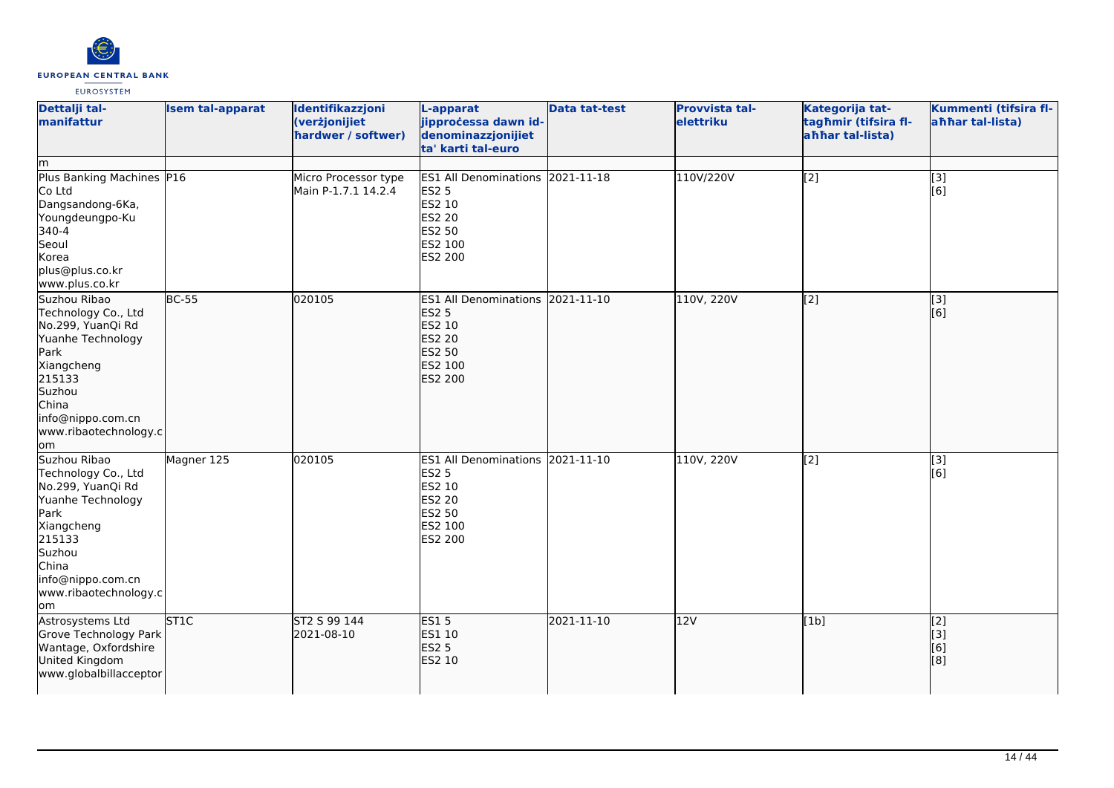

| Dettalji tal-<br>manifattur<br>lm                                                                                                                                                     | <b>Isem tal-apparat</b> | Identifikazzjoni<br>(verżjonijiet<br>hardwer / softwer) | L-apparat<br>jipprocessa dawn id-<br>denominazzjonijiet<br>ta' karti tal-euro                                             | <b>Data tat-test</b> | <b>Provvista tal-</b><br>elettriku | Kategorija tat-<br>tagħmir (tifsira fl-<br>ahhar tal-lista) | Kummenti (tifsira fl-<br>ahhar tal-lista) |
|---------------------------------------------------------------------------------------------------------------------------------------------------------------------------------------|-------------------------|---------------------------------------------------------|---------------------------------------------------------------------------------------------------------------------------|----------------------|------------------------------------|-------------------------------------------------------------|-------------------------------------------|
| Plus Banking Machines P16<br>Co Ltd<br>Dangsandong-6Ka,<br>Youngdeungpo-Ku<br>340-4<br>Seoul<br>Korea<br>plus@plus.co.kr<br>www.plus.co.kr                                            |                         | Micro Processor type<br>Main P-1.7.1 14.2.4             | <b>ES1 All Denominations</b><br><b>ES2 5</b><br>ES2 10<br>ES2 20<br>ES2 50<br>ES2 100<br>ES2 200                          | 2021-11-18           | 110V/220V                          | $\overline{[2]}$                                            | $\overline{[3]}$<br>[6]                   |
| Suzhou Ribao<br>Technology Co., Ltd<br>No.299, YuanQi Rd<br>Yuanhe Technology<br>Park<br>Xiangcheng<br>215133<br>Suzhou<br>China<br>info@nippo.com.cn<br>www.ribaotechnology.c<br>lom | $BC-55$                 | 020105                                                  | ES1 All Denominations 2021-11-10<br><b>ES2 5</b><br><b>ES2 10</b><br><b>ES2 20</b><br>ES2 50<br>ES2 100<br><b>ES2 200</b> |                      | 110V, 220V                         | $\overline{[2]}$                                            | $\overline{[}3]$<br>[6]                   |
| Suzhou Ribao<br>Technology Co., Ltd<br>No.299, YuanQi Rd<br>Yuanhe Technology<br>Park<br>Xiangcheng<br>215133<br>Suzhou<br>China<br>info@nippo.com.cn<br>www.ribaotechnology.c<br>lom | Magner 125              | 020105                                                  | <b>ES1 All Denominations</b><br><b>ES2 5</b><br>ES2 10<br>ES2 20<br>ES2 50<br>ES2 100<br>ES2 200                          | 2021-11-10           | 110V, 220V                         | $\overline{[2]}$                                            | [3]<br>[6]                                |
| Astrosystems Ltd<br>Grove Technology Park<br>Wantage, Oxfordshire<br>United Kingdom<br>www.globalbillacceptor                                                                         | ST <sub>1C</sub>        | ST2 S 99 144<br>2021-08-10                              | <b>ES15</b><br>ES1 10<br><b>ES2 5</b><br>ES2 10                                                                           | 2021-11-10           | 12V                                | [1b]                                                        | $\overline{[2]}$<br>[[3]<br>[6]<br>[8]    |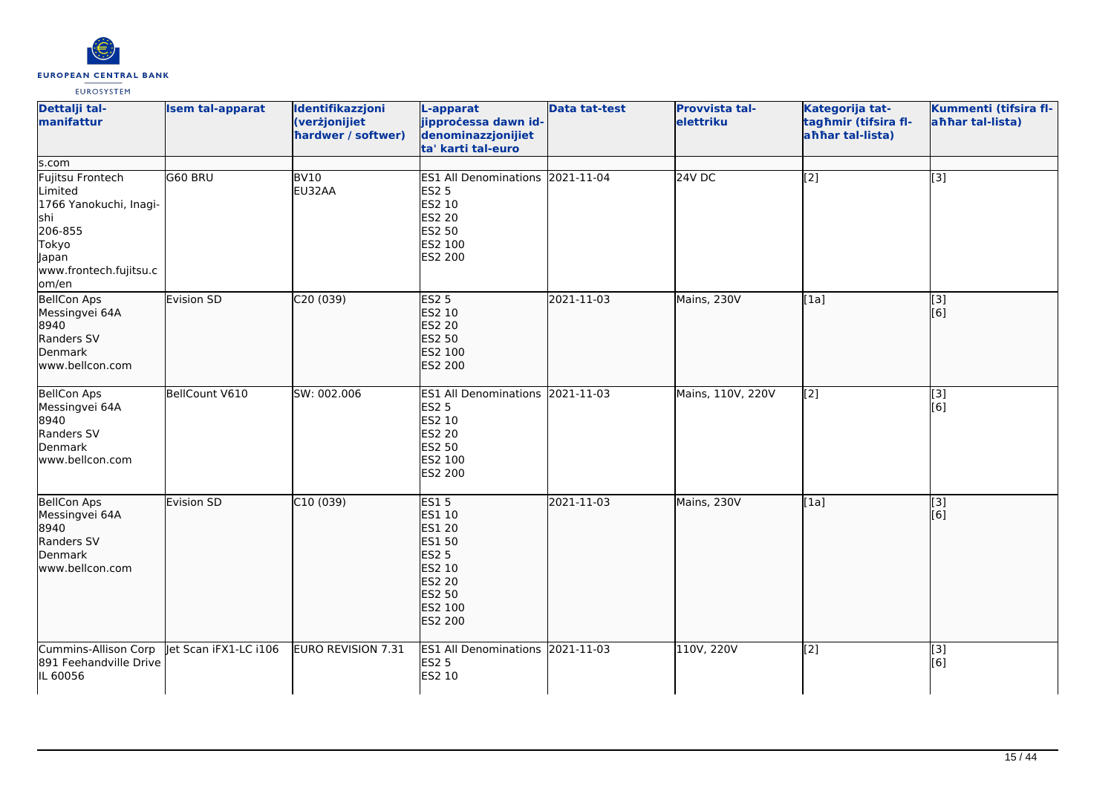

| Dettalji tal-<br>manifattur                                                                                                  | <b>Isem tal-apparat</b> | Identifikazzjoni<br>(verżjonijiet<br>hardwer / softwer) | L-apparat<br>jipprocessa dawn id-<br>denominazzjonijiet<br>ta' karti tal-euro                                                             | <b>Data tat-test</b> | <b>Provvista tal-</b><br><b>lelettriku</b> | Kategorija tat-<br>tagħmir (tifsira fl-<br>ahhar tal-lista) | Kummenti (tifsira fl-<br>ahhar tal-lista) |
|------------------------------------------------------------------------------------------------------------------------------|-------------------------|---------------------------------------------------------|-------------------------------------------------------------------------------------------------------------------------------------------|----------------------|--------------------------------------------|-------------------------------------------------------------|-------------------------------------------|
| s.com                                                                                                                        |                         |                                                         |                                                                                                                                           |                      |                                            |                                                             |                                           |
| Fujitsu Frontech<br>Limited<br>1766 Yanokuchi, Inagi-<br>shi<br>206-855<br>Tokyo<br>Japan<br>www.frontech.fujitsu.c<br>om/en | G60 BRU                 | <b>BV10</b><br>EU32AA                                   | ES1 All Denominations 2021-11-04<br><b>ES2 5</b><br>ES2 10<br>ES2 20<br>ES2 50<br>ES2 100<br>ES2 200                                      |                      | 24V DC                                     | $[2]$                                                       | $[3]$                                     |
| <b>BellCon Aps</b><br>Messingvei 64A<br>8940<br>Randers SV<br>Denmark<br>www.bellcon.com                                     | <b>Evision SD</b>       | C20 (039)                                               | <b>ES2 5</b><br>ES2 10<br><b>ES2 20</b><br>ES2 50<br>ES2 100<br>ES2 200                                                                   | 2021-11-03           | Mains, 230V                                | [1a]                                                        | $\overline{[3]}$<br>[6]                   |
| <b>BellCon Aps</b><br>Messingvei 64A<br>8940<br>Randers SV<br>Denmark<br>www.bellcon.com                                     | BellCount V610          | SW: 002.006                                             | ES1 All Denominations 2021-11-03<br><b>ES2 5</b><br>ES2 10<br>ES2 20<br>ES2 50<br>ES2 100<br>ES2 200                                      |                      | Mains, 110V, 220V                          | [2]                                                         | $\overline{[3]}$<br>[6]                   |
| <b>BellCon Aps</b><br>Messingvei 64A<br>8940<br>Randers SV<br>Denmark<br>www.bellcon.com                                     | Evision SD              | C10(039)                                                | <b>ES15</b><br>ES1 10<br><b>ES1 20</b><br><b>ES1 50</b><br><b>ES2 5</b><br>ES2 10<br><b>ES2 20</b><br><b>ES2 50</b><br>ES2 100<br>ES2 200 | 2021-11-03           | Mains, 230V                                | [1a]                                                        | [3]<br>[6]                                |
| Cummins-Allison Corp<br>891 Feehandville Drive<br>IL 60056                                                                   | Jet Scan iFX1-LC i106   | EURO REVISION 7.31                                      | <b>ES1 All Denominations</b><br><b>ES2 5</b><br>ES2 10                                                                                    | 2021-11-03           | 110V, 220V                                 | [2]                                                         | [3]<br>[6]                                |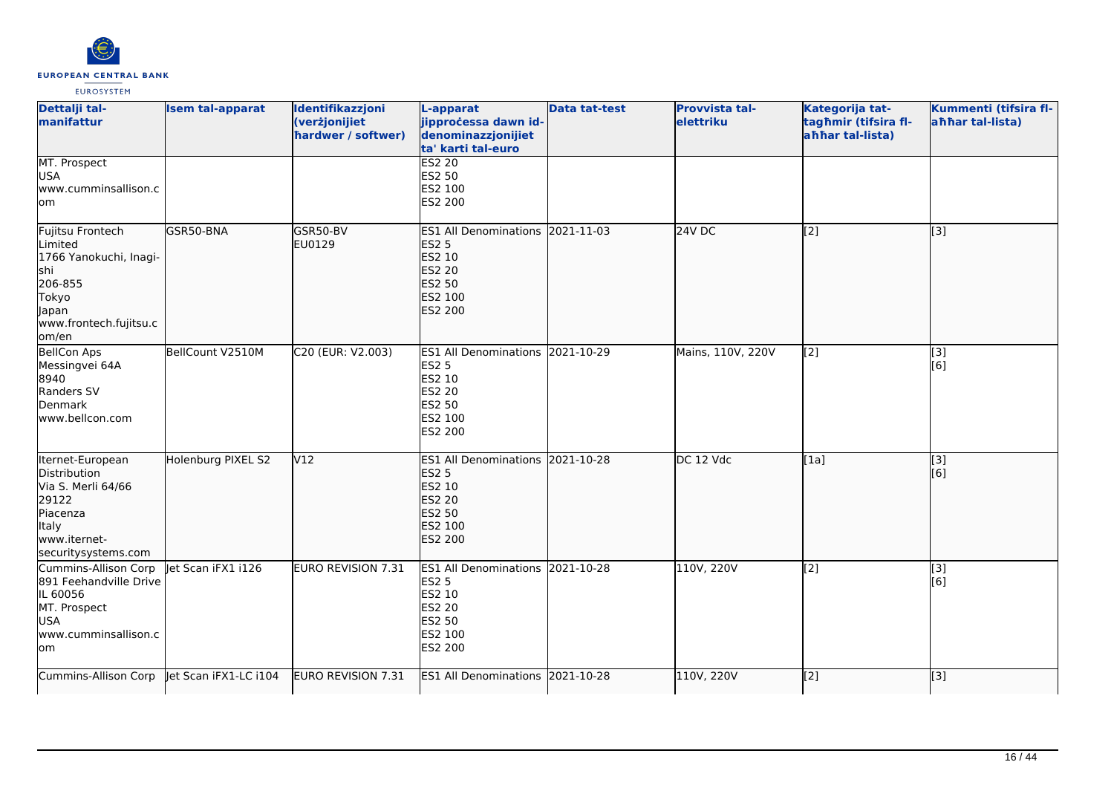

| Dettalji tal-<br>manifattur                                                                                                                | <b>Isem tal-apparat</b> | Identifikazzjoni<br>(verżjonijiet<br>hardwer / softwer) | L-apparat<br>jipprocessa dawn id-<br>denominazzjonijiet<br>ta' karti tal-euro                                      | <b>Data tat-test</b> | <b>Provvista tal-</b><br>elettriku | Kategorija tat-<br>tagħmir (tifsira fl-<br>ahhar tal-lista) | Kummenti (tifsira fl-<br>ahhar tal-lista) |
|--------------------------------------------------------------------------------------------------------------------------------------------|-------------------------|---------------------------------------------------------|--------------------------------------------------------------------------------------------------------------------|----------------------|------------------------------------|-------------------------------------------------------------|-------------------------------------------|
| MT. Prospect<br><b>USA</b><br>www.cumminsallison.c<br>lom                                                                                  |                         |                                                         | <b>ES2 20</b><br>ES2 50<br>ES2 100<br>ES2 200                                                                      |                      |                                    |                                                             |                                           |
| Fujitsu Frontech<br>Limited<br>1766 Yanokuchi, Inagi-<br><b>shi</b><br>206-855<br><b>Tokyo</b><br>Japan<br>www.frontech.fujitsu.c<br>om/en | GSR50-BNA               | GSR50-BV<br>EU0129                                      | ES1 All Denominations 2021-11-03<br><b>ES2 5</b><br>ES2 10<br><b>ES2 20</b><br><b>ES2 50</b><br>ES2 100<br>ES2 200 |                      | 24V DC                             | $\left[$ [2]                                                | [[3]                                      |
| <b>BellCon Aps</b><br>Messingvei 64A<br>8940<br>Randers SV<br>Denmark<br>www.bellcon.com                                                   | BellCount V2510M        | C20 (EUR: V2.003)                                       | ES1 All Denominations 2021-10-29<br><b>ES2 5</b><br>ES2 10<br>ES2 20<br>ES2 50<br>ES2 100<br>ES2 200               |                      | Mains, 110V, 220V                  | [2]                                                         | [3]<br>[6]                                |
| Iternet-European<br>Distribution<br>Via S. Merli 64/66<br>29122<br>Piacenza<br>Italy<br>www.iternet-<br>securitysystems.com                | Holenburg PIXEL S2      | V <sub>12</sub>                                         | ES1 All Denominations 2021-10-28<br><b>ES2 5</b><br>ES2 10<br><b>ES2 20</b><br>ES2 50<br>ES2 100<br>ES2 200        |                      | DC 12 Vdc                          | [1a]                                                        | [3]<br>[[6]                               |
| Cummins-Allison Corp<br>891 Feehandville Drive<br>IL 60056<br>MT. Prospect<br><b>USA</b><br>www.cumminsallison.c<br>lom                    | let Scan iFX1 i126      | <b>EURO REVISION 7.31</b>                               | ES1 All Denominations 2021-10-28<br><b>ES2 5</b><br>ES2 10<br><b>ES2 20</b><br>ES2 50<br>ES2 100<br>ES2 200        |                      | 110V, 220V                         | $\overline{[2]}$                                            | [3]<br>[6]                                |
| Cummins-Allison Corp                                                                                                                       | let Scan iFX1-LC i104   | EURO REVISION 7.31                                      | ES1 All Denominations 2021-10-28                                                                                   |                      | 110V, 220V                         | $\sqrt{2}$                                                  | [3]                                       |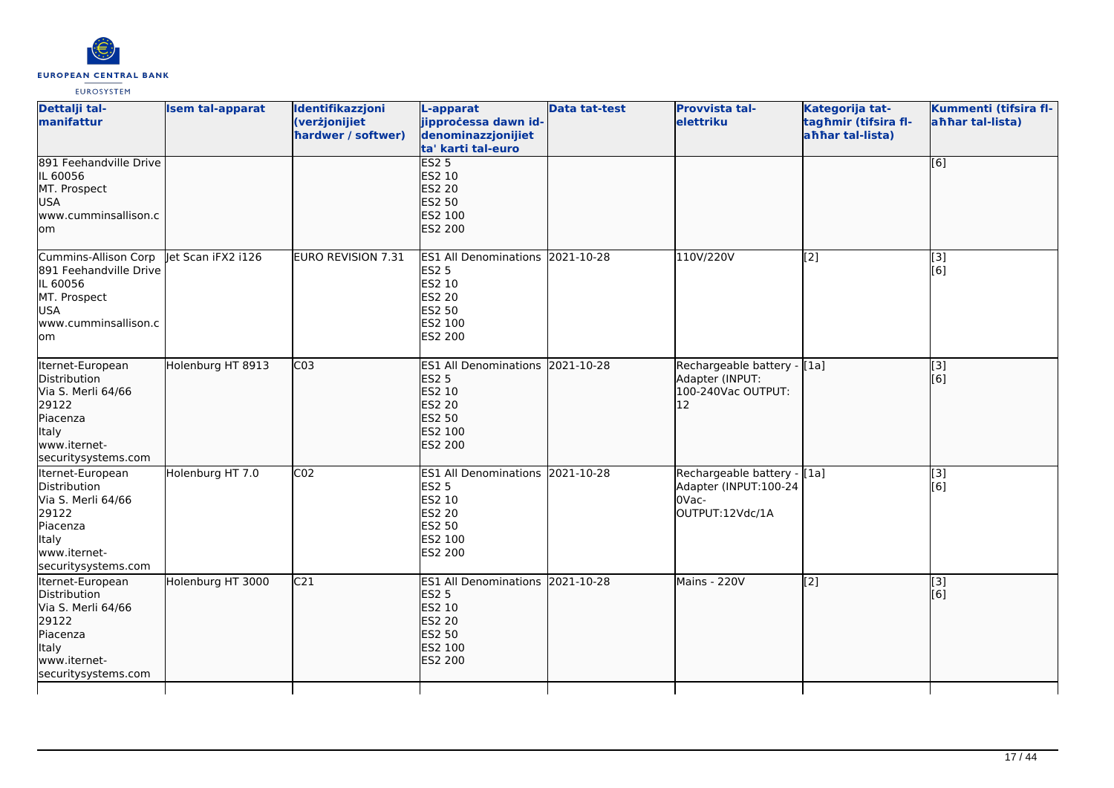

| Dettalji tal-<br>manifattur<br>891 Feehandville Drive<br>IL 60056<br>MT. Prospect                                           | <b>Isem tal-apparat</b> | Identifikazzjoni<br>(verżjonijiet<br>hardwer / softwer) | L-apparat<br>jipprocessa dawn id-<br>denominazzjonijiet<br>ta' karti tal-euro<br>ES2 <sub>5</sub><br>ES2 10<br><b>ES2 20</b>     | <b>Data tat-test</b> | <b>Provvista tal-</b><br>elettriku                                                | Kategorija tat-<br>tagħmir (tifsira fl-<br>ahhar tal-lista) | Kummenti (tifsira fl-<br>ahhar tal-lista)<br>[6] |
|-----------------------------------------------------------------------------------------------------------------------------|-------------------------|---------------------------------------------------------|----------------------------------------------------------------------------------------------------------------------------------|----------------------|-----------------------------------------------------------------------------------|-------------------------------------------------------------|--------------------------------------------------|
| <b>USA</b><br>www.cumminsallison.c<br>lom                                                                                   |                         |                                                         | <b>ES2 50</b><br>ES2 100<br><b>ES2 200</b>                                                                                       |                      |                                                                                   |                                                             |                                                  |
| Cummins-Allison Corp<br>891 Feehandville Drive<br>IL 60056<br>MT. Prospect<br><b>USA</b><br>www.cumminsallison.c<br>lom     | let Scan iFX2 i126      | EURO REVISION 7.31                                      | ES1 All Denominations 2021-10-28<br><b>ES2 5</b><br><b>ES2 10</b><br><b>ES2 20</b><br><b>ES2 50</b><br>ES2 100<br>ES2 200        |                      | 110V/220V                                                                         | [2]                                                         | [3]<br>[6]                                       |
| Iternet-European<br>Distribution<br>Via S. Merli 64/66<br>29122<br>Piacenza<br>Italy<br>www.iternet-<br>securitysystems.com | Holenburg HT 8913       | CO <sub>3</sub>                                         | ES1 All Denominations 2021-10-28<br><b>ES2 5</b><br>ES2 10<br><b>ES2 20</b><br><b>ES2 50</b><br>ES2 100<br><b>ES2 200</b>        |                      | Rechargeable battery - [[1a]<br>Adapter (INPUT:<br>100-240Vac OUTPUT:<br>12       |                                                             | [[3]<br>[[6]                                     |
| Iternet-European<br>Distribution<br>Via S. Merli 64/66<br>29122<br>Piacenza<br>Italy<br>www.iternet-<br>securitysystems.com | Holenburg HT 7.0        | CO <sub>2</sub>                                         | ES1 All Denominations 2021-10-28<br><b>ES2 5</b><br><b>ES2 10</b><br><b>ES2 20</b><br><b>ES2 50</b><br>ES2 100<br><b>ES2 200</b> |                      | Rechargeable battery - [[1a]<br>Adapter (INPUT:100-24<br>OVac-<br>OUTPUT:12Vdc/1A |                                                             | $\overline{[3]}$<br>[6]                          |
| Iternet-European<br>Distribution<br>Via S. Merli 64/66<br>29122<br>Piacenza<br>Italy<br>www.iternet-<br>securitysystems.com | Holenburg HT 3000       | C <sub>21</sub>                                         | ES1 All Denominations 2021-10-28<br><b>ES2 5</b><br>ES2 10<br><b>ES2 20</b><br><b>ES2 50</b><br>ES2 100<br><b>ES2 200</b>        |                      | Mains - 220V                                                                      | $\overline{[2]}$                                            | $\overline{[}3]$<br>[6]                          |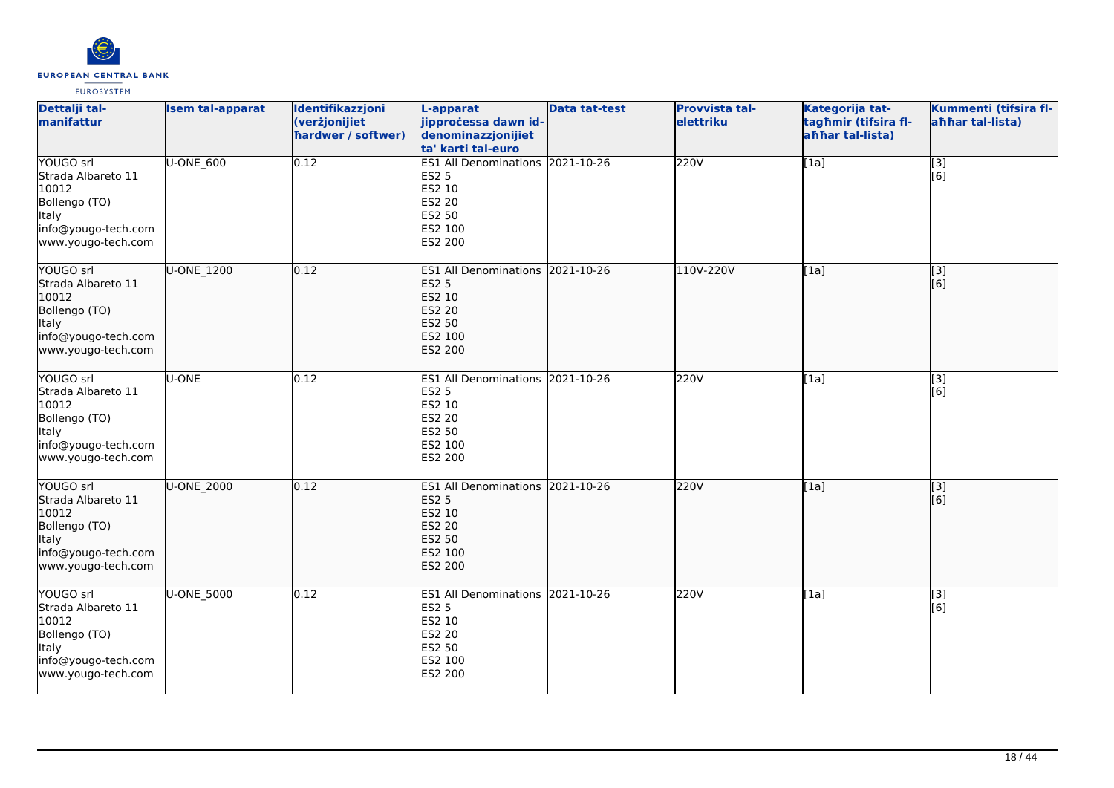

| Dettalji tal-<br>manifattur                                                                                             | <b>Isem tal-apparat</b> | Identifikazzjoni<br>(verżjonijiet<br>hardwer / softwer) | L-apparat<br>jipprocessa dawn id-<br>denominazzjonijiet<br>ta' karti tal-euro                                                    | <b>Data tat-test</b> | Provvista tal-<br>elettriku | Kategorija tat-<br>tagħmir (tifsira fl-<br>ahhar tal-lista) | Kummenti (tifsira fl-<br>ahhar tal-lista) |
|-------------------------------------------------------------------------------------------------------------------------|-------------------------|---------------------------------------------------------|----------------------------------------------------------------------------------------------------------------------------------|----------------------|-----------------------------|-------------------------------------------------------------|-------------------------------------------|
| YOUGO srl<br>Strada Albareto 11<br>10012<br>Bollengo (TO)<br><b>Italy</b><br>info@yougo-tech.com<br>www.yougo-tech.com  | U-ONE_600               | 0.12                                                    | ES1 All Denominations 2021-10-26<br><b>ES2 5</b><br>ES2 10<br>ES2 20<br>ES2 50<br>ES2 100<br><b>ES2 200</b>                      |                      | 220V                        | [1a]                                                        | $\overline{[3]}$<br>[6]                   |
| lYOUGO srl<br>Strada Albareto 11<br>10012<br>Bollengo (TO)<br><b>Italy</b><br>info@yougo-tech.com<br>www.yougo-tech.com | U-ONE 1200              | 0.12                                                    | ES1 All Denominations 2021-10-26<br><b>ES2 5</b><br><b>ES2 10</b><br><b>ES2 20</b><br><b>ES2 50</b><br>ES2 100<br><b>ES2 200</b> |                      | 110V-220V                   | [1a]                                                        | [3]<br>[6]                                |
| YOUGO srl<br>Strada Albareto 11<br>10012<br>Bollengo (TO)<br>Italy<br>info@yougo-tech.com<br>www.yougo-tech.com         | U-ONE                   | 0.12                                                    | ES1 All Denominations 2021-10-26<br><b>ES2 5</b><br>ES2 10<br><b>ES2 20</b><br>ES2 50<br>ES2 100<br><b>ES2 200</b>               |                      | 220V                        | [1a]                                                        | $\overline{[3]}$<br>[6]                   |
| YOUGO srl<br>Strada Albareto 11<br>10012<br>Bollengo (TO)<br>Italy<br>info@yougo-tech.com<br>www.yougo-tech.com         | U-ONE_2000              | 0.12                                                    | ES1 All Denominations 2021-10-26<br><b>ES2 5</b><br><b>ES2 10</b><br><b>ES2 20</b><br><b>ES2 50</b><br>ES2 100<br>ES2 200        |                      | 220V                        | [1a]                                                        | [3]<br>[6]                                |
| YOUGO srl<br>Strada Albareto 11<br>10012<br>Bollengo (TO)<br><b>Italy</b><br>info@yougo-tech.com<br>www.yougo-tech.com  | U-ONE_5000              | 0.12                                                    | ES1 All Denominations 2021-10-26<br><b>ES2 5</b><br>ES2 10<br><b>ES2 20</b><br><b>ES2 50</b><br>ES2 100<br>ES2 200               |                      | 220V                        | [1a]                                                        | [3]<br>[6]                                |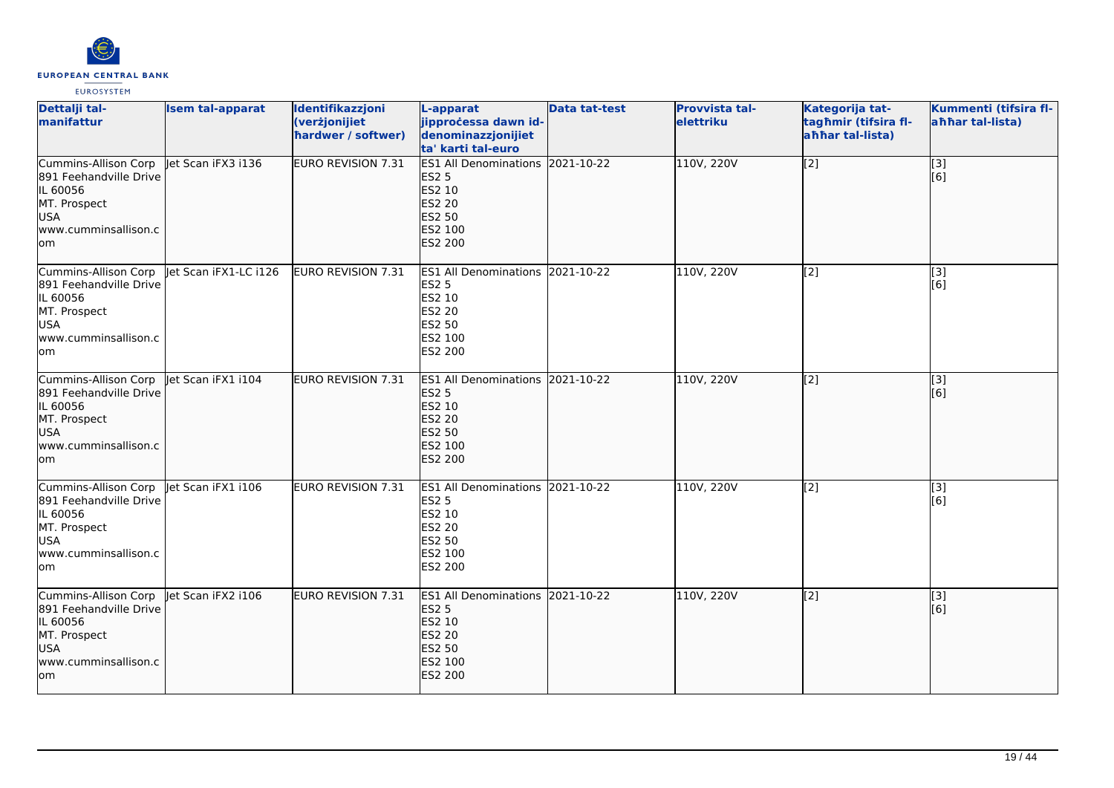

| Dettalji tal-<br>manifattur                                                                                                                  | <b>Isem tal-apparat</b> | Identifikazzjoni<br>(verżjonijiet<br>hardwer / softwer) | L-apparat<br>jipprocessa dawn id-<br>denominazzjonijiet<br>ta' karti tal-euro                                      | <b>Data tat-test</b> | Provvista tal-<br>elettriku | Kategorija tat-<br>tagħmir (tifsira fl-<br>aħħar tal-lista) | Kummenti (tifsira fl-<br>ahhar tal-lista) |
|----------------------------------------------------------------------------------------------------------------------------------------------|-------------------------|---------------------------------------------------------|--------------------------------------------------------------------------------------------------------------------|----------------------|-----------------------------|-------------------------------------------------------------|-------------------------------------------|
| Cummins-Allison Corp   et Scan iFX3 i136<br>891 Feehandville Drive<br>IL 60056<br>MT. Prospect<br><b>USA</b><br>www.cumminsallison.c<br>lom. |                         | <b>EURO REVISION 7.31</b>                               | ES1 All Denominations 2021-10-22<br><b>ES2 5</b><br>ES2 10<br><b>ES2 20</b><br>ES2 50<br>ES2 100<br><b>ES2 200</b> |                      | 110V, 220V                  | $\overline{[2]}$                                            | [3]<br>[6]                                |
| Cummins-Allison Corp<br>891 Feehandville Drive<br>IL 60056<br>MT. Prospect<br><b>USA</b><br>www.cumminsallison.c<br>lom                      | let Scan iFX1-LC i126   | EURO REVISION 7.31                                      | <b>ES1 All Denominations</b><br><b>ES2 5</b><br>ES2 10<br><b>ES2 20</b><br>ES2 50<br>ES2 100<br>ES2 200            | 2021-10-22           | 110V, 220V                  | [2]                                                         | [3]<br>[6]                                |
| Cummins-Allison Corp<br>891 Feehandville Drive<br>IL 60056<br>MT. Prospect<br>USA<br>www.cumminsallison.c<br>lom                             | Jet Scan iFX1 i104      | <b>EURO REVISION 7.31</b>                               | <b>ES1 All Denominations</b><br><b>ES2 5</b><br>ES2 10<br><b>ES2 20</b><br><b>ES2 50</b><br>ES2 100<br>ES2 200     | 2021-10-22           | 110V, 220V                  | [2]                                                         | [[3]<br>[6]                               |
| Cummins-Allison Corp<br>891 Feehandville Drive<br>IL 60056<br>MT. Prospect<br><b>USA</b><br>www.cumminsallison.c<br>lom                      | Jet Scan iFX1 i106      | <b>EURO REVISION 7.31</b>                               | ES1 All Denominations 2021-10-22<br><b>ES2 5</b><br>ES2 10<br><b>ES2 20</b><br>ES2 50<br>ES2 100<br>ES2 200        |                      | 110V, 220V                  | [2]                                                         | [3]<br>[6]                                |
| Cummins-Allison Corp<br>891 Feehandville Drive<br>IL 60056<br>MT. Prospect<br>USA<br>www.cumminsallison.c<br>lom                             | let Scan iFX2 i106      | <b>EURO REVISION 7.31</b>                               | <b>ES1 All Denominations</b><br><b>ES2 5</b><br>ES2 10<br><b>ES2 20</b><br>ES2 50<br>ES2 100<br><b>ES2 200</b>     | 2021-10-22           | 110V, 220V                  | $\left[2\right]$                                            | $\overline{[}3]$<br>[6]                   |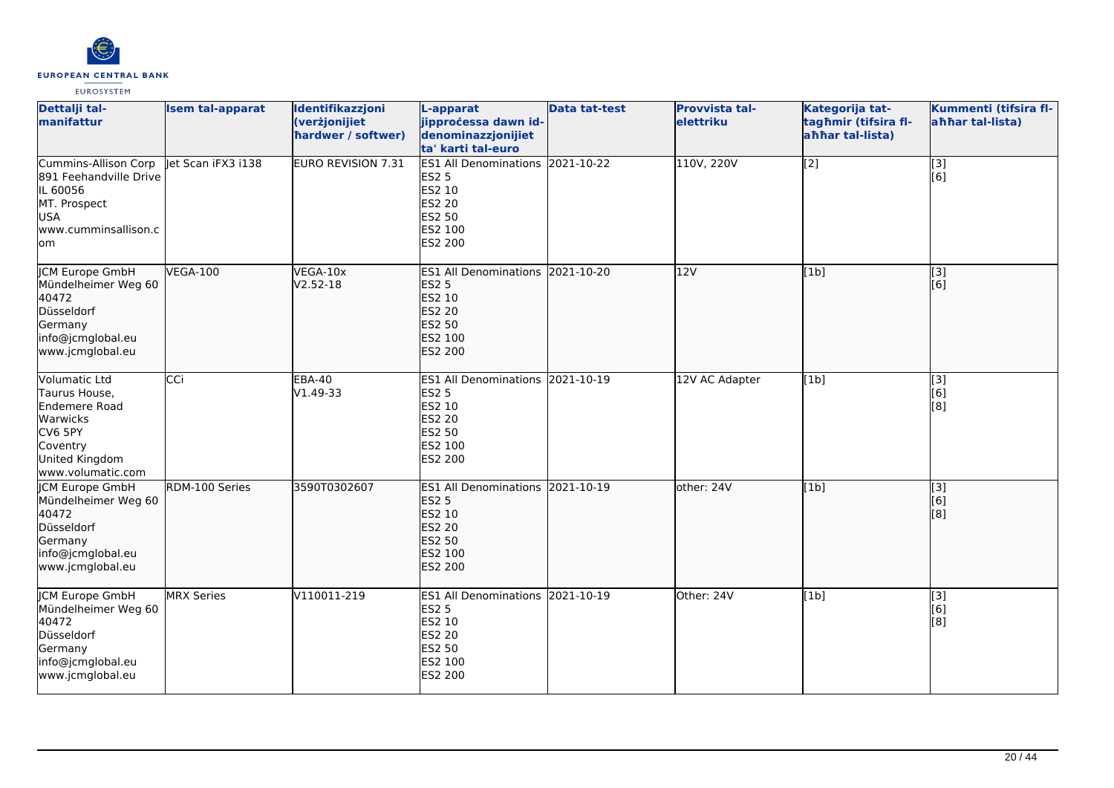

| Dettalji tal-<br>manifattur                                                                                                      | <b>Isem tal-apparat</b> | Identifikazzjoni<br>(verżjonijiet<br>hardwer / softwer) | L-apparat<br>jipprocessa dawn id-<br>denominazzjonijiet<br>ta' karti tal-euro                                         | <b>Data tat-test</b> | Provvista tal-<br>elettriku | Kategorija tat-<br>tagħmir (tifsira fl-<br>ahhar tal-lista) | Kummenti (tifsira fl-<br>ahhar tal-lista) |
|----------------------------------------------------------------------------------------------------------------------------------|-------------------------|---------------------------------------------------------|-----------------------------------------------------------------------------------------------------------------------|----------------------|-----------------------------|-------------------------------------------------------------|-------------------------------------------|
| Cummins-Allison Corp<br>891 Feehandville Drive<br>IL 60056<br>MT. Prospect<br><b>USA</b><br>www.cumminsallison.c<br>lom          | let Scan iFX3 i138      | <b>EURO REVISION 7.31</b>                               | ES1 All Denominations 2021-10-22<br><b>ES2 5</b><br>ES2 10<br><b>ES2 20</b><br>ES2 50<br>ES2 100<br>ES2 200           |                      | 110V, 220V                  | [2]                                                         | [3]<br>[6]                                |
| <b>ICM Europe GmbH</b><br>Mündelheimer Weg 60<br>40472<br>Düsseldorf<br>Germany<br>info@jcmglobal.eu<br>www.jcmglobal.eu         | <b>VEGA-100</b>         | VEGA-10x<br>$V2.52 - 18$                                | <b>ES1 All Denominations</b><br><b>ES2 5</b><br>ES2 10<br><b>ES2 20</b><br><b>ES2 50</b><br>ES2 100<br><b>ES2 200</b> | 2021-10-20           | 12V                         | [1b]                                                        | [3]<br>[6]                                |
| <b>Volumatic Ltd</b><br>Taurus House,<br>Endemere Road<br>Warwicks<br>CV6 5PY<br>Coventry<br>United Kingdom<br>www.volumatic.com | CCI                     | <b>EBA-40</b><br>V1.49-33                               | <b>ES1 All Denominations</b><br><b>ES2 5</b><br>ES2 10<br><b>ES2 20</b><br>ES2 50<br>ES2 100<br>ES2 200               | 2021-10-19           | 12V AC Adapter              | [1b]                                                        | $\overline{[3]}$<br>[6]<br>[8]            |
| JCM Europe GmbH<br>Mündelheimer Weg 60<br>40472<br>Düsseldorf<br>Germany<br>info@jcmglobal.eu<br>www.jcmglobal.eu                | RDM-100 Series          | 3590T0302607                                            | ES1 All Denominations 2021-10-19<br><b>ES2 5</b><br>ES2 10<br><b>ES2 20</b><br><b>ES2 50</b><br>ES2 100<br>ES2 200    |                      | other: 24V                  | [1b]                                                        | $\overline{[}3]$<br>[6]<br>[8]            |
| <b>JCM Europe GmbH</b><br>Mündelheimer Weg 60<br>40472<br>Düsseldorf<br>Germany<br>info@jcmglobal.eu<br>www.jcmglobal.eu         | MRX Series              | V110011-219                                             | <b>ES1 All Denominations</b><br><b>ES2 5</b><br>ES2 10<br>ES2 20<br>ES2 50<br>ES2 100<br>ES2 200                      | 2021-10-19           | Other: 24V                  | [1b]                                                        | [3]<br>[6]<br>[8]                         |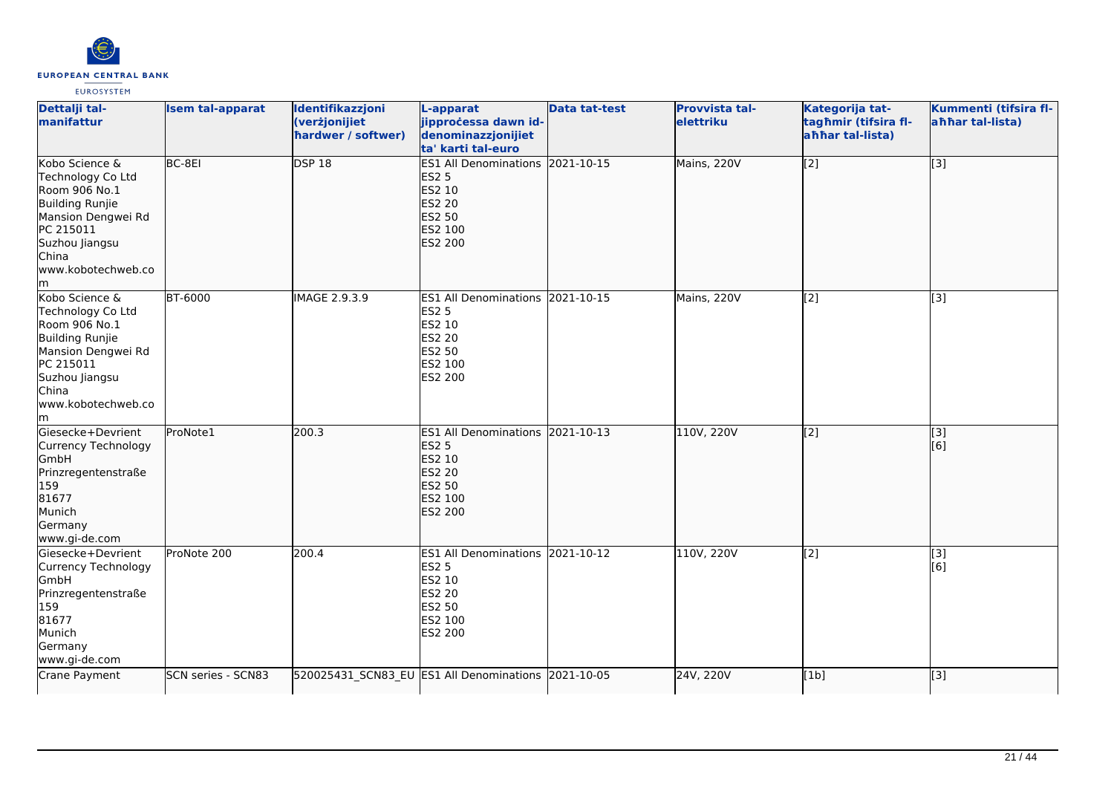

| Dettalji tal-<br>manifattur                                                                                                                                               | <b>Isem tal-apparat</b> | Identifikazzjoni<br>(verżjonijiet<br>hardwer / softwer) | L-apparat<br>jipprocessa dawn id-<br>denominazzjonijiet<br>ta' karti tal-euro                                      | <b>Data tat-test</b> | Provvista tal-<br>elettriku | Kategorija tat-<br>tagħmir (tifsira fl-<br>ahhar tal-lista) | Kummenti (tifsira fl-<br>ahhar tal-lista) |
|---------------------------------------------------------------------------------------------------------------------------------------------------------------------------|-------------------------|---------------------------------------------------------|--------------------------------------------------------------------------------------------------------------------|----------------------|-----------------------------|-------------------------------------------------------------|-------------------------------------------|
| Kobo Science &<br>Technology Co Ltd<br>Room 906 No.1<br><b>Building Runjie</b><br>Mansion Dengwei Rd<br>PC 215011<br>Suzhou Jiangsu<br>China<br>www.kobotechweb.co<br>lm. | BC-8EI                  | <b>DSP 18</b>                                           | ES1 All Denominations 2021-10-15<br><b>ES2 5</b><br>ES2 10<br><b>ES2 20</b><br>ES2 50<br>ES2 100<br><b>ES2 200</b> |                      | Mains, 220V                 | $\overline{[2]}$                                            | $\overline{[}3]$                          |
| Kobo Science &<br>Technology Co Ltd<br>Room 906 No.1<br><b>Building Runjie</b><br>Mansion Dengwei Rd<br>PC 215011<br>Suzhou Jiangsu<br>China<br>www.kobotechweb.co<br>lm  | <b>BT-6000</b>          | IMAGE 2.9.3.9                                           | ES1 All Denominations 2021-10-15<br><b>ES2 5</b><br>ES2 10<br><b>ES2 20</b><br>ES2 50<br>ES2 100<br>ES2 200        |                      | Mains, 220V                 | [2]                                                         | $\overline{[3]}$                          |
| Giesecke+Devrient<br>Currency Technology<br>GmbH<br>Prinzregentenstraße<br>159<br>81677<br>Munich<br>Germany<br>www.gi-de.com                                             | ProNote1                | 200.3                                                   | ES1 All Denominations 2021-10-13<br><b>ES2 5</b><br>ES2 10<br><b>ES2 20</b><br>ES2 50<br>ES2 100<br><b>ES2 200</b> |                      | 110V, 220V                  | $\overline{[2]}$                                            | $\overline{[}3]$<br>[6]                   |
| Giesecke+Devrient<br>Currency Technology<br>GmbH<br>Prinzregentenstraße<br>159<br>81677<br>Munich<br>Germany<br>www.gi-de.com                                             | ProNote 200             | 200.4                                                   | <b>ES1 All Denominations</b><br><b>ES2 5</b><br>ES2 10<br><b>ES2 20</b><br>ES2 50<br>ES2 100<br>ES2 200            | 2021-10-12           | 110V, 220V                  | [2]                                                         | [3]<br>[6]                                |
| Crane Payment                                                                                                                                                             | SCN series - SCN83      |                                                         | 520025431_SCN83_EU ES1 All Denominations 2021-10-05                                                                |                      | 24V, 220V                   | [1b]                                                        | $\overline{[3]}$                          |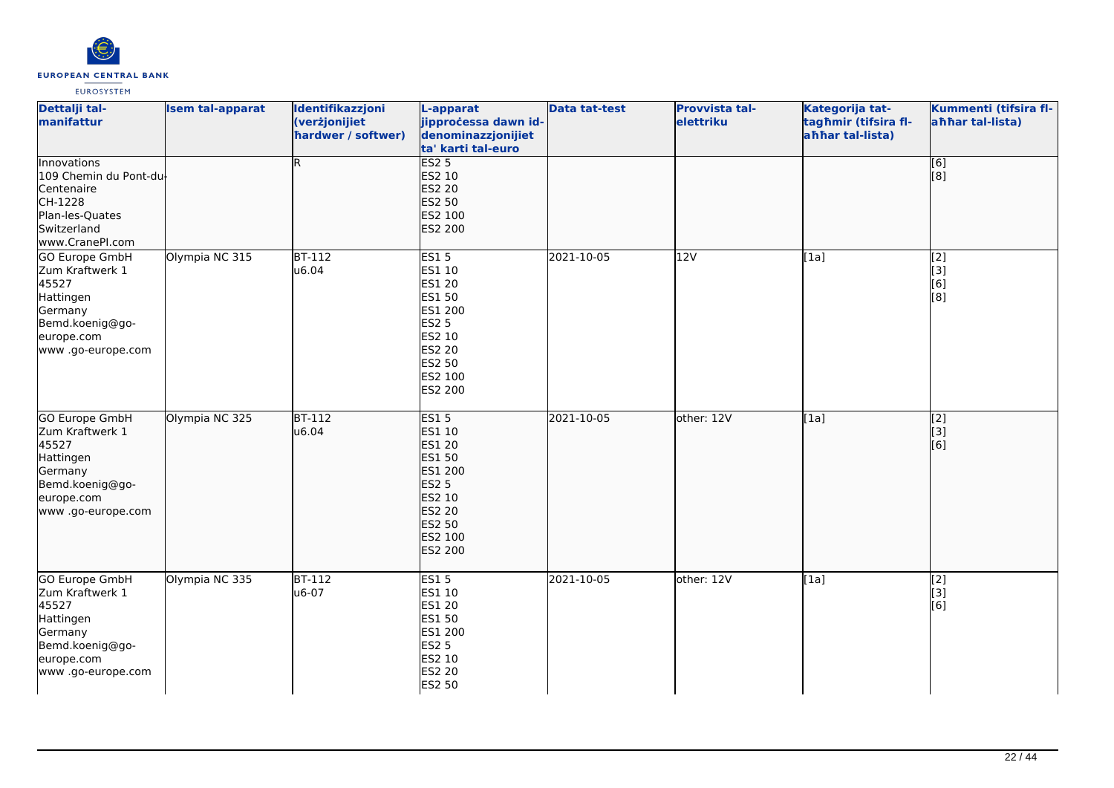

| Dettalji tal-<br>manifattur                                                                                                     | <b>Isem tal-apparat</b> | Identifikazzjoni<br>(verżjonijiet<br>hardwer / softwer) | L-apparat<br>jipproċessa dawn id-<br>denominazzjonijiet<br>ta' karti tal-euro                                                   | <b>Data tat-test</b> | <b>Provvista tal-</b><br>elettriku | Kategorija tat-<br>tagħmir (tifsira fl-<br>ahhar tal-lista) | Kummenti (tifsira fl-<br>ahhar tal-lista) |
|---------------------------------------------------------------------------------------------------------------------------------|-------------------------|---------------------------------------------------------|---------------------------------------------------------------------------------------------------------------------------------|----------------------|------------------------------------|-------------------------------------------------------------|-------------------------------------------|
| Innovations<br>109 Chemin du Pont-du<br>Centenaire<br>CH-1228<br>Plan-les-Quates<br>Switzerland<br>www.CranePI.com              |                         | R.                                                      | ES2 <sub>5</sub><br>ES2 10<br><b>ES2 20</b><br>ES2 50<br>ES2 100<br>ES2 200                                                     |                      |                                    |                                                             | [6]<br>[8]                                |
| <b>GO Europe GmbH</b><br>Zum Kraftwerk 1<br>45527<br>Hattingen<br>Germany<br>Bemd.koenig@go-<br>europe.com<br>www.go-europe.com | Olympia NC 315          | <b>BT-112</b><br>u6.04                                  | <b>ES15</b><br>ES1 10<br>ES1 20<br>ES1 50<br>ES1 200<br><b>ES2 5</b><br>ES2 10<br>ES2 20<br>ES2 50<br>ES2 100<br>ES2 200        | 2021-10-05           | 12V                                | [1a]                                                        | [2]<br>[3]<br>[6]<br>[8]                  |
| <b>GO Europe GmbH</b><br>Zum Kraftwerk 1<br>45527<br>Hattingen<br>Germany<br>Bemd.koenig@go-<br>europe.com<br>www.go-europe.com | Olympia NC 325          | <b>BT-112</b><br>u6.04                                  | <b>ES15</b><br>ES1 10<br>ES1 20<br>ES1 50<br>ES1 200<br><b>ES2 5</b><br>ES2 10<br><b>ES2 20</b><br>ES2 50<br>ES2 100<br>ES2 200 | 2021-10-05           | other: 12V                         | [1a]                                                        | $\overline{[2]}$<br>[3]<br>[6]            |
| GO Europe GmbH<br>Zum Kraftwerk 1<br>45527<br>Hattingen<br>Germany<br>Bemd.koenig@go-<br>europe.com<br>www.go-europe.com        | Olympia NC 335          | $BT-112$<br>u6-07                                       | <b>ES15</b><br>ES1 10<br>ES1 20<br>ES1 50<br>ES1 200<br>ES2 5<br>ES2 10<br>ES2 20<br>ES2 50                                     | 2021-10-05           | other: 12V                         | [1a]                                                        | [2]<br>[3]<br>[6]                         |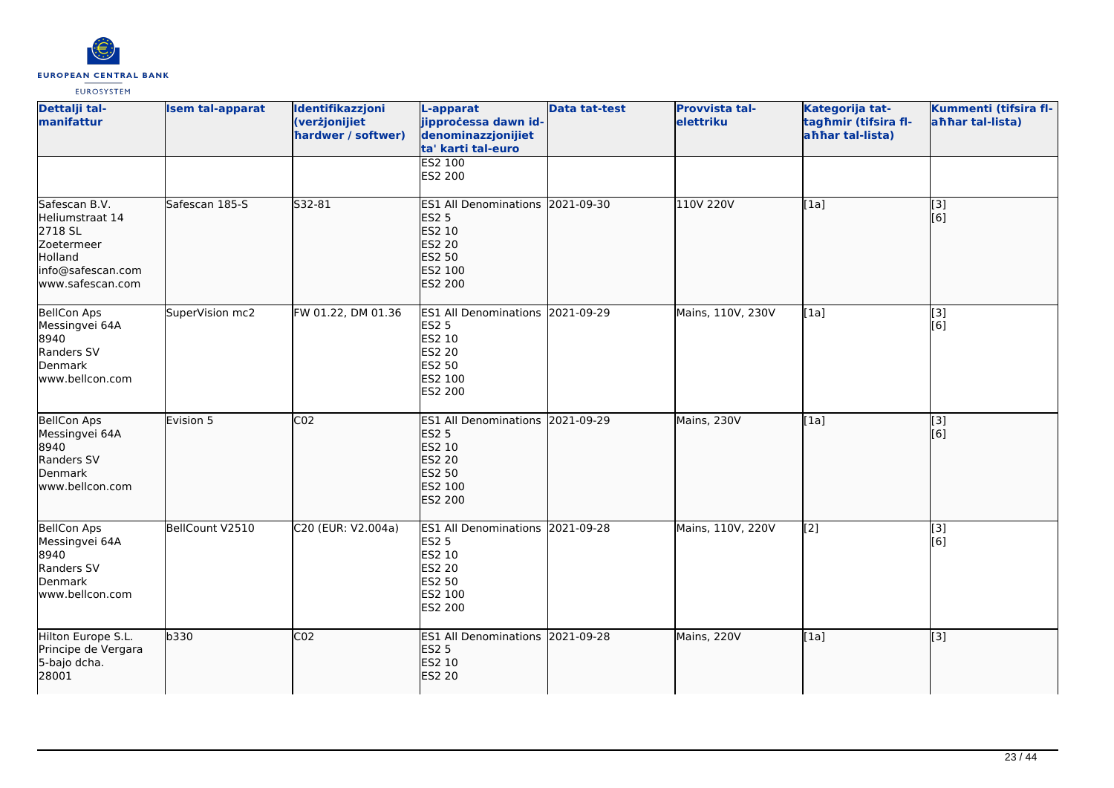

| Dettalji tal-<br>manifattur                                                                                   | <b>Isem tal-apparat</b> | Identifikazzjoni<br>(verżjonijiet<br>hardwer / softwer) | L-apparat<br>jipprocessa dawn id-<br>denominazzjonijiet<br>ta' karti tal-euro                                                    | <b>Data tat-test</b> | Provvista tal-<br>elettriku | Kategorija tat-<br>tagħmir (tifsira fl-<br>ahhar tal-lista) | Kummenti (tifsira fl-<br>ahhar tal-lista) |
|---------------------------------------------------------------------------------------------------------------|-------------------------|---------------------------------------------------------|----------------------------------------------------------------------------------------------------------------------------------|----------------------|-----------------------------|-------------------------------------------------------------|-------------------------------------------|
|                                                                                                               |                         |                                                         | <b>ES2 100</b><br>ES2 200                                                                                                        |                      |                             |                                                             |                                           |
| Safescan B.V.<br>Heliumstraat 14<br>2718 SL<br>Zoetermeer<br>Holland<br>info@safescan.com<br>www.safescan.com | Safescan 185-S          | S32-81                                                  | ES1 All Denominations 2021-09-30<br><b>ES2 5</b><br><b>ES2 10</b><br><b>ES2 20</b><br><b>ES2 50</b><br>ES2 100<br><b>ES2 200</b> |                      | 110V 220V                   | [1a]                                                        | $\overline{[3]}$<br>[6]                   |
| <b>BellCon Aps</b><br>Messingvei 64A<br>8940<br>Randers SV<br>Denmark<br>www.bellcon.com                      | SuperVision mc2         | FW 01.22, DM 01.36                                      | ES1 All Denominations 2021-09-29<br><b>ES2 5</b><br>ES2 10<br><b>ES2 20</b><br>ES2 50<br>ES2 100<br>ES2 200                      |                      | Mains, 110V, 230V           | [1a]                                                        | $[3]$<br>[6]                              |
| BellCon Aps<br>Messingvei 64A<br>8940<br>Randers SV<br>Denmark<br>lwww.bellcon.com                            | Evision 5               | CO <sub>2</sub>                                         | <b>ES1 All Denominations</b><br><b>ES2 5</b><br>ES2 10<br><b>ES2 20</b><br><b>ES2 50</b><br>ES2 100<br>ES2 200                   | 2021-09-29           | Mains, 230V                 | [1a]                                                        | [3]<br>[6]                                |
| <b>BellCon Aps</b><br>Messingvei 64A<br>8940<br>Randers SV<br>Denmark<br>www.bellcon.com                      | BellCount V2510         | C20 (EUR: V2.004a)                                      | ES1 All Denominations 2021-09-28<br><b>ES2 5</b><br>ES2 10<br><b>ES2 20</b><br>ES2 50<br>ES2 100<br>ES2 200                      |                      | Mains, 110V, 220V           | $\overline{[2]}$                                            | $\overline{[3]}$<br>[6]                   |
| Hilton Europe S.L.<br>Principe de Vergara<br>5-bajo dcha.<br>28001                                            | b330                    | CO <sub>2</sub>                                         | ES1 All Denominations 2021-09-28<br><b>ES2 5</b><br><b>ES2 10</b><br><b>ES2 20</b>                                               |                      | Mains, 220V                 | [1a]                                                        | [3]                                       |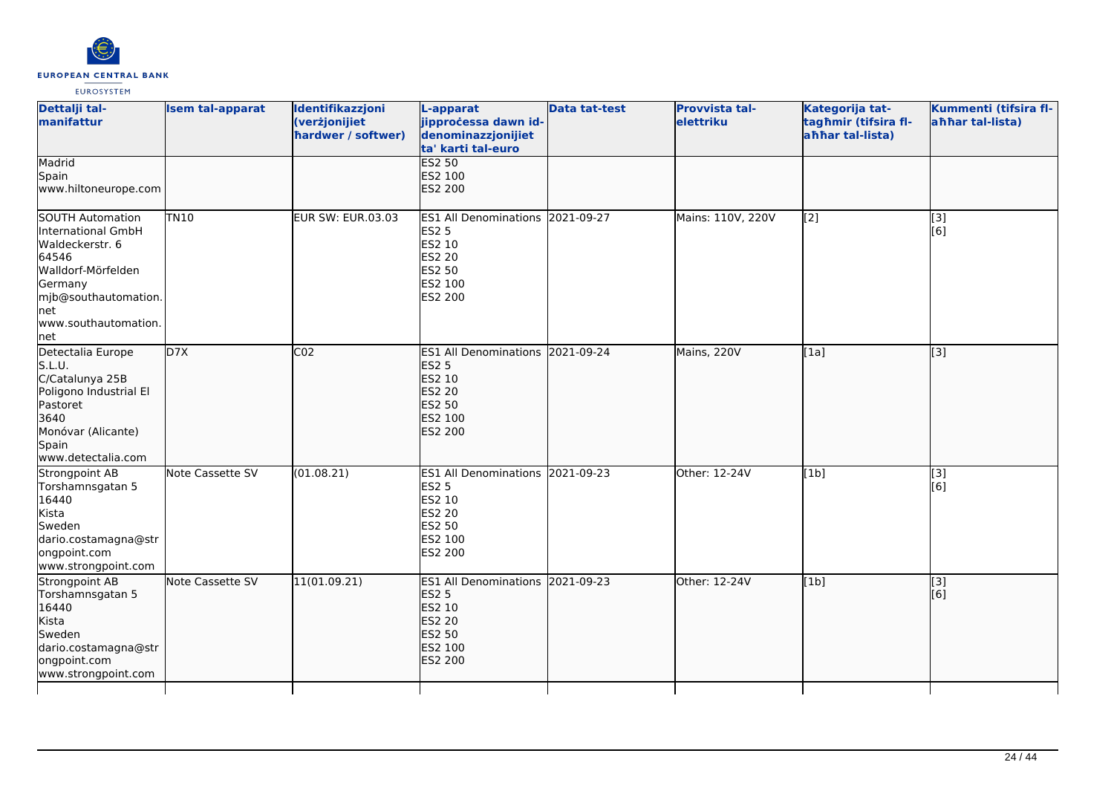

| Dettalji tal-<br>manifattur                                                                                                                                                     | <b>Isem tal-apparat</b> | Identifikazzjoni<br>(verżjonijiet<br>hardwer / softwer) | L-apparat<br>jipprocessa dawn id-<br>denominazzjonijiet<br>ta' karti tal-euro                                         | <b>Data tat-test</b> | Provvista tal-<br>elettriku | Kategorija tat-<br>tagħmir (tifsira fl-<br>ahhar tal-lista) | Kummenti (tifsira fl-<br>ahhar tal-lista) |
|---------------------------------------------------------------------------------------------------------------------------------------------------------------------------------|-------------------------|---------------------------------------------------------|-----------------------------------------------------------------------------------------------------------------------|----------------------|-----------------------------|-------------------------------------------------------------|-------------------------------------------|
| Madrid<br>Spain<br>www.hiltoneurope.com                                                                                                                                         |                         |                                                         | <b>ES2 50</b><br>ES2 100<br>ES2 200                                                                                   |                      |                             |                                                             |                                           |
| <b>SOUTH Automation</b><br>International GmbH<br>Waldeckerstr. 6<br>64546<br>Walldorf-Mörfelden<br>Germany<br>mjb@southautomation.<br><b>net</b><br>www.southautomation.<br>net | TN10                    | <b>EUR SW: EUR.03.03</b>                                | <b>ES1 All Denominations</b><br><b>ES2 5</b><br>ES2 10<br>ES2 20<br><b>ES2 50</b><br>ES2 100<br>ES2 200               | 2021-09-27           | Mains: 110V, 220V           | [2]                                                         | [3]<br>[6]                                |
| Detectalia Europe<br>S.L.U.<br>C/Catalunya 25B<br>Poligono Industrial El<br>Pastoret<br>3640<br>Monóvar (Alicante)<br>Spain<br>www.detectalia.com                               | D7X                     | CO <sub>2</sub>                                         | <b>ES1 All Denominations</b><br><b>ES2 5</b><br>ES2 10<br><b>ES2 20</b><br><b>ES2 50</b><br>ES2 100<br><b>ES2 200</b> | 2021-09-24           | Mains, 220V                 | [1a]                                                        | [3]                                       |
| Strongpoint AB<br>Torshamnsgatan 5<br>16440<br>Kista<br>Sweden<br>dario.costamagna@str<br>ongpoint.com<br>www.strongpoint.com                                                   | Note Cassette SV        | (01.08.21)                                              | ES1 All Denominations 2021-09-23<br><b>ES2 5</b><br>ES2 10<br>ES2 20<br>ES2 50<br>ES2 100<br>ES2 200                  |                      | Other: 12-24V               | [1b]                                                        | $\overline{[3]}$<br>[6]                   |
| Strongpoint AB<br>Torshamnsgatan 5<br>16440<br>Kista<br>Sweden<br>dario.costamagna@str<br>ongpoint.com<br>www.strongpoint.com                                                   | Note Cassette SV        | 11(01.09.21)                                            | <b>ES1 All Denominations</b><br><b>ES2 5</b><br>ES2 10<br><b>ES2 20</b><br><b>ES2 50</b><br>ES2 100<br>ES2 200        | 2021-09-23           | Other: 12-24V               | [1b]                                                        | [3]<br>[6]                                |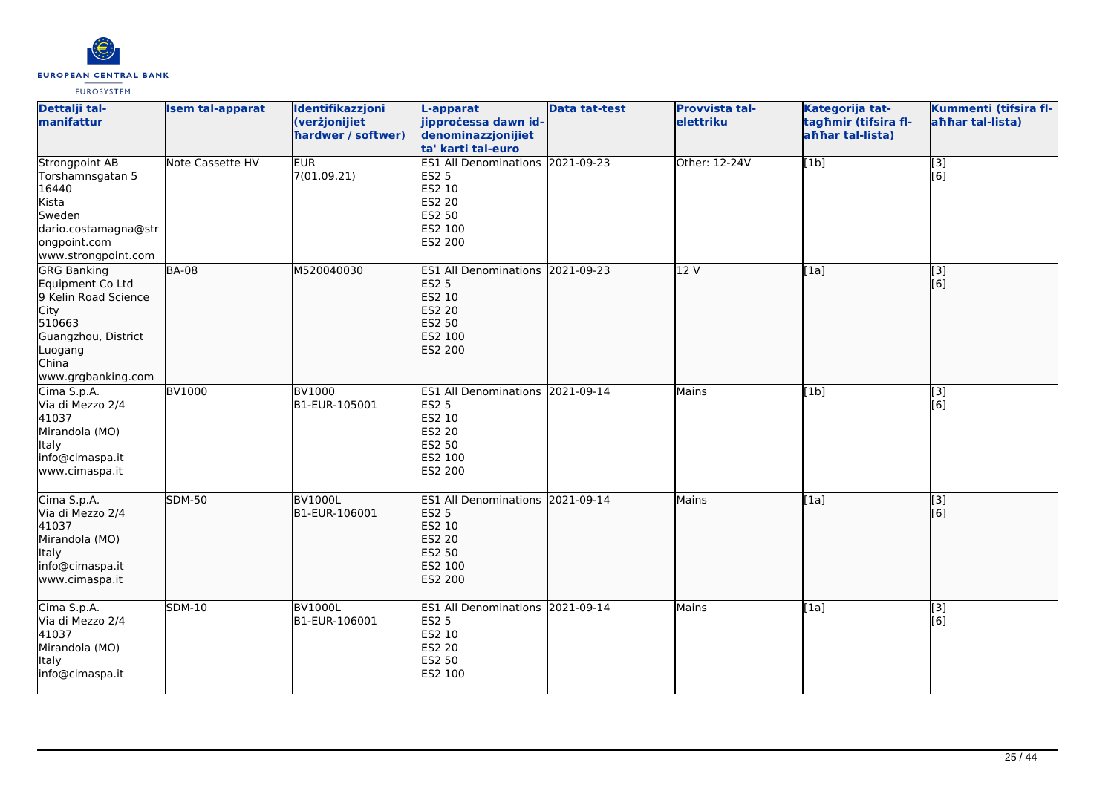

| Dettalji tal-<br>manifattur                                                                                                                       | <b>Isem tal-apparat</b> | Identifikazzjoni<br>(verżjonijiet<br>hardwer / softwer) | L-apparat<br>jipprocessa dawn id-<br>denominazzjonijiet<br>ta' karti tal-euro                                         | <b>Data tat-test</b> | Provvista tal-<br>elettriku | Kategorija tat-<br>tagħmir (tifsira fl-<br>ahhar tal-lista) | Kummenti (tifsira fl-<br>ahhar tal-lista) |
|---------------------------------------------------------------------------------------------------------------------------------------------------|-------------------------|---------------------------------------------------------|-----------------------------------------------------------------------------------------------------------------------|----------------------|-----------------------------|-------------------------------------------------------------|-------------------------------------------|
| <b>Strongpoint AB</b><br>Torshamnsgatan 5<br>16440<br>Kista<br>Sweden<br>dario.costamagna@str<br>ongpoint.com<br>www.strongpoint.com              | Note Cassette HV        | EUR <sup></sup><br>7(01.09.21)                          | ES1 All Denominations 2021-09-23<br><b>ES2 5</b><br>ES2 10<br>ES2 20<br>ES2 50<br>ES2 100<br>ES2 200                  |                      | Other: 12-24V               | [1b]                                                        | $\overline{[3]}$<br>[6]                   |
| <b>GRG Banking</b><br>Equipment Co Ltd<br>9 Kelin Road Science<br>City<br>510663<br>Guangzhou, District<br>Luogang<br>China<br>www.grgbanking.com | <b>BA-08</b>            | M520040030                                              | <b>ES1 All Denominations</b><br><b>ES2 5</b><br>ES2 10<br><b>ES2 20</b><br><b>ES2 50</b><br>ES2 100<br><b>ES2 200</b> | 2021-09-23           | 12V                         | [1a]                                                        | [3]<br>[6]                                |
| Cima S.p.A.<br>Via di Mezzo 2/4<br>41037<br>Mirandola (MO)<br><b>Italy</b><br>info@cimaspa.it<br>www.cimaspa.it                                   | <b>BV1000</b>           | <b>BV1000</b><br>B1-EUR-105001                          | <b>ES1 All Denominations</b><br><b>ES2 5</b><br>ES2 10<br><b>ES2 20</b><br>ES2 50<br>ES2 100<br>ES2 200               | 2021-09-14           | Mains                       | [1b]                                                        | $[3]$<br>[6]                              |
| Cima S.p.A.<br>Via di Mezzo 2/4<br>41037<br>Mirandola (MO)<br><b>Italy</b><br>info@cimaspa.it<br>www.cimaspa.it                                   | <b>SDM-50</b>           | <b>BV1000L</b><br>B1-EUR-106001                         | <b>ES1 All Denominations</b><br><b>ES2 5</b><br>ES2 10<br><b>ES2 20</b><br><b>ES2 50</b><br>ES2 100<br>ES2 200        | 2021-09-14           | Mains                       | [1a]                                                        | [3]<br>[6]                                |
| Cima S.p.A.<br>Via di Mezzo 2/4<br>41037<br>Mirandola (MO)<br><b>Italy</b><br>info@cimaspa.it                                                     | SDM-10                  | <b>BV1000L</b><br>B1-EUR-106001                         | ES1 All Denominations 2021-09-14<br><b>ES2 5</b><br><b>ES2 10</b><br><b>ES2 20</b><br>ES2 50<br>ES2 100               |                      | Mains                       | [1a]                                                        | $\overline{[3]}$<br>[6]                   |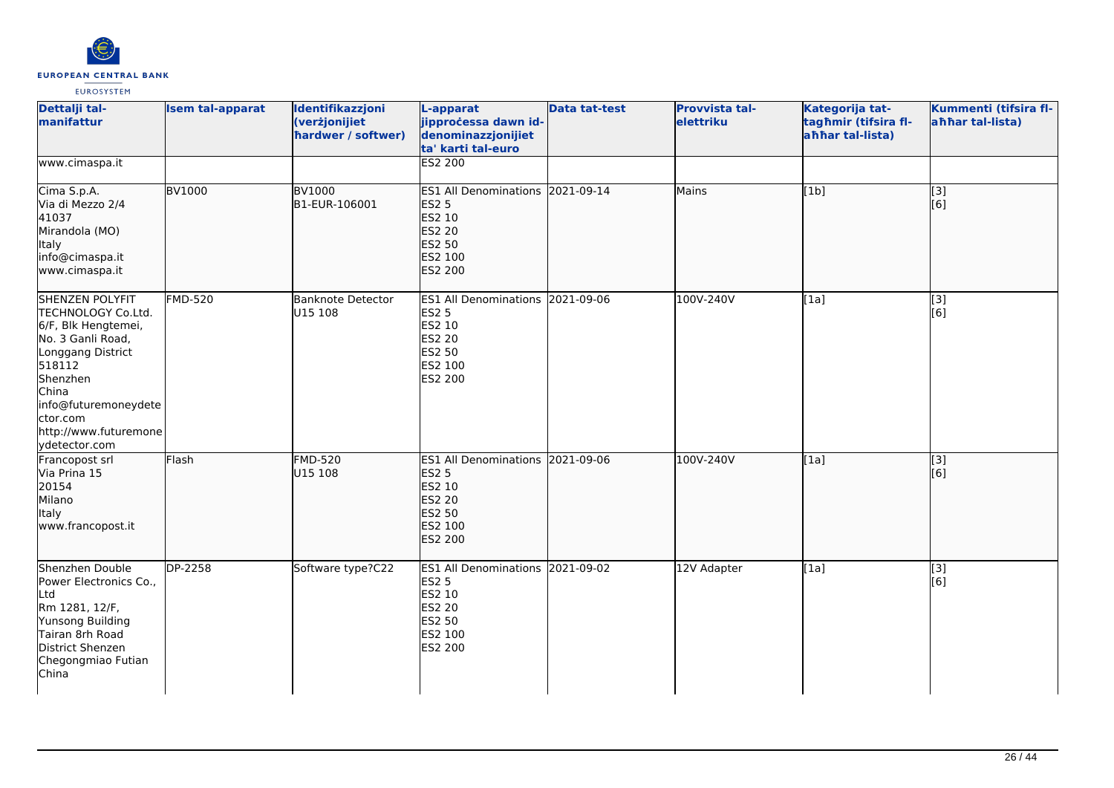

| Dettalji tal-<br>manifattur                                                                                                                                                                                                | <b>Isem tal-apparat</b> | Identifikazzjoni<br>(verżjonijiet<br>hardwer / softwer) | L-apparat<br>jipprocessa dawn id-<br>denominazzjonijiet<br>ta' karti tal-euro                                  | <b>Data tat-test</b> | Provvista tal-<br>elettriku | Kategorija tat-<br>tagħmir (tifsira fl-<br>ahhar tal-lista) | Kummenti (tifsira fl-<br>ahhar tal-lista) |
|----------------------------------------------------------------------------------------------------------------------------------------------------------------------------------------------------------------------------|-------------------------|---------------------------------------------------------|----------------------------------------------------------------------------------------------------------------|----------------------|-----------------------------|-------------------------------------------------------------|-------------------------------------------|
| www.cimaspa.it                                                                                                                                                                                                             |                         |                                                         | <b>ES2 200</b>                                                                                                 |                      |                             |                                                             |                                           |
| Cima S.p.A.<br>Via di Mezzo 2/4<br>41037<br>Mirandola (MO)<br><b>Italy</b><br>info@cimaspa.it<br>www.cimaspa.it                                                                                                            | <b>BV1000</b>           | <b>BV1000</b><br>B1-EUR-106001                          | ES1 All Denominations 2021-09-14<br><b>ES2 5</b><br>ES2 10<br><b>ES2 20</b><br>ES2 50<br>ES2 100<br>ES2 200    |                      | Mains                       | [1b]                                                        | $\overline{[3]}$<br>[6]                   |
| <b>SHENZEN POLYFIT</b><br>TECHNOLOGY Co.Ltd.<br>6/F, Blk Hengtemei,<br>No. 3 Ganli Road,<br>Longgang District<br>518112<br>Shenzhen<br>China<br>info@futuremoneydete<br>ctor.com<br>http://www.futuremone<br>ydetector.com | <b>FMD-520</b>          | Banknote Detector<br>U15 108                            | ES1 All Denominations 2021-09-06<br><b>ES2 5</b><br>ES2 10<br>ES2 20<br>ES2 50<br>ES2 100<br>ES2 200           |                      | 100V-240V                   | [1a]                                                        | $\overline{[3]}$<br>[6]                   |
| Francopost srl<br>Via Prina 15<br>20154<br>Milano<br>Italy<br>www.francopost.it                                                                                                                                            | Flash                   | $FMD-520$<br>U15 108                                    | <b>ES1 All Denominations</b><br><b>ES2 5</b><br>ES2 10<br><b>ES2 20</b><br><b>ES2 50</b><br>ES2 100<br>ES2 200 | 2021-09-06           | 100V-240V                   | [1a]                                                        | [3]<br>[6]                                |
| Shenzhen Double<br>Power Electronics Co.,<br>Ltd<br>Rm 1281, 12/F,<br>Yunsong Building<br>Tairan 8rh Road<br>District Shenzen<br>Chegongmiao Futian<br>China                                                               | DP-2258                 | Software type?C22                                       | ES1 All Denominations 2021-09-02<br><b>ES2 5</b><br>ES2 10<br>ES2 20<br>ES2 50<br>ES2 100<br>ES2 200           |                      | 12V Adapter                 | [1a]                                                        | $\overline{[3]}$<br>[6]                   |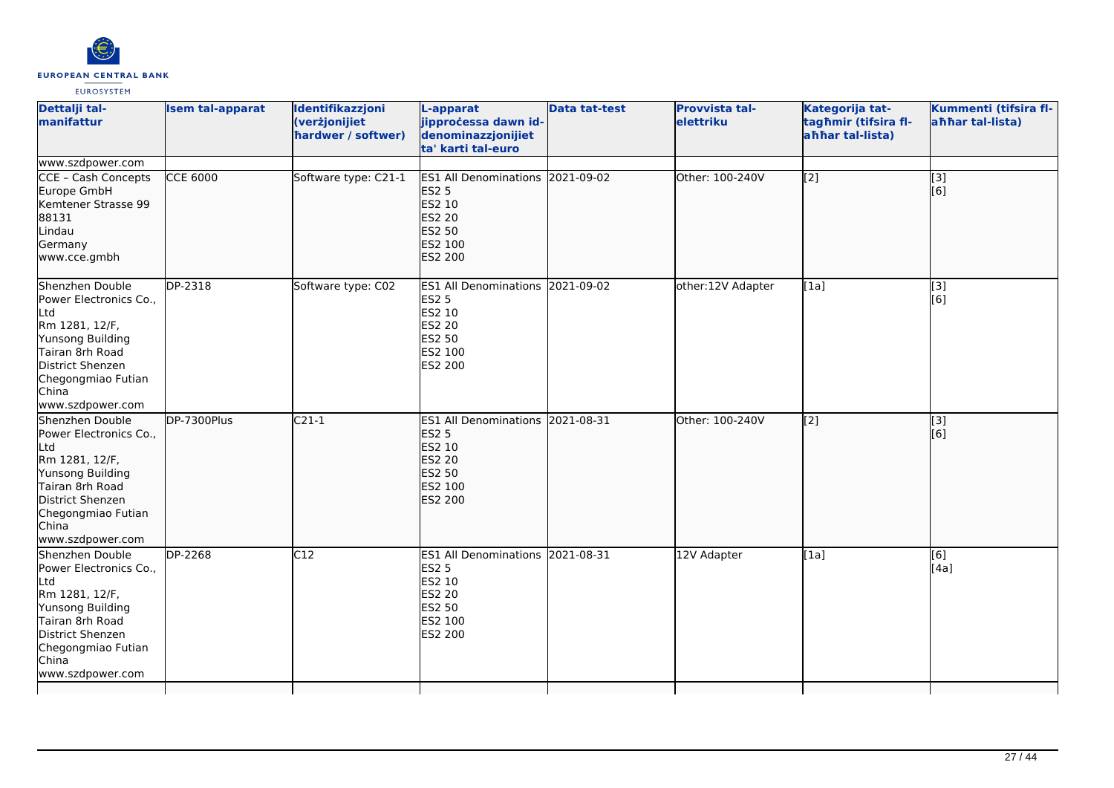

| Dettalji tal-<br>manifattur                                                                                                                                                      | <b>Isem tal-apparat</b> | Identifikazzjoni<br>(verżjonijiet<br>hardwer / softwer) | L-apparat<br>jipproċessa dawn id-<br>denominazzjonijiet<br>ta' karti tal-euro                                         | <b>Data tat-test</b> | Provvista tal-<br>elettriku | Kategorija tat-<br>tagħmir (tifsira fl-<br>ahhar tal-lista) | Kummenti (tifsira fl-<br>ahhar tal-lista) |
|----------------------------------------------------------------------------------------------------------------------------------------------------------------------------------|-------------------------|---------------------------------------------------------|-----------------------------------------------------------------------------------------------------------------------|----------------------|-----------------------------|-------------------------------------------------------------|-------------------------------------------|
| www.szdpower.com                                                                                                                                                                 |                         |                                                         |                                                                                                                       |                      |                             |                                                             |                                           |
| CCE - Cash Concepts<br>Europe GmbH<br>Kemtener Strasse 99<br>88131<br>Lindau<br>Germany<br>www.cce.gmbh                                                                          | <b>CCE 6000</b>         | Software type: C21-1                                    | <b>ES1 All Denominations</b><br><b>ES2 5</b><br><b>ES2 10</b><br><b>ES2 20</b><br><b>ES2 50</b><br>ES2 100<br>ES2 200 | 2021-09-02           | Other: 100-240V             | [2]                                                         | [3]<br>[6]                                |
| Shenzhen Double<br>Power Electronics Co.,<br>Ltd<br>Rm 1281, 12/F,<br>Yunsong Building<br>Tairan 8rh Road<br>District Shenzen<br>Chegongmiao Futian<br>China<br>www.szdpower.com | DP-2318                 | Software type: C02                                      | ES1 All Denominations 2021-09-02<br><b>ES2 5</b><br>ES2 10<br><b>ES2 20</b><br>ES2 50<br>ES2 100<br><b>ES2 200</b>    |                      | other:12V Adapter           | [1a]                                                        | [3]<br>[6]                                |
| Shenzhen Double<br>Power Electronics Co.,<br>Ltd<br>Rm 1281, 12/F,<br>Yunsong Building<br>Tairan 8rh Road<br>District Shenzen<br>Chegongmiao Futian<br>China<br>www.szdpower.com | DP-7300Plus             | $C21-1$                                                 | <b>ES1 All Denominations</b><br><b>ES2 5</b><br>ES2 10<br><b>ES2 20</b><br><b>ES2 50</b><br>ES2 100<br><b>ES2 200</b> | 2021-08-31           | Other: 100-240V             | $\overline{[2]}$                                            | $\overline{[3]}$<br>[6]                   |
| Shenzhen Double<br>Power Electronics Co.,<br>Ltd<br>Rm 1281, 12/F,<br>Yunsong Building<br>Tairan 8rh Road<br>District Shenzen<br>Chegongmiao Futian<br>China<br>www.szdpower.com | DP-2268                 | C12                                                     | <b>ES1 All Denominations</b><br><b>ES2 5</b><br>ES2 10<br>ES2 20<br>ES2 50<br>ES2 100<br>ES2 200                      | 2021-08-31           | 12V Adapter                 | [1a]                                                        | [6]<br>[4a]                               |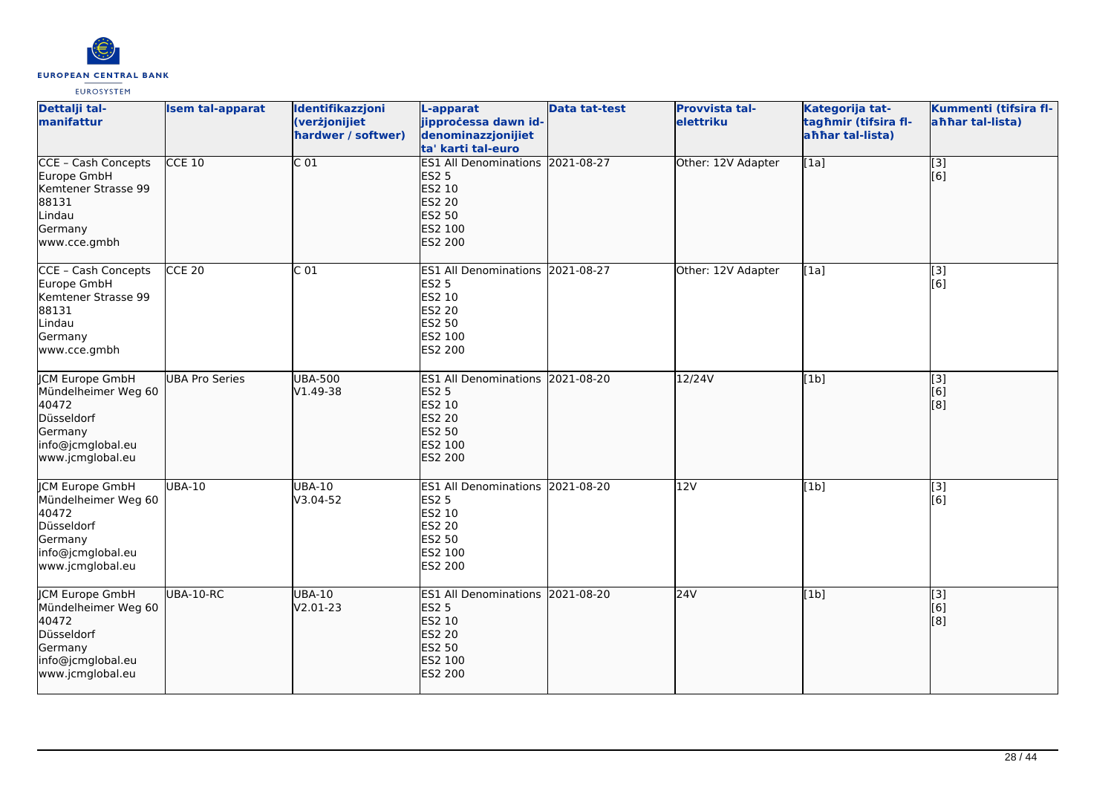

| Dettalji tal-<br>manifattur                                                                                              | <b>Isem tal-apparat</b> | Identifikazzjoni<br>(verżjonijiet<br>hardwer / softwer) | L-apparat<br>jipprocessa dawn id-<br>denominazzjonijiet<br>ta' karti tal-euro                                             | <b>Data tat-test</b> | Provvista tal-<br>elettriku | Kategorija tat-<br>tagħmir (tifsira fl-<br>ahhar tal-lista) | Kummenti (tifsira fl-<br>ahhar tal-lista) |
|--------------------------------------------------------------------------------------------------------------------------|-------------------------|---------------------------------------------------------|---------------------------------------------------------------------------------------------------------------------------|----------------------|-----------------------------|-------------------------------------------------------------|-------------------------------------------|
| CCE - Cash Concepts<br>Europe GmbH<br>Kemtener Strasse 99<br>88131<br>Lindau<br>Germany<br>www.cce.gmbh                  | $CCE$ 10                | $\overline{C}$ 01                                       | ES1 All Denominations 2021-08-27<br><b>ES2 5</b><br>ES2 10<br><b>ES2 20</b><br><b>ES2 50</b><br>ES2 100<br><b>ES2 200</b> |                      | Other: 12V Adapter          | [1a]                                                        | $\overline{[}3]$<br>[6]                   |
| CCE - Cash Concepts<br>Europe GmbH<br>Kemtener Strasse 99<br>88131<br>Lindau<br>Germany<br>www.cce.gmbh                  | CCE 20                  | C <sub>01</sub>                                         | ES1 All Denominations 2021-08-27<br><b>ES2 5</b><br><b>ES2 10</b><br>ES2 20<br><b>ES2 50</b><br>ES2 100<br>ES2 200        |                      | Other: 12V Adapter          | [1a]                                                        | [3]<br>[6]                                |
| <b>JCM Europe GmbH</b><br>Mündelheimer Weg 60<br>40472<br>Düsseldorf<br>Germany<br>info@jcmglobal.eu<br>www.jcmglobal.eu | <b>UBA Pro Series</b>   | <b>UBA-500</b><br>V1.49-38                              | <b>ES1 All Denominations</b><br><b>ES2 5</b><br>ES2 10<br><b>ES2 20</b><br><b>ES2 50</b><br>ES2 100<br><b>ES2 200</b>     | 2021-08-20           | 12/24V                      | [1b]                                                        | $\overline{[3]}$<br>[6]<br>[8]            |
| <b>JCM Europe GmbH</b><br>Mündelheimer Weg 60<br>40472<br>Düsseldorf<br>Germany<br>info@jcmglobal.eu<br>www.jcmglobal.eu | <b>UBA-10</b>           | <b>UBA-10</b><br>V3.04-52                               | ES1 All Denominations 2021-08-20<br><b>ES2 5</b><br><b>ES2 10</b><br><b>ES2 20</b><br>ES2 50<br>ES2 100<br>ES2 200        |                      | 12V                         | [1b]                                                        | [3]<br>[6]                                |
| JCM Europe GmbH<br>Mündelheimer Weg 60<br>40472<br>Düsseldorf<br>Germany<br>info@jcmglobal.eu<br>www.jcmglobal.eu        | UBA-10-RC               | UBA-10<br>V <sub>2.01-23</sub>                          | <b>ES1 All Denominations</b><br><b>ES2 5</b><br>ES2 10<br><b>ES2 20</b><br><b>ES2 50</b><br>ES2 100<br>ES2 200            | 2021-08-20           | <b>24V</b>                  | [1b]                                                        | [3]<br>[6]<br>[8]                         |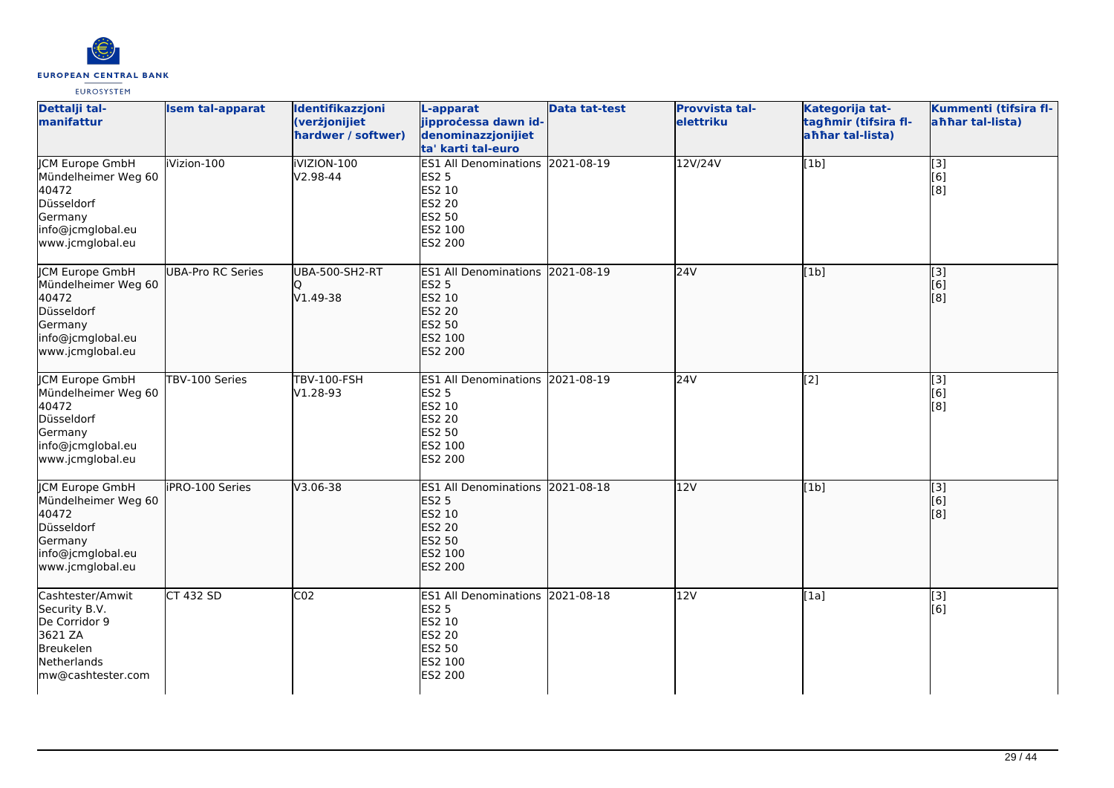

| Dettalji tal-<br>manifattur                                                                                              | <b>Isem tal-apparat</b> | Identifikazzjoni<br>(verżjonijiet<br>hardwer / softwer) | L-apparat<br>jipprocessa dawn id-<br>denominazzjonijiet<br>ta' karti tal-euro                                             | <b>Data tat-test</b> | Provvista tal-<br>elettriku | Kategorija tat-<br>tagħmir (tifsira fl-<br>ahhar tal-lista) | Kummenti (tifsira fl-<br>ahhar tal-lista) |
|--------------------------------------------------------------------------------------------------------------------------|-------------------------|---------------------------------------------------------|---------------------------------------------------------------------------------------------------------------------------|----------------------|-----------------------------|-------------------------------------------------------------|-------------------------------------------|
| <b>JCM Europe GmbH</b><br>Mündelheimer Weg 60<br>40472<br>Düsseldorf<br>Germany<br>info@jcmglobal.eu<br>www.jcmglobal.eu | iVizion-100             | iVIZION-100<br>V2.98-44                                 | ES1 All Denominations 2021-08-19<br><b>ES2 5</b><br>ES2 10<br><b>ES2 20</b><br><b>ES2 50</b><br>ES2 100<br>ES2 200        |                      | 12V/24V                     | [1b]                                                        | [3]<br>[6]<br>[8]                         |
| JCM Europe GmbH<br>Mündelheimer Weg 60<br>40472<br>Düsseldorf<br>Germany<br>info@jcmglobal.eu<br>www.jcmglobal.eu        | UBA-Pro RC Series       | UBA-500-SH2-RT<br>IQ<br>V1.49-38                        | ES1 All Denominations 2021-08-19<br><b>ES2 5</b><br>ES2 10<br><b>ES2 20</b><br><b>ES2 50</b><br>ES2 100<br><b>ES2 200</b> |                      | 24V                         | [1b]                                                        | [3]<br>[6]<br>[8]                         |
| <b>JCM Europe GmbH</b><br>Mündelheimer Weg 60<br>40472<br>Düsseldorf<br>Germany<br>info@jcmglobal.eu<br>www.jcmglobal.eu | TBV-100 Series          | <b>TBV-100-FSH</b><br>V1.28-93                          | ES1 All Denominations 2021-08-19<br><b>ES2 5</b><br>ES2 10<br><b>ES2 20</b><br>ES2 50<br>ES2 100<br>ES2 200               |                      | 24V                         | $\overline{[2]}$                                            | [3]<br>[6]<br>[8]                         |
| <b>JCM Europe GmbH</b><br>Mündelheimer Weg 60<br>40472<br>Düsseldorf<br>Germany<br>info@jcmglobal.eu<br>www.jcmglobal.eu | iPRO-100 Series         | V3.06-38                                                | ES1 All Denominations 2021-08-18<br><b>ES2 5</b><br>ES2 10<br><b>ES2 20</b><br>ES2 50<br>ES2 100<br>ES2 200               |                      | 12V                         | [1b]                                                        | $\overline{[}3]$<br>[6]<br>[8]            |
| Cashtester/Amwit<br>Security B.V.<br>De Corridor 9<br>3621 ZA<br>Breukelen<br>Netherlands<br>mw@cashtester.com           | CT 432 SD               | CO <sub>2</sub>                                         | ES1 All Denominations 2021-08-18<br><b>ES2 5</b><br>ES2 10<br><b>ES2 20</b><br>ES2 50<br>ES2 100<br>ES2 200               |                      | 12V                         | [1a]                                                        | [3]<br>[6]                                |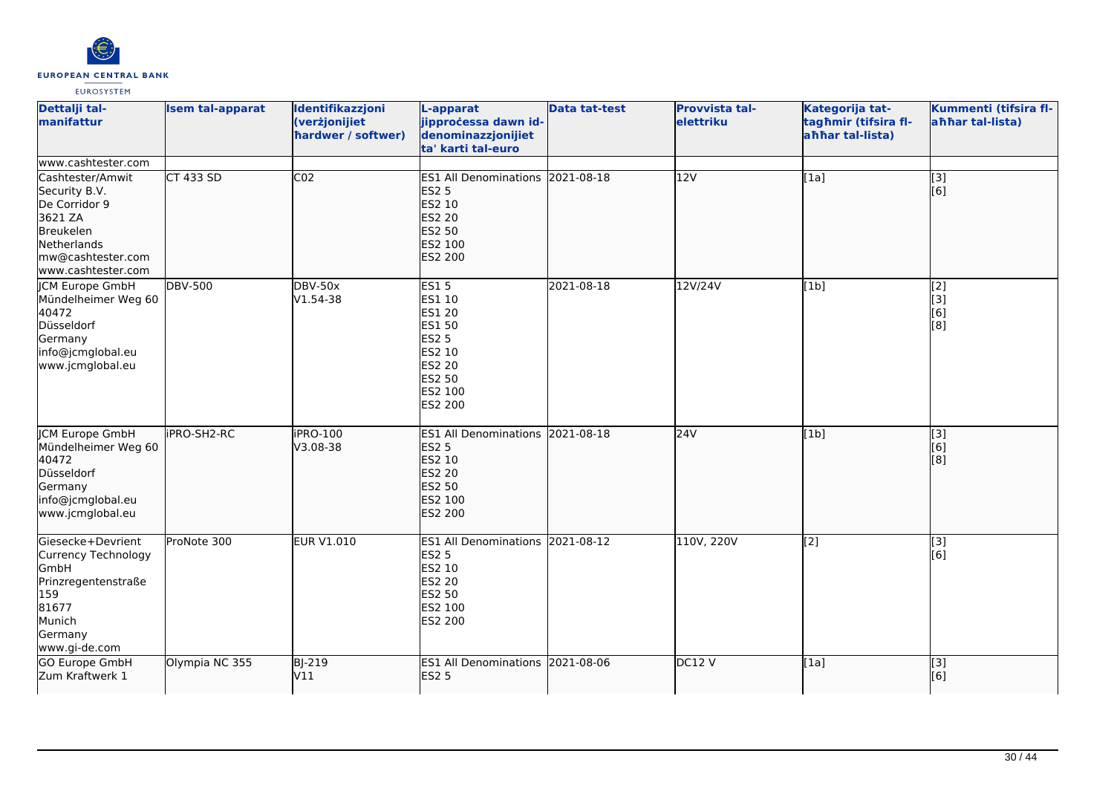

| Dettalji tal-<br>manifattur                                                                                                                 | <b>Isem tal-apparat</b> | Identifikazzjoni<br>(verżjonijiet<br>hardwer / softwer) | L-apparat<br>jipprocessa dawn id-<br>denominazzjonijiet<br>ta' karti tal-euro                                                    | <b>Data tat-test</b> | <b>Provvista tal-</b><br>elettriku | Kategorija tat-<br>tagħmir (tifsira fl-<br>ahhar tal-lista) | Kummenti (tifsira fl-<br>ahhar tal-lista) |
|---------------------------------------------------------------------------------------------------------------------------------------------|-------------------------|---------------------------------------------------------|----------------------------------------------------------------------------------------------------------------------------------|----------------------|------------------------------------|-------------------------------------------------------------|-------------------------------------------|
| www.cashtester.com                                                                                                                          |                         |                                                         |                                                                                                                                  |                      |                                    |                                                             |                                           |
| Cashtester/Amwit<br>Security B.V.<br>De Corridor 9<br>3621 ZA<br><b>Breukelen</b><br>Netherlands<br>mw@cashtester.com<br>www.cashtester.com | CT 433 SD               | CO <sub>2</sub>                                         | ES1 All Denominations 2021-08-18<br><b>ES2 5</b><br><b>ES2 10</b><br><b>ES2 20</b><br><b>ES2 50</b><br>ES2 100<br><b>ES2 200</b> |                      | 12V                                | [1a]                                                        | [3]<br>[6]                                |
| <b>ICM Europe GmbH</b><br>Mündelheimer Weg 60<br>40472<br>Düsseldorf<br>Germany<br>info@jcmglobal.eu<br>www.jcmglobal.eu                    | <b>DBV-500</b>          | <b>DBV-50x</b><br>V1.54-38                              | <b>ES15</b><br>ES1 10<br>ES1 20<br><b>ES1 50</b><br><b>ES2 5</b><br>ES2 10<br><b>ES2 20</b><br>ES2 50<br>ES2 100<br>ES2 200      | 2021-08-18           | 12V/24V                            | [1b]                                                        | [2]<br>[3]<br>[6]<br>[8]                  |
| <b>JCM Europe GmbH</b><br>Mündelheimer Weg 60<br>40472<br>Düsseldorf<br>Germany<br>info@jcmglobal.eu<br>www.jcmglobal.eu                    | iPRO-SH2-RC             | iPRO-100<br>V3.08-38                                    | ES1 All Denominations 2021-08-18<br><b>ES2 5</b><br>ES2 10<br><b>ES2 20</b><br><b>ES2 50</b><br><b>ES2 100</b><br><b>ES2 200</b> |                      | 24V                                | [1b]                                                        | $\overline{[3]}$<br>[6]<br>[8]            |
| Giesecke+Devrient<br>Currency Technology<br><b>GmbH</b><br>Prinzregentenstraße<br>159<br>81677<br>Munich<br>Germany<br>www.gi-de.com        | ProNote 300             | <b>EUR V1.010</b>                                       | ES1 All Denominations 2021-08-12<br><b>ES2 5</b><br>ES2 10<br>ES2 20<br>ES2 50<br>ES2 100<br>ES2 200                             |                      | 110V, 220V                         | [2]                                                         | $[3]$<br>[6]                              |
| GO Europe GmbH<br>Zum Kraftwerk 1                                                                                                           | Olympia NC 355          | <b>BJ-219</b><br>V11                                    | ES1 All Denominations 2021-08-06<br><b>ES2 5</b>                                                                                 |                      | DC12 V                             | [1a]                                                        | $\overline{[}$ [3]<br>[6]                 |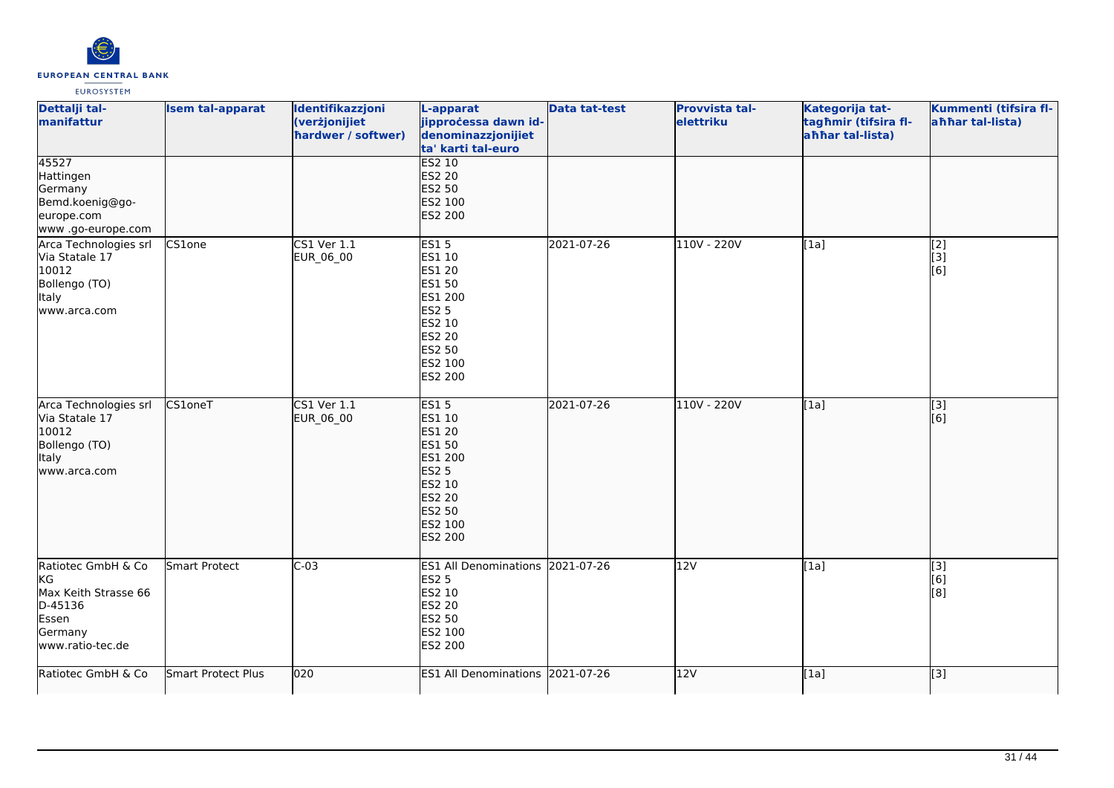

| Dettalji tal-<br>manifattur                                                                         | <b>Isem tal-apparat</b> | Identifikazzjoni<br>(verżjonijiet<br>hardwer / softwer) | L-apparat<br>jipprocessa dawn id-<br>denominazzjonijiet<br>ta' karti tal-euro                                                                               | <b>Data tat-test</b> | Provvista tal-<br>elettriku | Kategorija tat-<br>tagħmir (tifsira fl-<br>ahhar tal-lista) | Kummenti (tifsira fl-<br>ahhar tal-lista)          |
|-----------------------------------------------------------------------------------------------------|-------------------------|---------------------------------------------------------|-------------------------------------------------------------------------------------------------------------------------------------------------------------|----------------------|-----------------------------|-------------------------------------------------------------|----------------------------------------------------|
| 45527<br>Hattingen<br>Germany<br>Bemd.koenig@go-<br>europe.com<br>www .go-europe.com                |                         |                                                         | <b>ES2 10</b><br><b>ES2 20</b><br><b>ES2 50</b><br>ES2 100<br><b>ES2 200</b>                                                                                |                      |                             |                                                             |                                                    |
| Arca Technologies srl<br>Via Statale 17<br>10012<br>Bollengo (TO)<br>Italy<br>www.arca.com          | CS1one                  | CS1 Ver 1.1<br>EUR_06_00                                | <b>ES15</b><br>ES1 10<br>ES1 20<br>ES1 50<br>ES1 200<br><b>ES2 5</b><br>ES2 10<br>ES2 20<br>ES2 50<br>ES2 100<br>ES2 200                                    | 2021-07-26           | 110V - 220V                 | [1a]                                                        | $[2]$<br>[3]<br>[6]                                |
| Arca Technologies srl<br>Via Statale 17<br>10012<br>Bollengo (TO)<br>ltaly<br>www.arca.com          | CS1oneT                 | $CS1$ Ver $1.1$<br>EUR_06_00                            | <b>ES15</b><br>ES1 10<br><b>ES1 20</b><br><b>ES1 50</b><br>ES1 200<br><b>ES2 5</b><br>ES2 10<br><b>ES2 20</b><br><b>ES2 50</b><br>ES2 100<br><b>ES2 200</b> | 2021-07-26           | 110V - 220V                 | [1a]                                                        | [3]<br>[[6]                                        |
| Ratiotec GmbH & Co<br>KG<br>Max Keith Strasse 66<br>D-45136<br>Essen<br>Germany<br>www.ratio-tec.de | Smart Protect           | $C-03$                                                  | ES1 All Denominations 2021-07-26<br><b>ES2 5</b><br>ES2 10<br>ES2 20<br>ES2 50<br>ES2 100<br><b>ES2 200</b>                                                 |                      | 12V                         | [1a]                                                        | $\overline{[3]}$<br>[6]<br>[8]                     |
| Ratiotec GmbH & Co                                                                                  | Smart Protect Plus      | 020                                                     | ES1 All Denominations 2021-07-26                                                                                                                            |                      | 12V                         | [1a]                                                        | $\left[ \begin{matrix} 1 & 3 \end{matrix} \right]$ |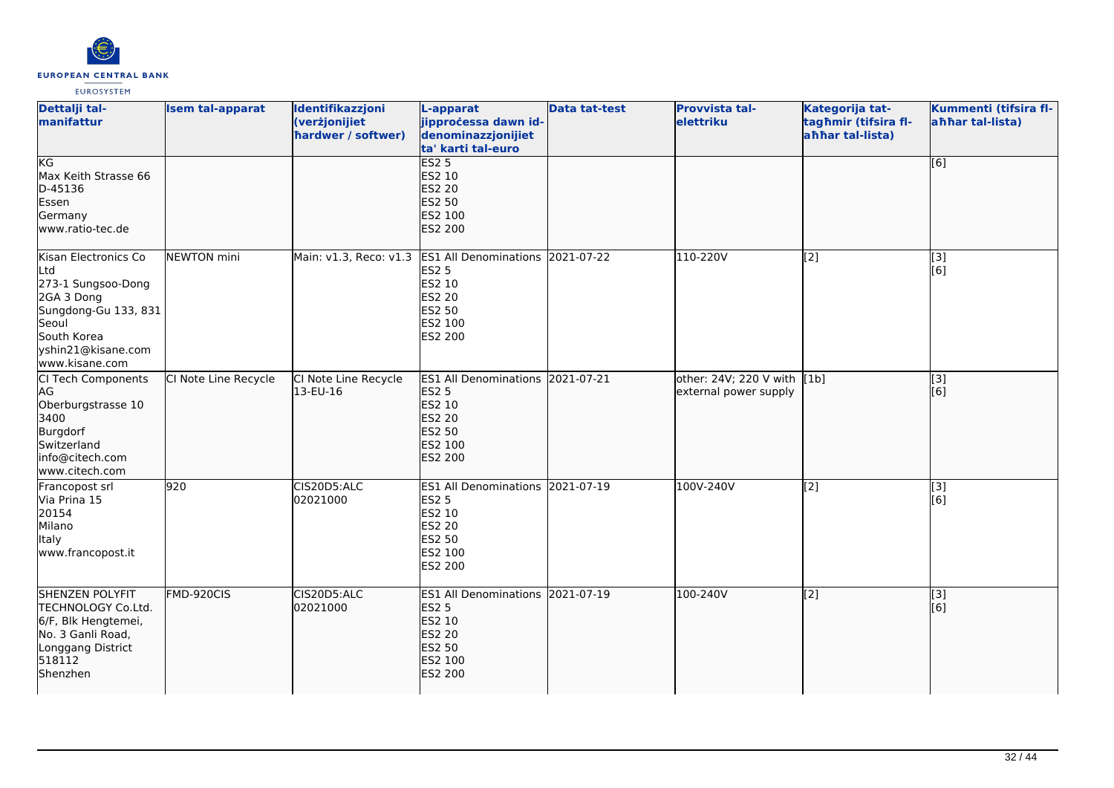

| Dettalji tal-<br>manifattur                                                                                                                             | <b>Isem tal-apparat</b> | Identifikazzjoni<br>(verżjonijiet<br>hardwer / softwer) | L-apparat<br>jipprocessa dawn id-<br>denominazzjonijiet<br>ta' karti tal-euro                                  | <b>Data tat-test</b> | Provvista tal-<br><b>elettriku</b>                   | Kategorija tat-<br>tagħmir (tifsira fl-<br>ahhar tal-lista) | Kummenti (tifsira fl-<br>ahhar tal-lista) |
|---------------------------------------------------------------------------------------------------------------------------------------------------------|-------------------------|---------------------------------------------------------|----------------------------------------------------------------------------------------------------------------|----------------------|------------------------------------------------------|-------------------------------------------------------------|-------------------------------------------|
| <b>I</b> KG<br>Max Keith Strasse 66<br>D-45136<br>Essen<br>Germany<br>www.ratio-tec.de                                                                  |                         |                                                         | ES2 <sub>5</sub><br><b>ES2 10</b><br><b>ES2 20</b><br>ES2 50<br>ES2 100<br>ES2 200                             |                      |                                                      |                                                             | [6]                                       |
| Kisan Electronics Co<br>Ltd<br>273-1 Sungsoo-Dong<br>2GA 3 Dong<br>Sungdong-Gu 133, 831<br>Seoul<br>South Korea<br>yshin21@kisane.com<br>www.kisane.com | NEWTON mini             | Main: v1.3, Reco: v1.3                                  | ES1 All Denominations 2021-07-22<br><b>ES2 5</b><br>ES2 10<br>ES2 20<br><b>ES2 50</b><br>ES2 100<br>ES2 200    |                      | 110-220V                                             | $\overline{[2]}$                                            | $\overline{[3]}$<br>[6]                   |
| CI Tech Components<br>AG<br>Oberburgstrasse 10<br>3400<br>Burgdorf<br>Switzerland<br>info@citech.com<br>www.citech.com                                  | CI Note Line Recycle    | CI Note Line Recycle<br>13-EU-16                        | <b>ES1 All Denominations</b><br><b>ES2 5</b><br>ES2 10<br><b>ES2 20</b><br><b>ES2 50</b><br>ES2 100<br>ES2 200 | 2021-07-21           | other: 24V; 220 V with [1b]<br>external power supply |                                                             | $\overline{[3]}$<br>[6]                   |
| Francopost srl<br>Via Prina 15<br>20154<br>Milano<br>Italy<br>www.francopost.it                                                                         | 920                     | CIS20D5:ALC<br>02021000                                 | <b>ES1 All Denominations</b><br><b>ES2 5</b><br>ES2 10<br>ES2 20<br>ES2 50<br>ES2 100<br><b>ES2 200</b>        | 2021-07-19           | 100V-240V                                            | $\overline{[2]}$                                            | [3]<br>[6]                                |
| <b>SHENZEN POLYFIT</b><br>TECHNOLOGY Co.Ltd.<br>6/F, Blk Hengtemei,<br>No. 3 Ganli Road,<br>Longgang District<br>518112<br>Shenzhen                     | FMD-920CIS              | CIS20D5:ALC<br>02021000                                 | <b>ES1 All Denominations</b><br><b>ES2 5</b><br>ES2 10<br><b>ES2 20</b><br><b>ES2 50</b><br>ES2 100<br>ES2 200 | 2021-07-19           | 100-240V                                             | $\left[2\right]$                                            | [3]<br>[6]                                |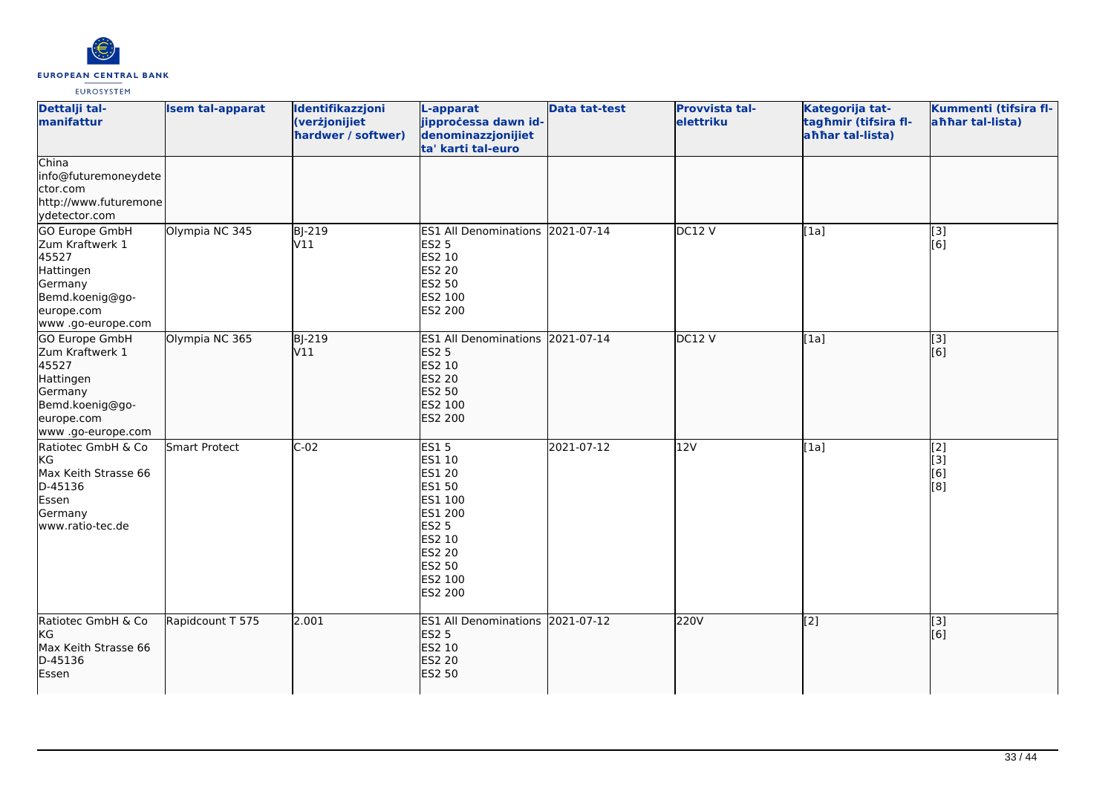

| Dettalji tal-<br>manifattur                                                                                               | <b>Isem tal-apparat</b> | Identifikazzjoni<br>(verżjonijiet<br>hardwer / softwer) | L-apparat<br>jipprocessa dawn id-<br>denominazzjonijiet<br>ta' karti tal-euro                                                       | <b>Data tat-test</b> | Provvista tal-<br>elettriku | Kategorija tat-<br>tagħmir (tifsira fl-<br>ahhar tal-lista) | Kummenti (tifsira fl-<br>ahhar tal-lista) |
|---------------------------------------------------------------------------------------------------------------------------|-------------------------|---------------------------------------------------------|-------------------------------------------------------------------------------------------------------------------------------------|----------------------|-----------------------------|-------------------------------------------------------------|-------------------------------------------|
| China<br>info@futuremoneydete<br>ctor.com<br>http://www.futuremone<br>ydetector.com                                       |                         |                                                         |                                                                                                                                     |                      |                             |                                                             |                                           |
| GO Europe GmbH<br>Zum Kraftwerk 1<br>45527<br>Hattingen<br>Germany<br>Bemd.koenig@go-<br>europe.com<br>www .go-europe.com | Olympia NC 345          | BJ-219<br>V11                                           | <b>ES1 All Denominations</b><br>ES2 5<br>ES2 10<br><b>ES2 20</b><br>ES2 50<br>ES2 100<br>ES2 200                                    | 2021-07-14           | DC12V                       | [1a]                                                        | [3]<br>[6]                                |
| GO Europe GmbH<br>Zum Kraftwerk 1<br>45527<br>Hattingen<br>Germany<br>Bemd.koenig@go-<br>europe.com<br>www.go-europe.com  | Olympia NC 365          | <b>BJ-219</b><br>V11                                    | ES1 All Denominations 2021-07-14<br><b>ES2 5</b><br>ES2 10<br><b>ES2 20</b><br><b>ES2 50</b><br>ES2 100<br>ES2 200                  |                      | DC12V                       | [1a]                                                        | $\overline{[3]}$<br>[6]                   |
| Ratiotec GmbH & Co<br>KG<br>Max Keith Strasse 66<br>D-45136<br>Essen<br>Germany<br>www.ratio-tec.de                       | Smart Protect           | $C-02$                                                  | <b>ES15</b><br>ES1 10<br>ES1 20<br>ES1 50<br>ES1 100<br>ES1 200<br><b>ES2 5</b><br>ES2 10<br>ES2 20<br>ES2 50<br>ES2 100<br>ES2 200 | 2021-07-12           | 12V                         | [1a]                                                        | $\overline{[2]}$<br>[3]<br>[6]<br>[8]     |
| Ratiotec GmbH & Co<br>KG<br>Max Keith Strasse 66<br>D-45136<br>Essen                                                      | Rapidcount T 575        | 2.001                                                   | <b>ES1 All Denominations</b><br><b>ES2 5</b><br>ES2 10<br><b>ES2 20</b><br><b>ES2 50</b>                                            | 2021-07-12           | 220V                        | $\overline{[2]}$                                            | [3]<br>[6]                                |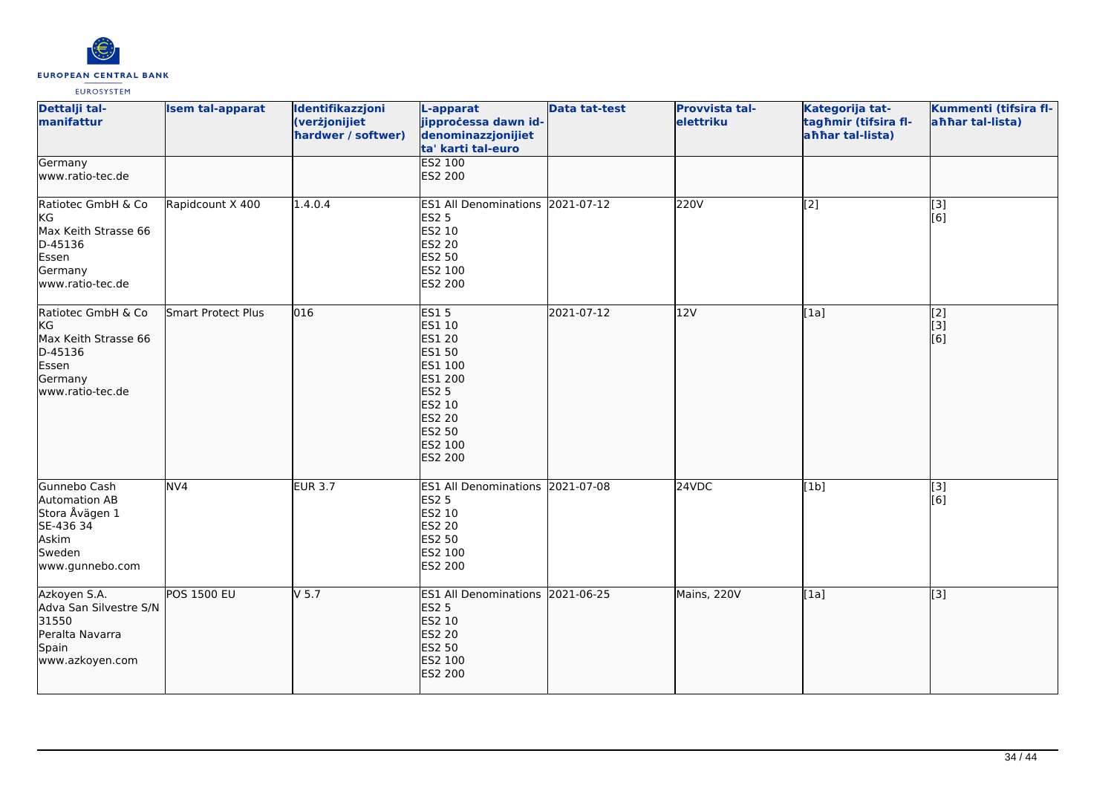

| Dettalji tal-<br>manifattur                                                                                | <b>Isem tal-apparat</b> | Identifikazzjoni<br>(verżjonijiet<br>hardwer / softwer) | L-apparat<br>jipproċessa dawn id-<br>denominazzjonijiet<br>ta' karti tal-euro                                                                                   | <b>Data tat-test</b> | Provvista tal-<br>elettriku | Kategorija tat-<br>tagħmir (tifsira fl-<br>ahhar tal-lista) | Kummenti (tifsira fl-<br>ahhar tal-lista) |
|------------------------------------------------------------------------------------------------------------|-------------------------|---------------------------------------------------------|-----------------------------------------------------------------------------------------------------------------------------------------------------------------|----------------------|-----------------------------|-------------------------------------------------------------|-------------------------------------------|
| Germany<br>www.ratio-tec.de                                                                                |                         |                                                         | <b>ES2 100</b><br>ES2 200                                                                                                                                       |                      |                             |                                                             |                                           |
| Ratiotec GmbH & Co<br>KG<br>Max Keith Strasse 66<br>D-45136<br>Essen<br>Germany<br>www.ratio-tec.de        | Rapidcount X 400        | 1.4.0.4                                                 | ES1 All Denominations 2021-07-12<br><b>ES2 5</b><br>ES2 10<br><b>ES2 20</b><br>ES2 50<br>ES2 100<br>ES2 200                                                     |                      | 220V                        | $\overline{[2]}$                                            | $\overline{[3]}$<br>[6]                   |
| Ratiotec GmbH & Co<br><b>KG</b><br>Max Keith Strasse 66<br>D-45136<br>Essen<br>Germany<br>www.ratio-tec.de | Smart Protect Plus      | 016                                                     | <b>ES15</b><br>ES1 10<br><b>ES1 20</b><br><b>ES1 50</b><br>ES1 100<br>ES1 200<br><b>ES2 5</b><br>ES2 10<br><b>ES2 20</b><br><b>ES2 50</b><br>ES2 100<br>ES2 200 | 2021-07-12           | 12V                         | [1a]                                                        | [2]<br>[3]<br>[6]                         |
| Gunnebo Cash<br>Automation AB<br>Stora Åvägen 1<br>SE-436 34<br>Askim<br>Sweden<br>www.gunnebo.com         | NV4                     | <b>EUR 3.7</b>                                          | ES1 All Denominations 2021-07-08<br><b>ES2 5</b><br><b>ES2 10</b><br>ES2 20<br>ES2 50<br>ES2 100<br>ES2 200                                                     |                      | 24VDC                       | [1b]                                                        | [3]<br>[6]                                |
| Azkoyen S.A.<br>Adva San Silvestre S/N<br>31550<br>Peralta Navarra<br>Spain<br>www.azkoyen.com             | <b>POS 1500 EU</b>      | V <sub>5.7</sub>                                        | ES1 All Denominations 2021-06-25<br><b>ES2 5</b><br><b>ES2 10</b><br><b>ES2 20</b><br><b>ES2 50</b><br>ES2 100<br>ES2 200                                       |                      | Mains, 220V                 | [1a]                                                        | $\overline{[}3]$                          |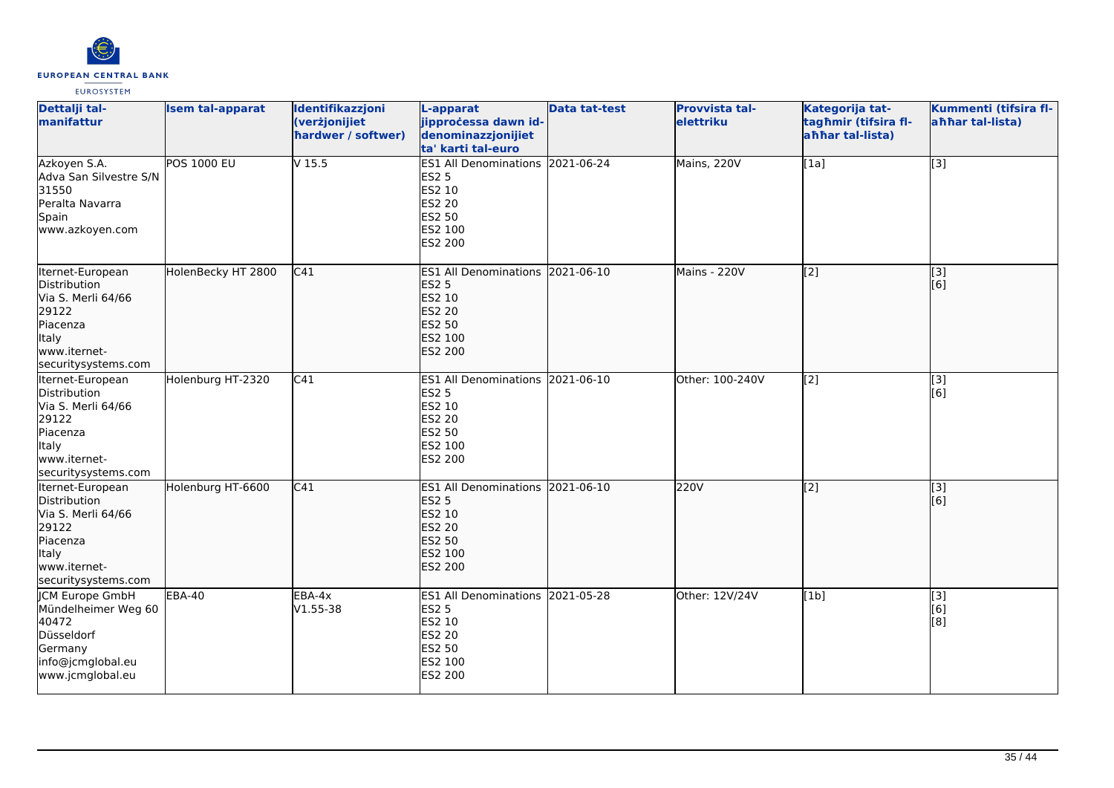

| Dettalji tal-<br>manifattur                                                                                                        | <b>Isem tal-apparat</b> | Identifikazzjoni<br>(verżjonijiet<br>hardwer / softwer) | L-apparat<br>jipprocessa dawn id-<br>denominazzjonijiet<br>ta' karti tal-euro                                      | <b>Data tat-test</b> | Provvista tal-<br><b>elettriku</b> | Kategorija tat-<br>tagħmir (tifsira fl-<br>ahhar tal-lista) | Kummenti (tifsira fl-<br>ahhar tal-lista) |
|------------------------------------------------------------------------------------------------------------------------------------|-------------------------|---------------------------------------------------------|--------------------------------------------------------------------------------------------------------------------|----------------------|------------------------------------|-------------------------------------------------------------|-------------------------------------------|
| Azkoyen S.A.<br>Adva San Silvestre S/N<br>31550<br>Peralta Navarra<br>Spain<br>www.azkoyen.com                                     | <b>POS 1000 EU</b>      | V <sub>15.5</sub>                                       | ES1 All Denominations 2021-06-24<br><b>ES2 5</b><br>ES2 10<br>ES2 20<br>ES2 50<br>ES2 100<br>ES2 200               |                      | Mains, 220V                        | [1a]                                                        | $[3]$                                     |
| Iternet-European<br>Distribution<br>Via S. Merli 64/66<br>29122<br>Piacenza<br>Italy<br>www.iternet-<br>securitysystems.com        | HolenBecky HT 2800      | C <sub>41</sub>                                         | ES1 All Denominations 2021-06-10<br><b>ES2 5</b><br>ES2 10<br><b>ES2 20</b><br><b>ES2 50</b><br>ES2 100<br>ES2 200 |                      | Mains - 220V                       | $\left[2\right]$                                            | [3]<br>[6]                                |
| Iternet-European<br>Distribution<br>Via S. Merli 64/66<br>29122<br>Piacenza<br><b>Italy</b><br>www.iternet-<br>securitysystems.com | Holenburg HT-2320       | C41                                                     | <b>ES1 All Denominations</b><br>ES2 5<br>ES2 10<br>ES2 20<br>ES2 50<br>ES2 100<br>ES2 200                          | 2021-06-10           | Other: 100-240V                    | $\overline{[2]}$                                            | $\overline{[3]}$<br>[6]                   |
| Iternet-European<br>Distribution<br>Via S. Merli 64/66<br>29122<br>Piacenza<br>Italy<br>www.iternet-<br>securitysystems.com        | Holenburg HT-6600       | C41                                                     | ES1 All Denominations 2021-06-10<br><b>ES2 5</b><br>ES2 10<br><b>ES2 20</b><br><b>ES2 50</b><br>ES2 100<br>ES2 200 |                      | 220V                               | $\overline{[2]}$                                            | $\overline{[}3]$<br>[6]                   |
| JCM Europe GmbH<br>Mündelheimer Weg 60<br>40472<br>Düsseldorf<br>Germany<br>info@jcmglobal.eu<br>www.jcmglobal.eu                  | <b>EBA-40</b>           | EBA-4x<br>$V1.55 - 38$                                  | <b>ES1 All Denominations</b><br><b>ES2 5</b><br>ES2 10<br>ES2 20<br>ES2 50<br>ES2 100<br>ES2 200                   | 2021-05-28           | Other: 12V/24V                     | [1b]                                                        | [3]<br>[6]<br>[8]                         |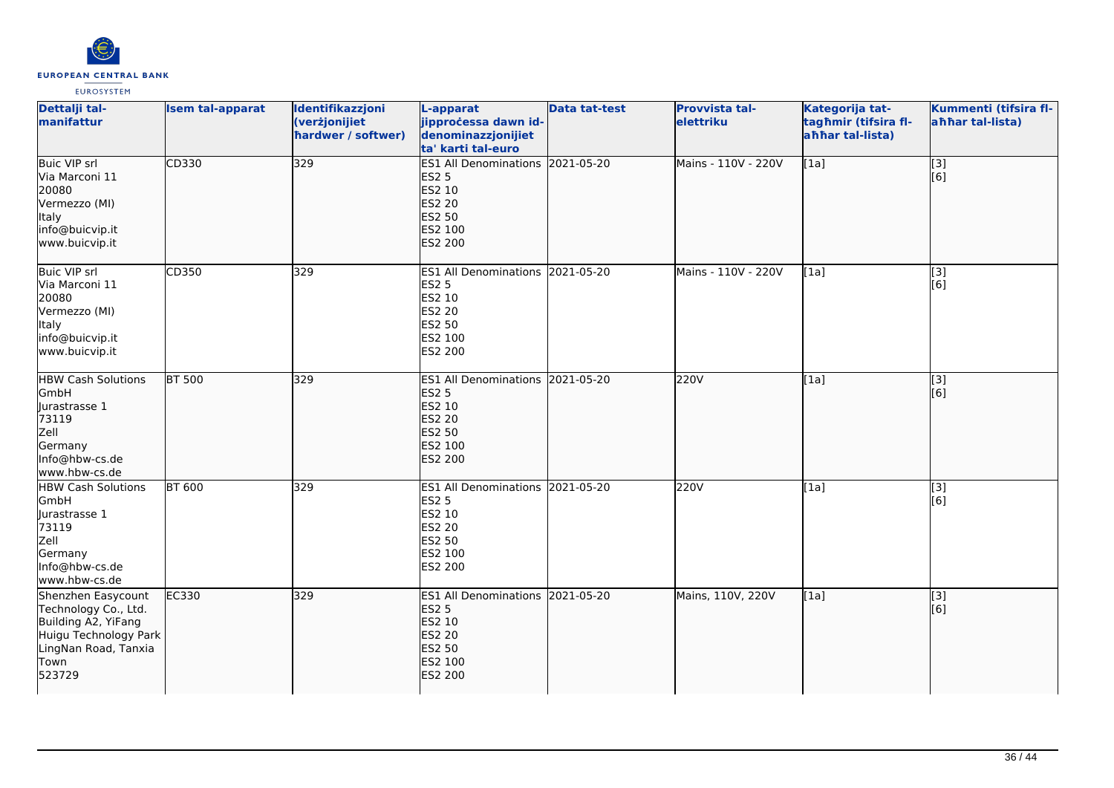

| Dettalji tal-<br>manifattur                                                                                                          | <b>Isem tal-apparat</b> | Identifikazzjoni<br>(verżjonijiet<br>hardwer / softwer) | L-apparat<br>jipprocessa dawn id-<br>denominazzjonijiet<br>ta' karti tal-euro                                             | <b>Data tat-test</b> | Provvista tal-<br>elettriku | Kategorija tat-<br>tagħmir (tifsira fl-<br>ahhar tal-lista) | Kummenti (tifsira fl-<br>ahhar tal-lista) |
|--------------------------------------------------------------------------------------------------------------------------------------|-------------------------|---------------------------------------------------------|---------------------------------------------------------------------------------------------------------------------------|----------------------|-----------------------------|-------------------------------------------------------------|-------------------------------------------|
| <b>Buic VIP srl</b><br>Via Marconi 11<br>20080<br>Vermezzo (MI)<br>Italy<br>info@buicvip.it<br>www.buicvip.it                        | CD330                   | 329                                                     | ES1 All Denominations 2021-05-20<br><b>ES2 5</b><br><b>ES2 10</b><br><b>ES2 20</b><br><b>ES2 50</b><br>ES2 100<br>ES2 200 |                      | Mains - 110V - 220V         | [1a]                                                        | $\overline{[}3]$<br>[6]                   |
| Buic VIP srl<br>Via Marconi 11<br>20080<br>Vermezzo (MI)<br><b>Italy</b><br>info@buicvip.it<br>www.buicvip.it                        | CD350                   | 329                                                     | ES1 All Denominations 2021-05-20<br><b>ES2 5</b><br>ES2 10<br><b>ES2 20</b><br><b>ES2 50</b><br>ES2 100<br>ES2 200        |                      | Mains - 110V - 220V         | [1a]                                                        | [3]<br>[6]                                |
| <b>HBW Cash Solutions</b><br>GmbH<br>Jurastrasse 1<br>73119<br>Zell<br>Germany<br>Info@hbw-cs.de<br>www.hbw-cs.de                    | <b>BT 500</b>           | 329                                                     | <b>ES1 All Denominations</b><br><b>ES2 5</b><br>ES2 10<br><b>ES2 20</b><br><b>ES2 50</b><br>ES2 100<br>ES2 200            | 2021-05-20           | 220V                        | [1a]                                                        | $\overline{[}$ [3]<br>[6]                 |
| <b>HBW Cash Solutions</b><br>GmbH<br>Jurastrasse 1<br>73119<br>Zell<br>Germany<br>Info@hbw-cs.de<br>www.hbw-cs.de                    | <b>BT 600</b>           | 329                                                     | ES1 All Denominations 2021-05-20<br><b>ES2 5</b><br><b>ES2 10</b><br><b>ES2 20</b><br>ES2 50<br>ES2 100<br><b>ES2 200</b> |                      | 220V                        | [1a]                                                        | $\overline{[3]}$<br>[6]                   |
| Shenzhen Easycount<br>Technology Co., Ltd.<br>Building A2, YiFang<br>Huigu Technology Park<br>LingNan Road, Tanxia<br>Town<br>523729 | EC330                   | 329                                                     | ES1 All Denominations 2021-05-20<br><b>ES2 5</b><br>ES2 10<br><b>ES2 20</b><br><b>ES2 50</b><br>ES2 100<br>ES2 200        |                      | Mains, 110V, 220V           | [1a]                                                        | [3]<br>[6]                                |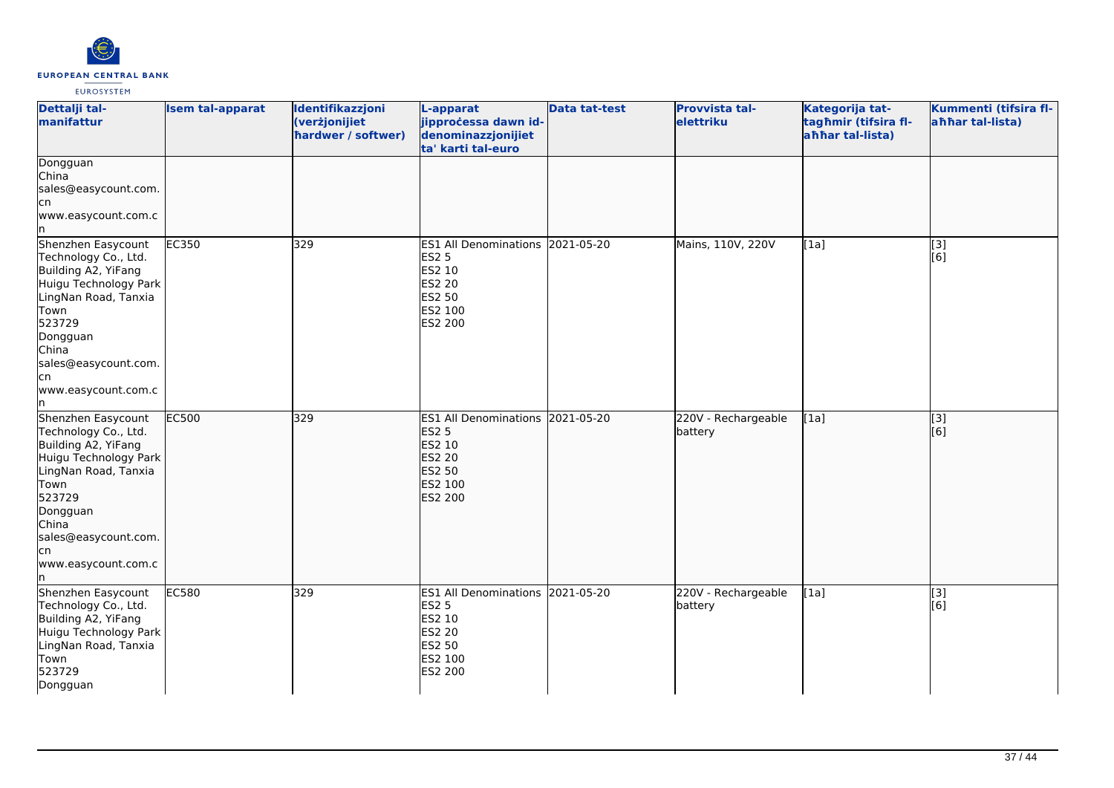

| Dettalji tal-<br>manifattur                                                                                                                                                                                    | <b>Isem tal-apparat</b> | <b>Identifikazzjoni</b><br>(verżjonijiet<br>hardwer / softwer) | L-apparat<br>jipprocessa dawn id-<br>denominazzjonijiet<br>ta' karti tal-euro                                      | <b>Data tat-test</b> | Provvista tal-<br>elettriku    | Kategorija tat-<br>tagħmir (tifsira fl-<br>ahhar tal-lista) | Kummenti (tifsira fl-<br>ahhar tal-lista) |
|----------------------------------------------------------------------------------------------------------------------------------------------------------------------------------------------------------------|-------------------------|----------------------------------------------------------------|--------------------------------------------------------------------------------------------------------------------|----------------------|--------------------------------|-------------------------------------------------------------|-------------------------------------------|
| Dongguan<br>China<br>sales@easycount.com.<br>cn<br>www.easycount.com.c                                                                                                                                         |                         |                                                                |                                                                                                                    |                      |                                |                                                             |                                           |
| Shenzhen Easycount<br>Technology Co., Ltd.<br>Building A2, YiFang<br>Huigu Technology Park<br>LingNan Road, Tanxia<br>Town<br>523729<br>Dongguan<br>China<br>sales@easycount.com.<br>cn<br>www.easycount.com.c | EC350                   | 329                                                            | ES1 All Denominations 2021-05-20<br><b>ES2 5</b><br>ES2 10<br><b>ES2 20</b><br><b>ES2 50</b><br>ES2 100<br>ES2 200 |                      | Mains, 110V, 220V              | [1a]                                                        | [3]<br>[6]                                |
| Shenzhen Easycount<br>Technology Co., Ltd.<br>Building A2, YiFang<br>Huigu Technology Park<br>LingNan Road, Tanxia<br>Town<br>523729<br>Dongguan<br>China<br>sales@easycount.com.<br>cn<br>www.easycount.com.c | <b>EC500</b>            | 329                                                            | ES1 All Denominations 2021-05-20<br><b>ES2 5</b><br>ES2 10<br><b>ES2 20</b><br>ES2 50<br>ES2 100<br><b>ES2 200</b> |                      | 220V - Rechargeable<br>battery | [1a]                                                        | $\overline{[3]}$<br>[6]                   |
| Shenzhen Easycount<br>Technology Co., Ltd.<br>Building A2, YiFang<br>Huigu Technology Park<br>LingNan Road, Tanxia<br>Town<br>523729<br>Dongguan                                                               | <b>EC580</b>            | 329                                                            | ES1 All Denominations 2021-05-20<br><b>ES2 5</b><br>ES2 10<br><b>ES2 20</b><br>ES2 50<br>ES2 100<br>ES2 200        |                      | 220V - Rechargeable<br>battery | [1a]                                                        | [3]<br>[6]                                |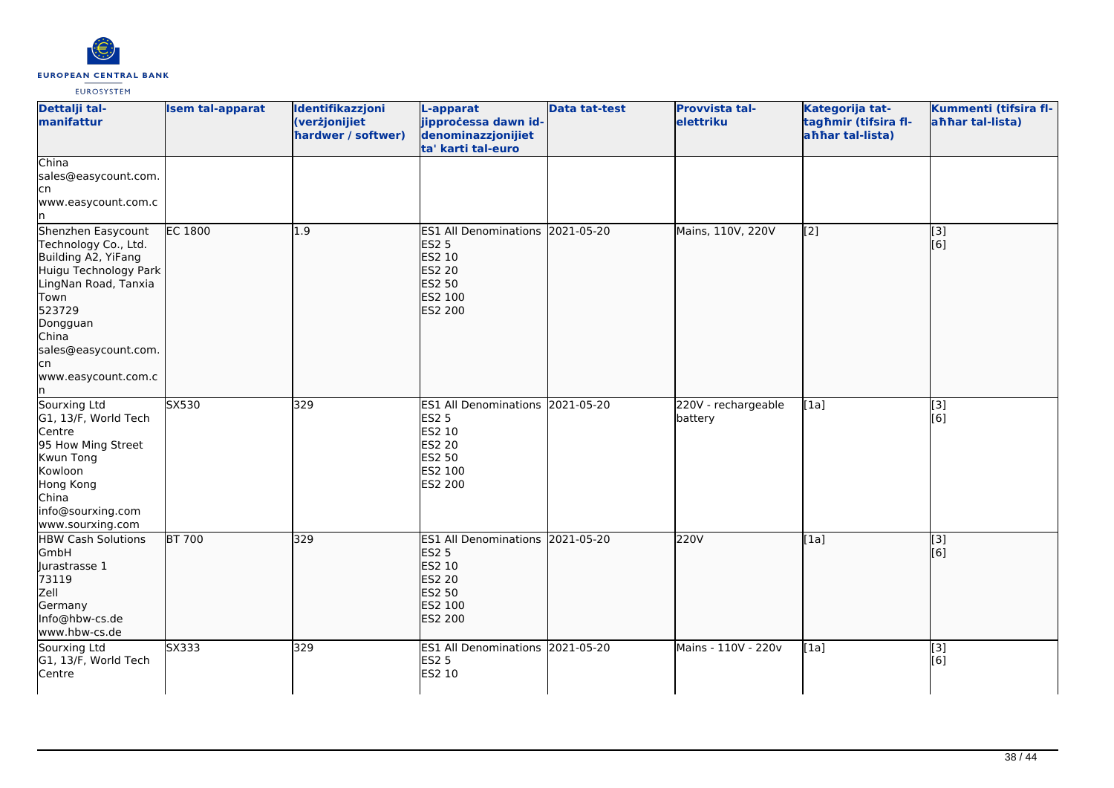

| Dettalji tal-<br>manifattur                                                                                                                                                                                            | <b>Isem tal-apparat</b> | Identifikazzjoni<br>(verżjonijiet<br>hardwer / softwer) | L-apparat<br>jipprocessa dawn id-<br>denominazzjonijiet<br>ta' karti tal-euro                                  | <b>Data tat-test</b> | <b>Provvista tal-</b><br>elettriku | Kategorija tat-<br>tagħmir (tifsira fl-<br>ahhar tal-lista) | Kummenti (tifsira fl-<br>ahhar tal-lista) |
|------------------------------------------------------------------------------------------------------------------------------------------------------------------------------------------------------------------------|-------------------------|---------------------------------------------------------|----------------------------------------------------------------------------------------------------------------|----------------------|------------------------------------|-------------------------------------------------------------|-------------------------------------------|
| China<br>sales@easycount.com.<br>cn<br>www.easycount.com.c<br>In.                                                                                                                                                      |                         |                                                         |                                                                                                                |                      |                                    |                                                             |                                           |
| Shenzhen Easycount<br>Technology Co., Ltd.<br>Building A2, YiFang<br>Huigu Technology Park<br>LingNan Road, Tanxia<br>Town<br>523729<br>Dongguan<br>China<br>sales@easycount.com.<br>lcn<br>www.easycount.com.c<br>In. | EC 1800                 | 1.9                                                     | <b>ES1 All Denominations</b><br><b>ES2 5</b><br>ES2 10<br><b>ES2 20</b><br><b>ES2 50</b><br>ES2 100<br>ES2 200 | 2021-05-20           | Mains, 110V, 220V                  | $\left[2\right]$                                            | [3]<br>[6]                                |
| Sourxing Ltd<br>G1, 13/F, World Tech<br>Centre<br>95 How Ming Street<br>Kwun Tong<br>Kowloon<br>Hong Kong<br>China<br>info@sourxing.com<br>www.sourxing.com                                                            | SX530                   | 329                                                     | <b>ES1 All Denominations</b><br><b>ES2 5</b><br>ES2 10<br><b>ES2 20</b><br>ES2 50<br>ES2 100<br>ES2 200        | 2021-05-20           | 220V - rechargeable<br>battery     | [1a]                                                        | [3]<br>[6]                                |
| <b>HBW Cash Solutions</b><br>GmbH<br>Jurastrasse 1<br>73119<br>Zell<br>Germany<br>Info@hbw-cs.de<br>www.hbw-cs.de                                                                                                      | <b>BT 700</b>           | 329                                                     | <b>ES1 All Denominations</b><br><b>ES2 5</b><br>ES2 10<br><b>ES2 20</b><br><b>ES2 50</b><br>ES2 100<br>ES2 200 | 2021-05-20           | 220V                               | [1a]                                                        | [3]<br>[6]                                |
| Sourxing Ltd<br>G1, 13/F, World Tech<br>Centre                                                                                                                                                                         | SX333                   | 329                                                     | ES1 All Denominations 2021-05-20<br><b>ES2 5</b><br>ES2 10                                                     |                      | Mains - 110V - 220v                | [1a]                                                        | $\overline{[3]}$<br>[6]                   |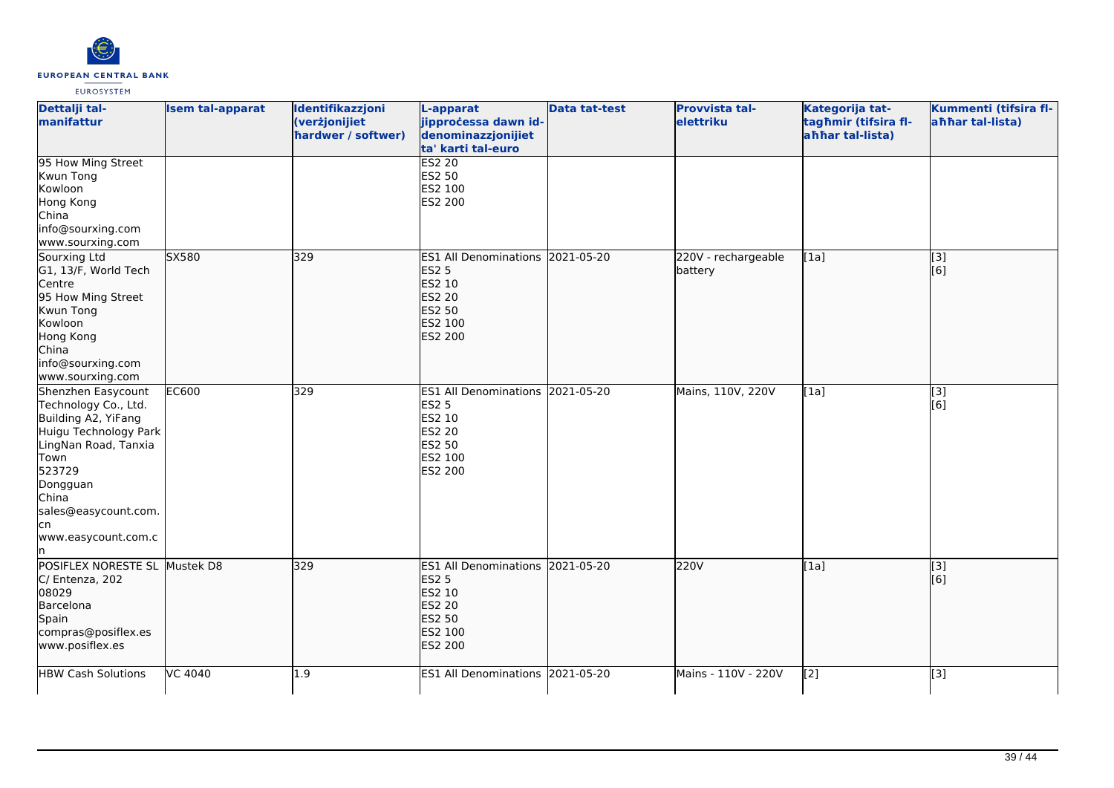

| Dettalji tal-<br>manifattur                                                                                                                                                                                     | <b>Isem tal-apparat</b> | Identifikazzjoni<br>(verżjonijiet<br>hardwer / softwer) | L-apparat<br>jipprocessa dawn id-<br>denominazzjonijiet<br>ta' karti tal-euro                                      | <b>Data tat-test</b> | <b>Provvista tal-</b><br>elettriku | Kategorija tat-<br>tagħmir (tifsira fl-<br>ahhar tal-lista) | Kummenti (tifsira fl-<br>ahhar tal-lista) |
|-----------------------------------------------------------------------------------------------------------------------------------------------------------------------------------------------------------------|-------------------------|---------------------------------------------------------|--------------------------------------------------------------------------------------------------------------------|----------------------|------------------------------------|-------------------------------------------------------------|-------------------------------------------|
| 95 How Ming Street<br>Kwun Tong<br>Kowloon<br>Hong Kong<br>China<br>info@sourxing.com<br>www.sourxing.com                                                                                                       |                         |                                                         | <b>ES2 20</b><br>ES2 50<br>ES2 100<br>ES2 200                                                                      |                      |                                    |                                                             |                                           |
| Sourxing Ltd<br>G1, 13/F, World Tech<br>Centre<br>95 How Ming Street<br>Kwun Tong<br>Kowloon<br>Hong Kong<br>China<br>info@sourxing.com<br>www.sourxing.com                                                     | SX580                   | 329                                                     | ES1 All Denominations 2021-05-20<br><b>ES2 5</b><br>ES2 10<br><b>ES2 20</b><br><b>ES2 50</b><br>ES2 100<br>ES2 200 |                      | 220V - rechargeable<br>battery     | [1a]                                                        | [3]<br>[6]                                |
| Shenzhen Easycount<br>Technology Co., Ltd.<br>Building A2, YiFang<br>Huigu Technology Park<br>LingNan Road, Tanxia<br>Town<br>523729<br>Dongguan<br>China<br>sales@easycount.com.<br>lcn<br>www.easycount.com.c | EC600                   | 329                                                     | <b>ES1 All Denominations</b><br><b>ES2 5</b><br>ES2 10<br><b>ES2 20</b><br>ES2 50<br>ES2 100<br>ES2 200            | 2021-05-20           | Mains, 110V, 220V                  | [1a]                                                        | [3]<br>[6]                                |
| POSIFLEX NORESTE SL Mustek D8<br>C/ Entenza, 202<br>08029<br>Barcelona<br>Spain<br>compras@posiflex.es<br>www.posiflex.es                                                                                       |                         | 329                                                     | ES1 All Denominations 2021-05-20<br><b>ES2 5</b><br>ES2 10<br><b>ES2 20</b><br><b>ES2 50</b><br>ES2 100<br>ES2 200 |                      | 220V                               | [1a]                                                        | [3]<br>[6]                                |
| <b>HBW Cash Solutions</b>                                                                                                                                                                                       | VC 4040                 | 1.9                                                     | ES1 All Denominations 2021-05-20                                                                                   |                      | Mains - 110V - 220V                | $\left[2\right]$                                            | [3]                                       |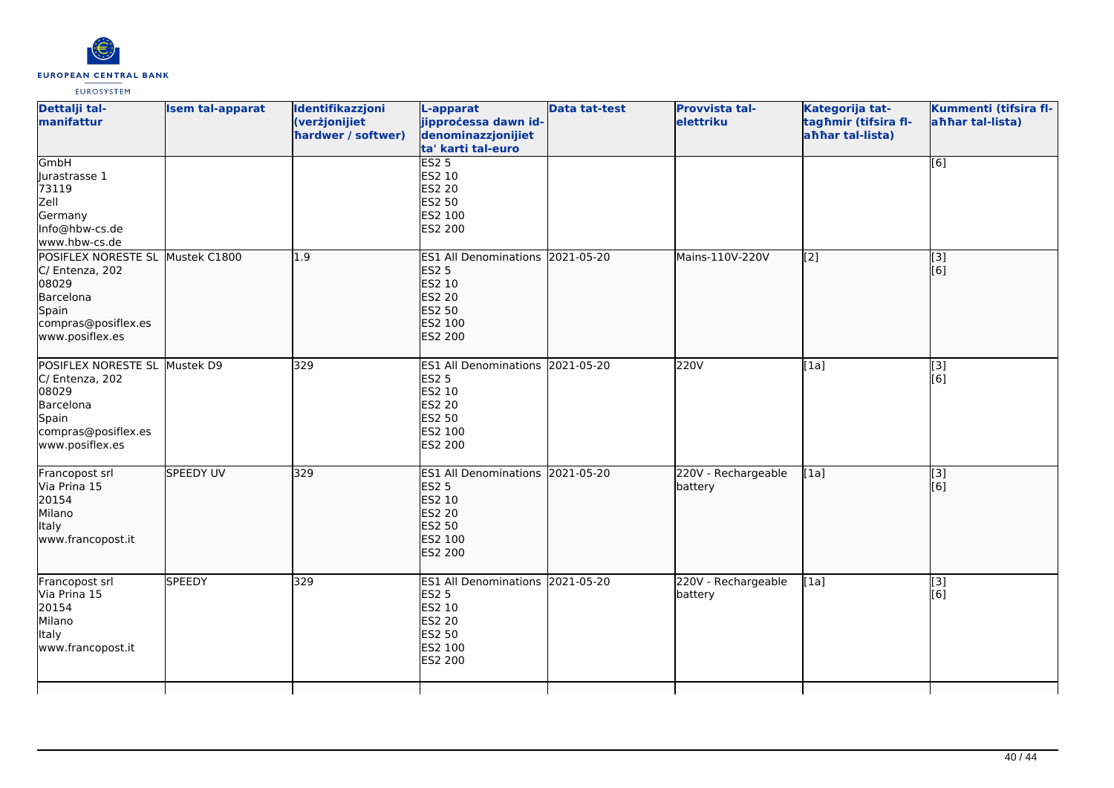

| Dettalji tal-<br>manifattur                                                                                                  | <b>Isem tal-apparat</b> | Identifikazzjoni<br>(verżjonijiet<br>hardwer / softwer) | L-apparat<br>jipprocessa dawn id-<br>denominazzjonijiet<br>ta' karti tal-euro                                      | <b>Data tat-test</b> | Provvista tal-<br>elettriku    | Kategorija tat-<br>tagħmir (tifsira fl-<br>ahhar tal-lista) | Kummenti (tifsira fl-<br>ahhar tal-lista) |
|------------------------------------------------------------------------------------------------------------------------------|-------------------------|---------------------------------------------------------|--------------------------------------------------------------------------------------------------------------------|----------------------|--------------------------------|-------------------------------------------------------------|-------------------------------------------|
| GmbH<br>Jurastrasse 1<br>73119<br>Zell<br>Germany<br>Info@hbw-cs.de<br>www.hbw-cs.de                                         |                         |                                                         | ES2 <sub>5</sub><br>ES2 10<br>ES2 20<br>ES2 50<br>ES2 100<br>ES2 200                                               |                      |                                |                                                             | [6]                                       |
| POSIFLEX NORESTE SL Mustek C1800<br>C/ Entenza, 202<br>08029<br>Barcelona<br>Spain<br>compras@posiflex.es<br>www.posiflex.es |                         | 1.9                                                     | ES1 All Denominations 2021-05-20<br><b>ES2 5</b><br>ES2 10<br><b>ES2 20</b><br><b>ES2 50</b><br>ES2 100<br>ES2 200 |                      | Mains-110V-220V                | $\overline{[2]}$                                            | $\overline{[3]}$<br>[6]                   |
| POSIFLEX NORESTE SL Mustek D9<br>C/ Entenza, 202<br>08029<br>Barcelona<br>Spain<br>compras@posiflex.es<br>www.posiflex.es    |                         | 329                                                     | ES1 All Denominations 2021-05-20<br><b>ES2 5</b><br>ES2 10<br>ES2 20<br>ES2 50<br>ES2 100<br>ES2 200               |                      | 220V                           | [1a]                                                        | [3]<br>[6]                                |
| Francopost srl<br>Via Prina 15<br>20154<br>Milano<br>Italy<br>www.francopost.it                                              | <b>SPEEDY UV</b>        | 329                                                     | ES1 All Denominations 2021-05-20<br><b>ES2 5</b><br><b>ES2 10</b><br><b>ES2 20</b><br>ES2 50<br>ES2 100<br>ES2 200 |                      | 220V - Rechargeable<br>battery | [1a]                                                        | $\overline{[3]}$<br>[6]                   |
| Francopost srl<br>Via Prina 15<br>20154<br>Milano<br><b>Italy</b><br>www.francopost.it                                       | <b>SPEEDY</b>           | 329                                                     | ES1 All Denominations 2021-05-20<br><b>ES2 5</b><br>ES2 10<br>ES2 20<br>ES2 50<br>ES2 100<br>ES2 200               |                      | 220V - Rechargeable<br>battery | [1a]                                                        | $[3]$<br>[6]                              |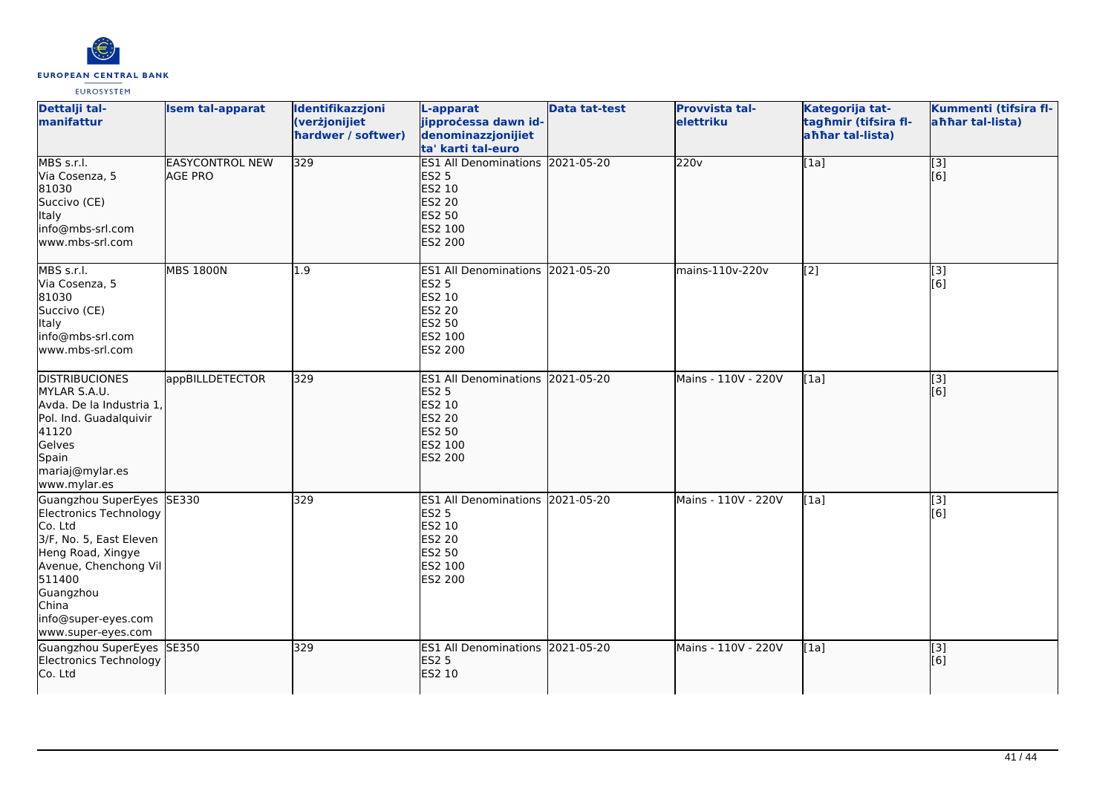

| Dettalji tal-<br>manifattur                                                                                                                                                                                          | <b>Isem tal-apparat</b>                  | Identifikazzjoni<br>(verżjonijiet<br>hardwer / softwer) | L-apparat<br>jipprocessa dawn id-<br>denominazzjonijiet<br>ta' karti tal-euro                                             | <b>Data tat-test</b> | <b>Provvista tal-</b><br>elettriku | Kategorija tat-<br>tagħmir (tifsira fl-<br>ahhar tal-lista) | Kummenti (tifsira fl-<br>ahhar tal-lista) |
|----------------------------------------------------------------------------------------------------------------------------------------------------------------------------------------------------------------------|------------------------------------------|---------------------------------------------------------|---------------------------------------------------------------------------------------------------------------------------|----------------------|------------------------------------|-------------------------------------------------------------|-------------------------------------------|
| MBS s.r.l.<br>Via Cosenza, 5<br>81030<br>Succivo (CE)<br><b>Italy</b><br>info@mbs-srl.com<br>lwww.mbs-srl.com                                                                                                        | <b>EASYCONTROL NEW</b><br><b>AGE PRO</b> | 329                                                     | ES1 All Denominations 2021-05-20<br><b>ES2 5</b><br>ES2 10<br><b>ES2 20</b><br><b>ES2 50</b><br>ES2 100<br>ES2 200        |                      | 220 <sub>v</sub>                   | [1a]                                                        | $\overline{[}$ [3]<br>[6]                 |
| MBS s.r.l.<br>Via Cosenza, 5<br>81030<br>Succivo (CE)<br><b>Italy</b><br>info@mbs-srl.com<br>www.mbs-srl.com                                                                                                         | <b>MBS 1800N</b>                         | 1.9                                                     | ES1 All Denominations 2021-05-20<br><b>ES2 5</b><br>ES2 10<br><b>ES2 20</b><br><b>ES2 50</b><br>ES2 100<br>ES2 200        |                      | mains-110v-220v                    | $\left[2\right]$                                            | [3]<br>[6]                                |
| <b>DISTRIBUCIONES</b><br>MYLAR S.A.U.<br>Avda. De la Industria 1,<br>Pol. Ind. Guadalquivir<br>41120<br>Gelves<br>Spain<br>mariaj@mylar.es<br>www.mylar.es                                                           | appBILLDETECTOR                          | 329                                                     | ES1 All Denominations 2021-05-20<br><b>ES2 5</b><br>ES2 10<br><b>ES2 20</b><br><b>ES2 50</b><br>ES2 100<br><b>ES2 200</b> |                      | Mains - 110V - 220V                | [1a]                                                        | $\overline{[}3]$<br>[6]                   |
| Guangzhou SuperEyes SE330<br>Electronics Technology<br>Co. Ltd<br>3/F, No. 5, East Eleven<br>Heng Road, Xingye<br>Avenue, Chenchong Vil<br>511400<br>Guangzhou<br>China<br>info@super-eyes.com<br>www.super-eyes.com |                                          | 329                                                     | ES1 All Denominations 2021-05-20<br><b>ES2 5</b><br>ES2 10<br><b>ES2 20</b><br><b>ES2 50</b><br>ES2 100<br><b>ES2 200</b> |                      | Mains - 110V - 220V                | [1a]                                                        | [3]<br>[6]                                |
| Guangzhou SuperEyes<br>Electronics Technology<br>Co. Ltd                                                                                                                                                             | SE350                                    | 329                                                     | ES1 All Denominations 2021-05-20<br><b>ES2 5</b><br><b>ES2 10</b>                                                         |                      | Mains - 110V - 220V                | [1a]                                                        | [3]<br>[[6]                               |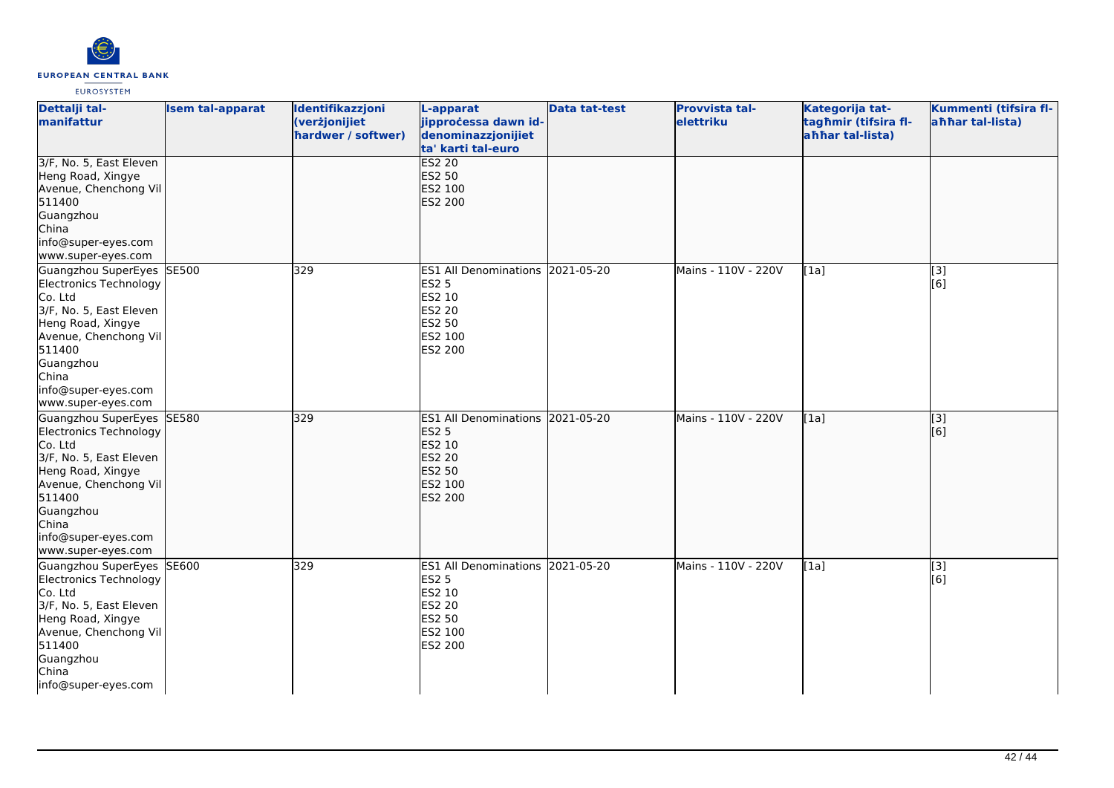

| Dettalji tal-<br>manifattur                                                                                                                                                                                          | <b>Isem tal-apparat</b> | Identifikazzjoni<br>(verżjonijiet<br>hardwer / softwer) | L-apparat<br>jipprocessa dawn id-<br>denominazzjonijiet<br>ta' karti tal-euro                                             | <b>Data tat-test</b> | <b>Provvista tal-</b><br>elettriku | Kategorija tat-<br>tagħmir (tifsira fl-<br>ahhar tal-lista) | Kummenti (tifsira fl-<br>ahhar tal-lista) |
|----------------------------------------------------------------------------------------------------------------------------------------------------------------------------------------------------------------------|-------------------------|---------------------------------------------------------|---------------------------------------------------------------------------------------------------------------------------|----------------------|------------------------------------|-------------------------------------------------------------|-------------------------------------------|
| 3/F, No. 5, East Eleven<br>Heng Road, Xingye<br>Avenue, Chenchong Vil<br>511400<br>Guangzhou<br>China<br>info@super-eyes.com<br>www.super-eyes.com                                                                   |                         |                                                         | <b>ES2 20</b><br>ES2 50<br>ES2 100<br><b>ES2 200</b>                                                                      |                      |                                    |                                                             |                                           |
| Guangzhou SuperEyes<br>Electronics Technology<br>Co. Ltd<br>3/F, No. 5, East Eleven<br>Heng Road, Xingye<br>Avenue, Chenchong Vil<br>511400<br>Guangzhou<br>China<br>info@super-eyes.com<br>www.super-eyes.com       | <b>SE500</b>            | 329                                                     | ES1 All Denominations 2021-05-20<br><b>ES2 5</b><br><b>ES2 10</b><br><b>ES2 20</b><br><b>ES2 50</b><br>ES2 100<br>ES2 200 |                      | Mains - 110V - 220V                | [1a]                                                        | [3]<br>[6]                                |
| Guangzhou SuperEyes SE580<br>Electronics Technology<br>Co. Ltd<br>3/F, No. 5, East Eleven<br>Heng Road, Xingye<br>Avenue, Chenchong Vil<br>511400<br>Guangzhou<br>China<br>info@super-eyes.com<br>www.super-eyes.com |                         | 329                                                     | ES1 All Denominations 2021-05-20<br><b>ES2 5</b><br>ES2 10<br><b>ES2 20</b><br><b>ES2 50</b><br>ES2 100<br><b>ES2 200</b> |                      | Mains - 110V - 220V                | [1a]                                                        | [[3]<br>[6]                               |
| Guangzhou SuperEyes<br>Electronics Technology<br>Co. Ltd<br>3/F, No. 5, East Eleven<br>Heng Road, Xingye<br>Avenue, Chenchong Vil<br>511400<br>Guangzhou<br>China<br>info@super-eyes.com                             | SE600                   | 329                                                     | ES1 All Denominations 2021-05-20<br><b>ES2 5</b><br>ES2 10<br><b>ES2 20</b><br><b>ES2 50</b><br>ES2 100<br>ES2 200        |                      | Mains - 110V - 220V                | [1a]                                                        | $\overline{[}3]$<br>[6]                   |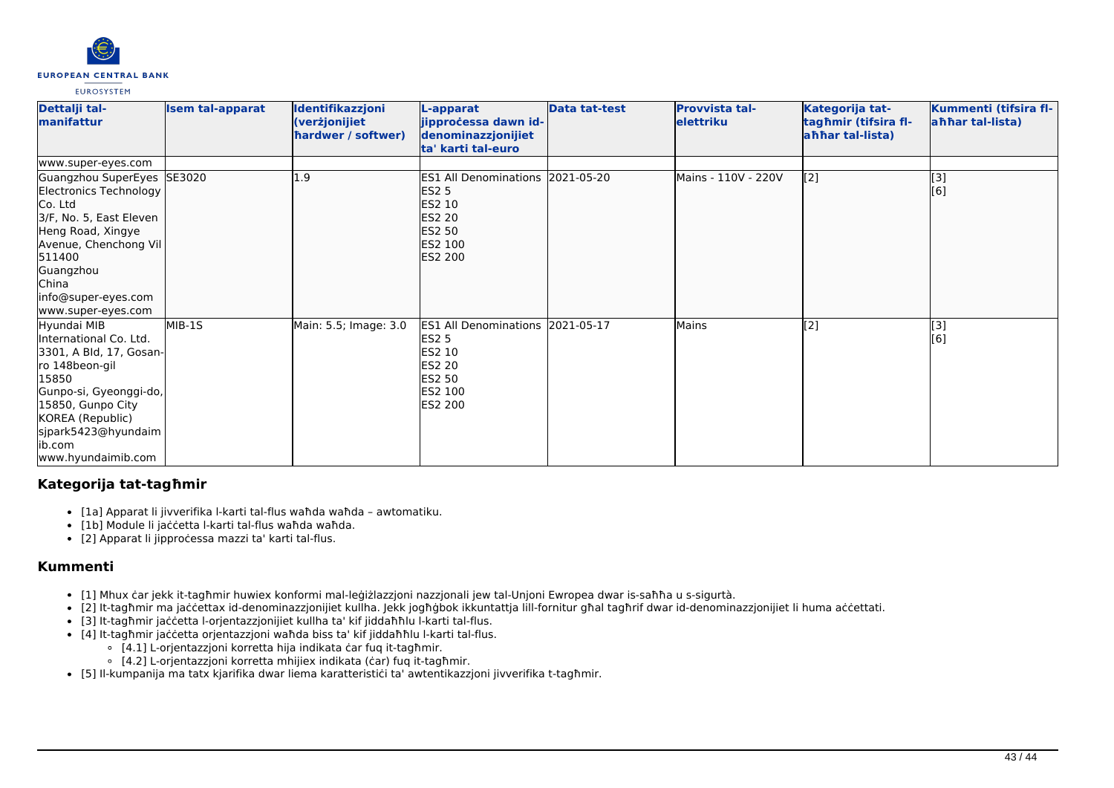

| Dettalji tal-<br>manifattur                                                                                                                                                                                           | <b>Isem tal-apparat</b> | Identifikazzjoni<br><i>(verzjonijiet</i><br>hardwer / softwer) | L-apparat<br>jipprocessa dawn id-<br>denominazzjonijiet<br>ta' karti tal-euro                                             | <b>Data tat-test</b> | <b>Provvista tal-</b><br><b>lelettriku</b> | Kategorija tat-<br>tagħmir (tifsira fl-<br>ahhar tal-lista) | Kummenti (tifsira fl-<br>ahhar tal-lista) |
|-----------------------------------------------------------------------------------------------------------------------------------------------------------------------------------------------------------------------|-------------------------|----------------------------------------------------------------|---------------------------------------------------------------------------------------------------------------------------|----------------------|--------------------------------------------|-------------------------------------------------------------|-------------------------------------------|
| www.super-eyes.com                                                                                                                                                                                                    |                         |                                                                |                                                                                                                           |                      |                                            |                                                             |                                           |
| Guangzhou SuperEyes SE3020<br>Electronics Technology<br>Co. Ltd<br>3/F, No. 5, East Eleven<br>Heng Road, Xingye<br>Avenue, Chenchong Vil<br>511400<br>Guangzhou<br>China<br>info@super-eyes.com<br>www.super-eyes.com |                         | 1.9                                                            | ES1 All Denominations 2021-05-20<br><b>ES2 5</b><br><b>ES2 10</b><br><b>ES2 20</b><br><b>ES2 50</b><br>ES2 100<br>ES2 200 |                      | Mains - 110V - 220V                        | $\left[2\right]$                                            | [3]<br>[6]                                |
| Hyundai MIB<br>International Co. Ltd.<br>3301, A Bld, 17, Gosan-<br>ro 148beon-gil<br>15850<br>Gunpo-si, Gyeonggi-do,<br>15850, Gunpo City<br>KOREA (Republic)<br>sjpark5423@hyundaim<br>ib.com<br>www.hyundaimib.com | MIB-1S                  | Main: 5.5; Image: 3.0                                          | ES1 All Denominations 2021-05-17<br><b>ES2 5</b><br>ES2 10<br><b>ES2 20</b><br><b>ES2 50</b><br>ES2 100<br>ES2 200        |                      | Mains                                      | [2]                                                         | [3]<br>[6]                                |

# **Kategorija tat-tagħmir**

- [1a] Apparat li jivverifika l-karti tal-flus waħda waħda awtomatiku.
- [1b] Module li jaċċetta l-karti tal-flus waħda waħda.
- [2] Apparat li jipprocessa mazzi ta' karti tal-flus.

## **Kummenti**

- [1] Mhux ċar jekk it-tagħmir huwiex konformi mal-leġiżlazzjoni nazzjonali jew tal-Unjoni Ewropea dwar is-saħħa u s-sigurtà.
- [2] It-tagħmir ma jaċċettax id-denominazzjonijiet kullha. Jekk jogħġbok ikkuntattja lill-fornitur għal tagħrif dwar id-denominazzjonijiet li huma aċċettati.
- [3] It-tagħmir jaċċetta l-orjentazzjonijiet kullha ta' kif jiddaħħlu l-karti tal-flus.
- [4] It-tagħmir jaċċetta orjentazzjoni waħda biss ta' kif jiddaħħlu l-karti tal-flus.
	- [4.1] L-orjentazzjoni korretta hija indikata ċar fuq it-tagħmir.
	- [4.2] L-orjentazzjoni korretta mhijiex indikata (ċar) fuq it-tagħmir.
- [5] Il-kumpanija ma tatx kjarifika dwar liema karatteristiċi ta' awtentikazzjoni jivverifika t-tagħmir.